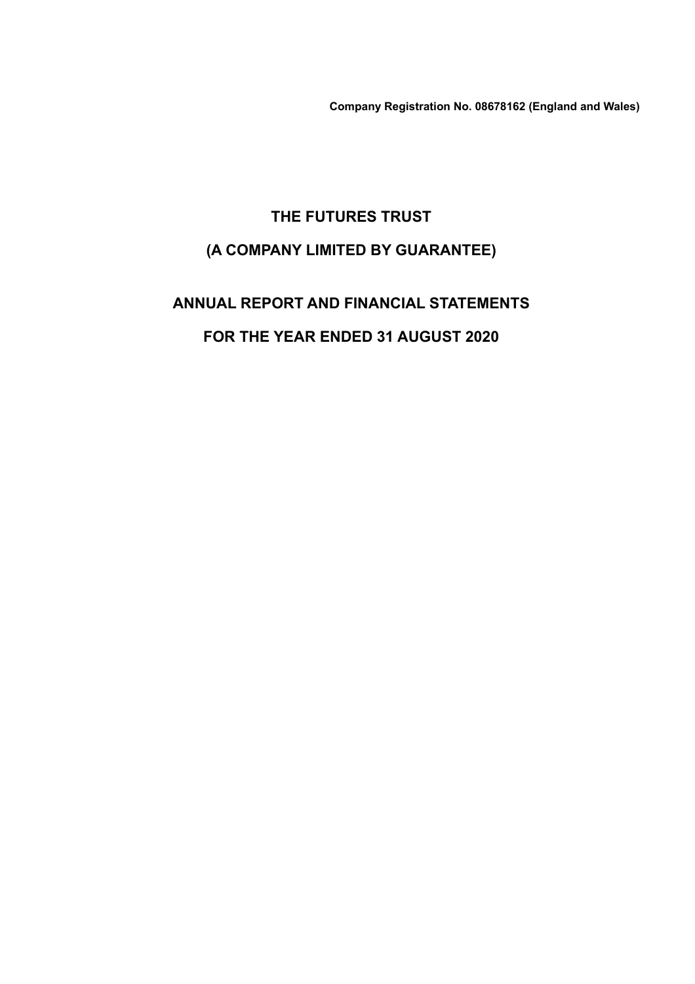**Company Registration No. 08678162 (England and Wales)**

# **THE FUTURES TRUST (A COMPANY LIMITED BY GUARANTEE)**

# **ANNUAL REPORT AND FINANCIAL STATEMENTS FOR THE YEAR ENDED 31 AUGUST 2020**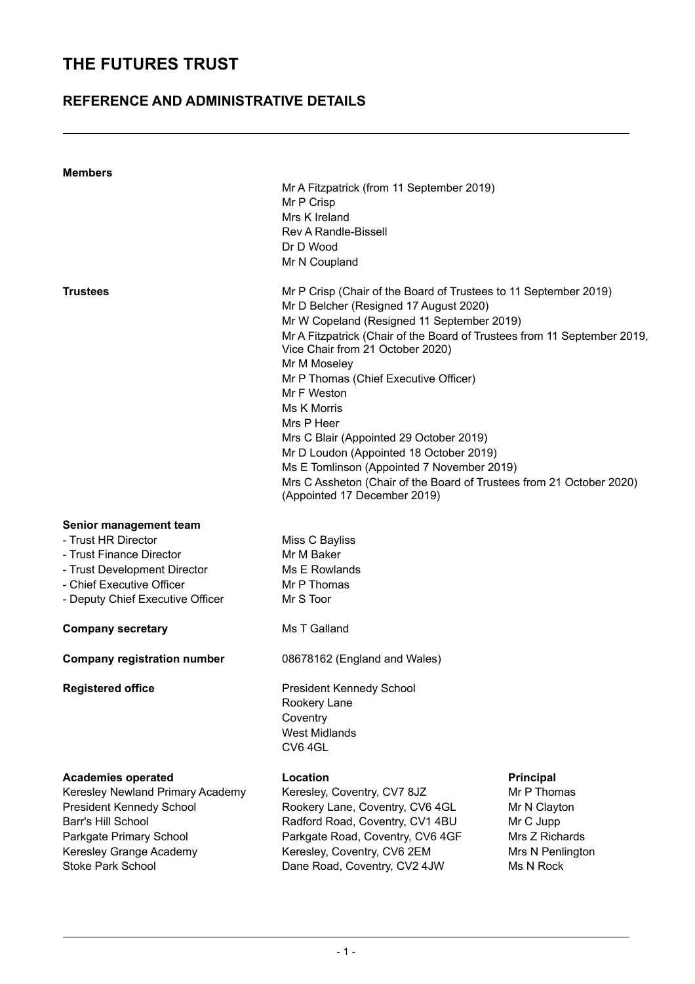### **REFERENCE AND ADMINISTRATIVE DETAILS**

| <b>Members</b>                            |                                                                                                              |                  |  |  |  |  |
|-------------------------------------------|--------------------------------------------------------------------------------------------------------------|------------------|--|--|--|--|
| Mr A Fitzpatrick (from 11 September 2019) |                                                                                                              |                  |  |  |  |  |
|                                           | Mr P Crisp<br>Mrs K Ireland                                                                                  |                  |  |  |  |  |
|                                           | <b>Rev A Randle-Bissell</b>                                                                                  |                  |  |  |  |  |
|                                           | Dr D Wood                                                                                                    |                  |  |  |  |  |
|                                           | Mr N Coupland                                                                                                |                  |  |  |  |  |
|                                           |                                                                                                              |                  |  |  |  |  |
| <b>Trustees</b>                           | Mr P Crisp (Chair of the Board of Trustees to 11 September 2019)<br>Mr D Belcher (Resigned 17 August 2020)   |                  |  |  |  |  |
|                                           | Mr W Copeland (Resigned 11 September 2019)                                                                   |                  |  |  |  |  |
|                                           | Mr A Fitzpatrick (Chair of the Board of Trustees from 11 September 2019,<br>Vice Chair from 21 October 2020) |                  |  |  |  |  |
|                                           | Mr M Moseley                                                                                                 |                  |  |  |  |  |
|                                           | Mr P Thomas (Chief Executive Officer)<br>Mr F Weston                                                         |                  |  |  |  |  |
|                                           | <b>Ms K Morris</b>                                                                                           |                  |  |  |  |  |
|                                           | Mrs P Heer                                                                                                   |                  |  |  |  |  |
|                                           | Mrs C Blair (Appointed 29 October 2019)                                                                      |                  |  |  |  |  |
|                                           | Mr D Loudon (Appointed 18 October 2019)                                                                      |                  |  |  |  |  |
|                                           | Ms E Tomlinson (Appointed 7 November 2019)                                                                   |                  |  |  |  |  |
|                                           | Mrs C Assheton (Chair of the Board of Trustees from 21 October 2020)                                         |                  |  |  |  |  |
|                                           | (Appointed 17 December 2019)                                                                                 |                  |  |  |  |  |
| Senior management team                    |                                                                                                              |                  |  |  |  |  |
| - Trust HR Director                       | Miss C Bayliss                                                                                               |                  |  |  |  |  |
| - Trust Finance Director                  | Mr M Baker                                                                                                   |                  |  |  |  |  |
| - Trust Development Director              | Ms E Rowlands                                                                                                |                  |  |  |  |  |
| - Chief Executive Officer                 | Mr P Thomas                                                                                                  |                  |  |  |  |  |
| - Deputy Chief Executive Officer          | Mr S Toor                                                                                                    |                  |  |  |  |  |
| <b>Company secretary</b>                  | Ms T Galland                                                                                                 |                  |  |  |  |  |
| <b>Company registration number</b>        | 08678162 (England and Wales)                                                                                 |                  |  |  |  |  |
| <b>Registered office</b>                  | President Kennedy School                                                                                     |                  |  |  |  |  |
|                                           | Rookery Lane                                                                                                 |                  |  |  |  |  |
|                                           | Coventry                                                                                                     |                  |  |  |  |  |
|                                           | <b>West Midlands</b>                                                                                         |                  |  |  |  |  |
|                                           | CV64GL                                                                                                       |                  |  |  |  |  |
| <b>Academies operated</b>                 | Location                                                                                                     | <b>Principal</b> |  |  |  |  |
| Keresley Newland Primary Academy          | Keresley, Coventry, CV7 8JZ                                                                                  | Mr P Thomas      |  |  |  |  |
| <b>President Kennedy School</b>           | Rookery Lane, Coventry, CV6 4GL                                                                              | Mr N Clayton     |  |  |  |  |
| <b>Barr's Hill School</b>                 | Radford Road, Coventry, CV1 4BU                                                                              | Mr C Jupp        |  |  |  |  |
| Parkgate Primary School                   | Parkgate Road, Coventry, CV6 4GF                                                                             | Mrs Z Richards   |  |  |  |  |
| Keresley Grange Academy                   | Keresley, Coventry, CV6 2EM                                                                                  | Mrs N Penlington |  |  |  |  |
| <b>Stoke Park School</b>                  | Dane Road, Coventry, CV2 4JW<br>Ms N Rock                                                                    |                  |  |  |  |  |
|                                           |                                                                                                              |                  |  |  |  |  |
|                                           |                                                                                                              |                  |  |  |  |  |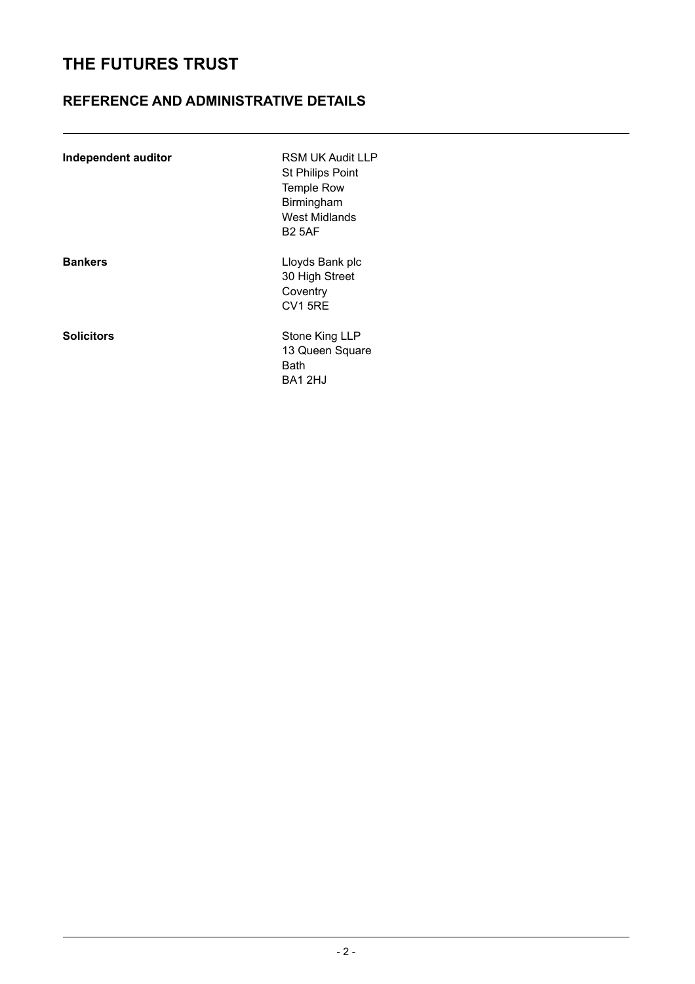### **REFERENCE AND ADMINISTRATIVE DETAILS**

| Independent auditor | <b>RSM UK Audit LLP</b><br><b>St Philips Point</b><br><b>Temple Row</b><br>Birmingham<br>West Midlands<br><b>B2 5AF</b> |
|---------------------|-------------------------------------------------------------------------------------------------------------------------|
| <b>Bankers</b>      | Lloyds Bank plc<br>30 High Street<br>Coventry<br><b>CV1 5RE</b>                                                         |
| <b>Solicitors</b>   | Stone King LLP<br>13 Queen Square<br><b>Bath</b><br>BA12HJ                                                              |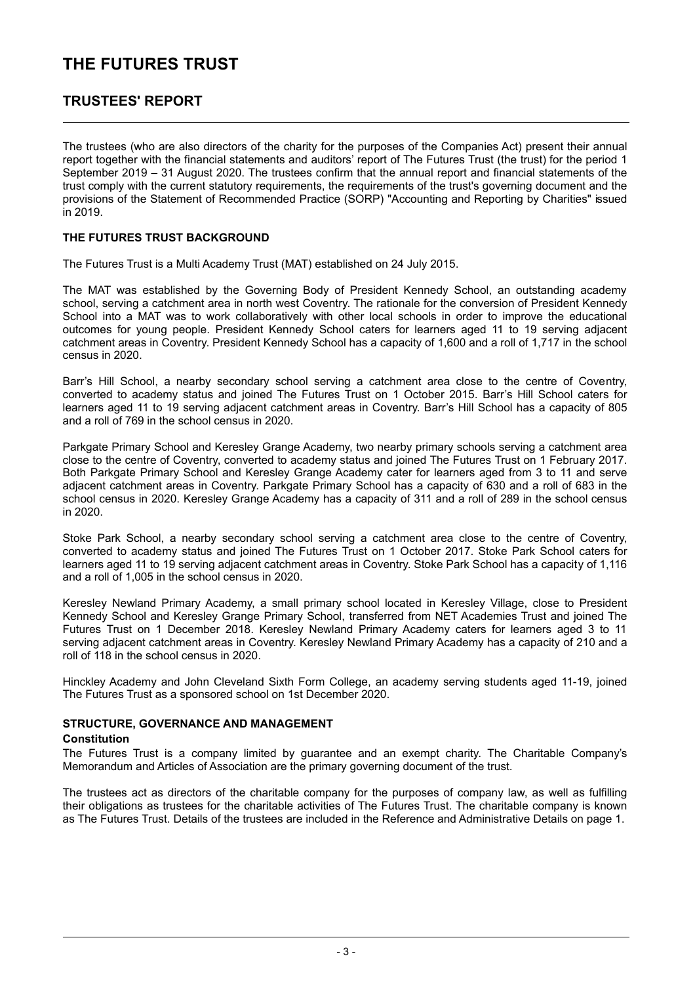### **TRUSTEES' REPORT**

The trustees (who are also directors of the charity for the purposes of the Companies Act) present their annual report together with the financial statements and auditors' report of The Futures Trust (the trust) for the period 1 September 2019 – 31 August 2020. The trustees confirm that the annual report and financial statements of the trust comply with the current statutory requirements, the requirements of the trust's governing document and the provisions of the Statement of Recommended Practice (SORP) "Accounting and Reporting by Charities" issued in 2019.

#### **THE FUTURES TRUST BACKGROUND**

The Futures Trust is a Multi Academy Trust (MAT) established on 24 July 2015.

The MAT was established by the Governing Body of President Kennedy School, an outstanding academy school, serving a catchment area in north west Coventry. The rationale for the conversion of President Kennedy School into a MAT was to work collaboratively with other local schools in order to improve the educational outcomes for young people. President Kennedy School caters for learners aged 11 to 19 serving adjacent catchment areas in Coventry. President Kennedy School has a capacity of 1,600 and a roll of 1,717 in the school census in 2020.

Barr's Hill School, a nearby secondary school serving a catchment area close to the centre of Coventry, converted to academy status and joined The Futures Trust on 1 October 2015. Barr's Hill School caters for learners aged 11 to 19 serving adjacent catchment areas in Coventry. Barr's Hill School has a capacity of 805 and a roll of 769 in the school census in 2020.

Parkgate Primary School and Keresley Grange Academy, two nearby primary schools serving a catchment area close to the centre of Coventry, converted to academy status and joined The Futures Trust on 1 February 2017. Both Parkgate Primary School and Keresley Grange Academy cater for learners aged from 3 to 11 and serve adjacent catchment areas in Coventry. Parkgate Primary School has a capacity of 630 and a roll of 683 in the school census in 2020. Keresley Grange Academy has a capacity of 311 and a roll of 289 in the school census in 2020.

Stoke Park School, a nearby secondary school serving a catchment area close to the centre of Coventry, converted to academy status and joined The Futures Trust on 1 October 2017. Stoke Park School caters for learners aged 11 to 19 serving adjacent catchment areas in Coventry. Stoke Park School has a capacity of 1,116 and a roll of 1,005 in the school census in 2020.

Keresley Newland Primary Academy, a small primary school located in Keresley Village, close to President Kennedy School and Keresley Grange Primary School, transferred from NET Academies Trust and joined The Futures Trust on 1 December 2018. Keresley Newland Primary Academy caters for learners aged 3 to 11 serving adjacent catchment areas in Coventry. Keresley Newland Primary Academy has a capacity of 210 and a roll of 118 in the school census in 2020.

Hinckley Academy and John Cleveland Sixth Form College, an academy serving students aged 11-19, joined The Futures Trust as a sponsored school on 1st December 2020.

#### **STRUCTURE, GOVERNANCE AND MANAGEMENT**

#### **Constitution**

The Futures Trust is a company limited by guarantee and an exempt charity. The Charitable Company's Memorandum and Articles of Association are the primary governing document of the trust.

The trustees act as directors of the charitable company for the purposes of company law, as well as fulfilling their obligations as trustees for the charitable activities of The Futures Trust. The charitable company is known as The Futures Trust. Details of the trustees are included in the Reference and Administrative Details on page 1.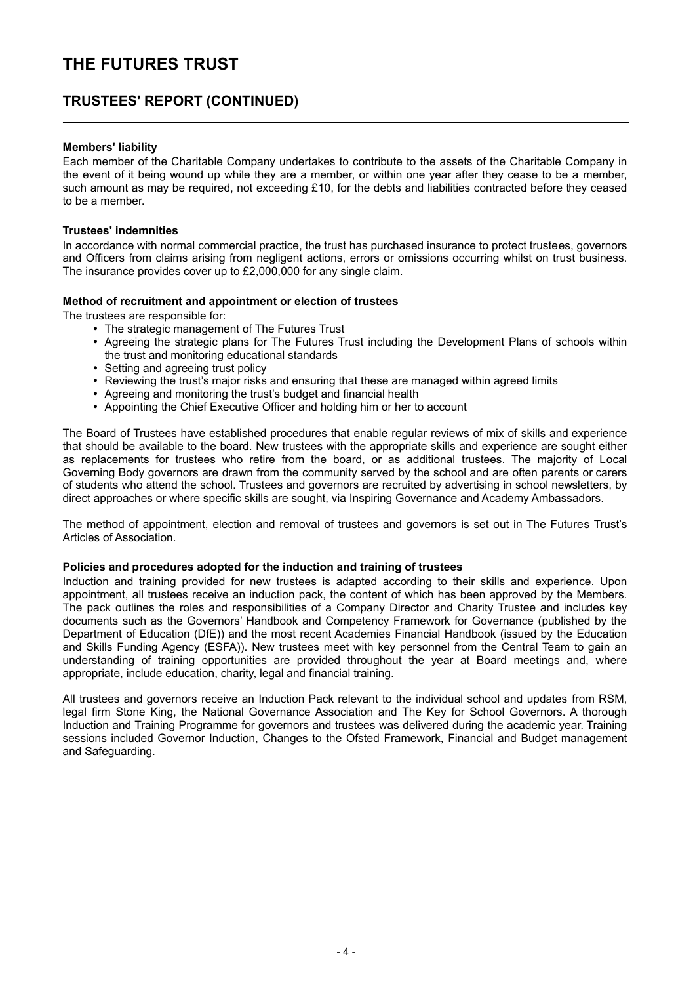### **TRUSTEES' REPORT (CONTINUED)**

#### **Members' liability**

Each member of the Charitable Company undertakes to contribute to the assets of the Charitable Company in the event of it being wound up while they are a member, or within one year after they cease to be a member, such amount as may be required, not exceeding £10, for the debts and liabilities contracted before they ceased to be a member.

#### **Trustees' indemnities**

In accordance with normal commercial practice, the trust has purchased insurance to protect trustees, governors and Officers from claims arising from negligent actions, errors or omissions occurring whilst on trust business. The insurance provides cover up to £2,000,000 for any single claim.

#### **Method of recruitment and appointment or election of trustees**

The trustees are responsible for:

- The strategic management of The Futures Trust
- Agreeing the strategic plans for The Futures Trust including the Development Plans of schools within the trust and monitoring educational standards
- Setting and agreeing trust policy
- Reviewing the trust's major risks and ensuring that these are managed within agreed limits
- Agreeing and monitoring the trust's budget and financial health
- Appointing the Chief Executive Officer and holding him or her to account

The Board of Trustees have established procedures that enable regular reviews of mix of skills and experience that should be available to the board. New trustees with the appropriate skills and experience are sought either as replacements for trustees who retire from the board, or as additional trustees. The majority of Local Governing Body governors are drawn from the community served by the school and are often parents or carers of students who attend the school. Trustees and governors are recruited by advertising in school newsletters, by direct approaches or where specific skills are sought, via Inspiring Governance and Academy Ambassadors.

The method of appointment, election and removal of trustees and governors is set out in The Futures Trust's Articles of Association.

#### **Policies and procedures adopted for the induction and training of trustees**

Induction and training provided for new trustees is adapted according to their skills and experience. Upon appointment, all trustees receive an induction pack, the content of which has been approved by the Members. The pack outlines the roles and responsibilities of a Company Director and Charity Trustee and includes key documents such as the Governors' Handbook and Competency Framework for Governance (published by the Department of Education (DfE)) and the most recent Academies Financial Handbook (issued by the Education and Skills Funding Agency (ESFA)). New trustees meet with key personnel from the Central Team to gain an understanding of training opportunities are provided throughout the year at Board meetings and, where appropriate, include education, charity, legal and financial training.

All trustees and governors receive an Induction Pack relevant to the individual school and updates from RSM, legal firm Stone King, the National Governance Association and The Key for School Governors. A thorough Induction and Training Programme for governors and trustees was delivered during the academic year. Training sessions included Governor Induction, Changes to the Ofsted Framework, Financial and Budget management and Safeguarding.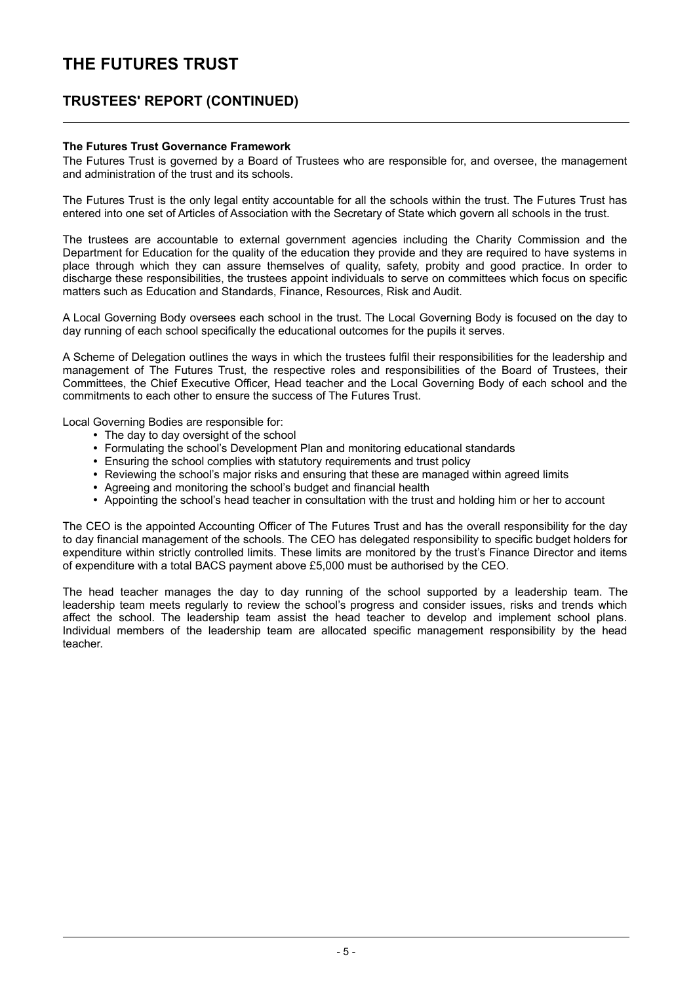### **TRUSTEES' REPORT (CONTINUED)**

#### **The Futures Trust Governance Framework**

The Futures Trust is governed by a Board of Trustees who are responsible for, and oversee, the management and administration of the trust and its schools.

The Futures Trust is the only legal entity accountable for all the schools within the trust. The Futures Trust has entered into one set of Articles of Association with the Secretary of State which govern all schools in the trust.

The trustees are accountable to external government agencies including the Charity Commission and the Department for Education for the quality of the education they provide and they are required to have systems in place through which they can assure themselves of quality, safety, probity and good practice. In order to discharge these responsibilities, the trustees appoint individuals to serve on committees which focus on specific matters such as Education and Standards, Finance, Resources, Risk and Audit.

A Local Governing Body oversees each school in the trust. The Local Governing Body is focused on the day to day running of each school specifically the educational outcomes for the pupils it serves.

A Scheme of Delegation outlines the ways in which the trustees fulfil their responsibilities for the leadership and management of The Futures Trust, the respective roles and responsibilities of the Board of Trustees, their Committees, the Chief Executive Officer, Head teacher and the Local Governing Body of each school and the commitments to each other to ensure the success of The Futures Trust.

Local Governing Bodies are responsible for:

- The day to day oversight of the school
- Formulating the school's Development Plan and monitoring educational standards
- Ensuring the school complies with statutory requirements and trust policy
- Reviewing the school's major risks and ensuring that these are managed within agreed limits
- Agreeing and monitoring the school's budget and financial health
- Appointing the school's head teacher in consultation with the trust and holding him or her to account

The CEO is the appointed Accounting Officer of The Futures Trust and has the overall responsibility for the day to day financial management of the schools. The CEO has delegated responsibility to specific budget holders for expenditure within strictly controlled limits. These limits are monitored by the trust's Finance Director and items of expenditure with a total BACS payment above £5,000 must be authorised by the CEO.

The head teacher manages the day to day running of the school supported by a leadership team. The leadership team meets regularly to review the school's progress and consider issues, risks and trends which affect the school. The leadership team assist the head teacher to develop and implement school plans. Individual members of the leadership team are allocated specific management responsibility by the head teacher.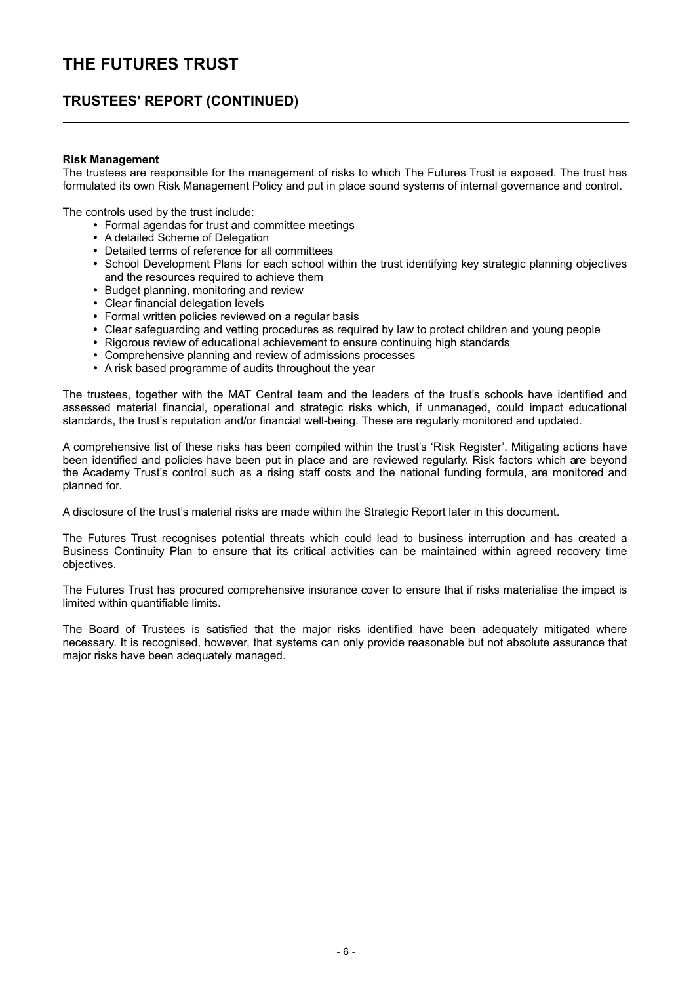### **TRUSTEES' REPORT (CONTINUED)**

#### **Risk Management**

The trustees are responsible for the management of risks to which The Futures Trust is exposed. The trust has formulated its own Risk Management Policy and put in place sound systems of internal governance and control.

The controls used by the trust include:

- Formal agendas for trust and committee meetings
- A detailed Scheme of Delegation
- Detailed terms of reference for all committees
- School Development Plans for each school within the trust identifying key strategic planning objectives and the resources required to achieve them
- Budget planning, monitoring and review
- Clear financial delegation levels
- Formal written policies reviewed on a regular basis
- Clear safeguarding and vetting procedures as required by law to protect children and young people
- Rigorous review of educational achievement to ensure continuing high standards
- Comprehensive planning and review of admissions processes
- A risk based programme of audits throughout the year

The trustees, together with the MAT Central team and the leaders of the trust's schools have identified and assessed material financial, operational and strategic risks which, if unmanaged, could impact educational standards, the trust's reputation and/or financial well-being. These are regularly monitored and updated.

A comprehensive list of these risks has been compiled within the trust's 'Risk Register'. Mitigating actions have been identified and policies have been put in place and are reviewed regularly. Risk factors which are beyond the Academy Trust's control such as a rising staff costs and the national funding formula, are monitored and planned for.

A disclosure of the trust's material risks are made within the Strategic Report later in this document.

The Futures Trust recognises potential threats which could lead to business interruption and has created a Business Continuity Plan to ensure that its critical activities can be maintained within agreed recovery time objectives.

The Futures Trust has procured comprehensive insurance cover to ensure that if risks materialise the impact is limited within quantifiable limits.

The Board of Trustees is satisfied that the major risks identified have been adequately mitigated where necessary. It is recognised, however, that systems can only provide reasonable but not absolute assurance that major risks have been adequately managed.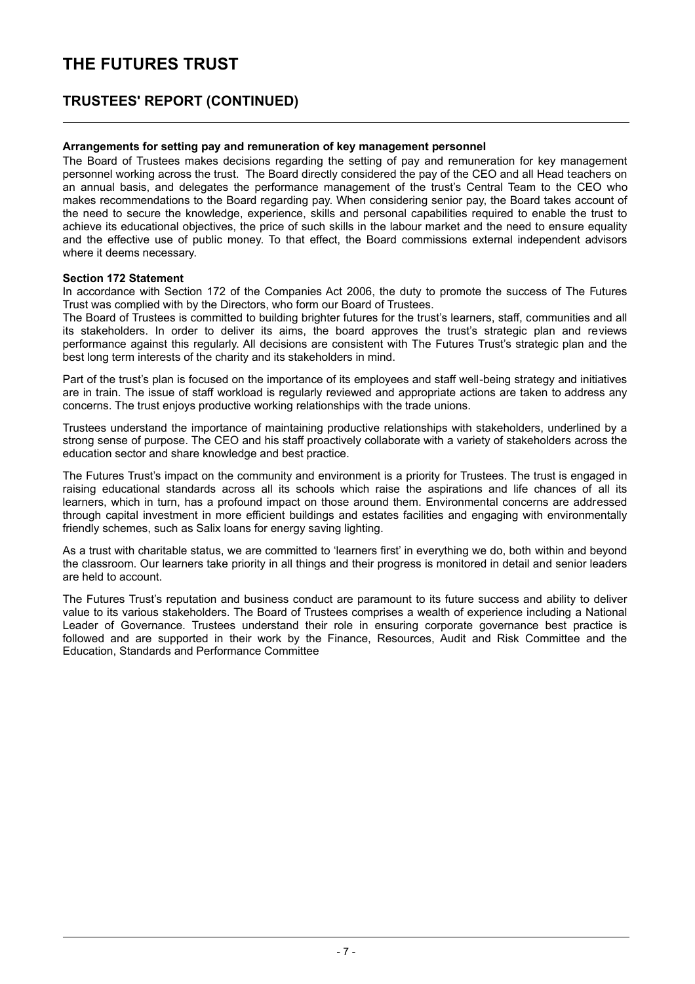### **TRUSTEES' REPORT (CONTINUED)**

#### **Arrangements for setting pay and remuneration of key management personnel**

The Board of Trustees makes decisions regarding the setting of pay and remuneration for key management personnel working across the trust. The Board directly considered the pay of the CEO and all Head teachers on an annual basis, and delegates the performance management of the trust's Central Team to the CEO who makes recommendations to the Board regarding pay. When considering senior pay, the Board takes account of the need to secure the knowledge, experience, skills and personal capabilities required to enable the trust to achieve its educational objectives, the price of such skills in the labour market and the need to ensure equality and the effective use of public money. To that effect, the Board commissions external independent advisors where it deems necessary.

#### **Section 172 Statement**

In accordance with Section 172 of the Companies Act 2006, the duty to promote the success of The Futures Trust was complied with by the Directors, who form our Board of Trustees.

The Board of Trustees is committed to building brighter futures for the trust's learners, staff, communities and all its stakeholders. In order to deliver its aims, the board approves the trust's strategic plan and reviews performance against this regularly. All decisions are consistent with The Futures Trust's strategic plan and the best long term interests of the charity and its stakeholders in mind.

Part of the trust's plan is focused on the importance of its employees and staff well-being strategy and initiatives are in train. The issue of staff workload is regularly reviewed and appropriate actions are taken to address any concerns. The trust enjoys productive working relationships with the trade unions.

Trustees understand the importance of maintaining productive relationships with stakeholders, underlined by a strong sense of purpose. The CEO and his staff proactively collaborate with a variety of stakeholders across the education sector and share knowledge and best practice.

The Futures Trust's impact on the community and environment is a priority for Trustees. The trust is engaged in raising educational standards across all its schools which raise the aspirations and life chances of all its learners, which in turn, has a profound impact on those around them. Environmental concerns are addressed through capital investment in more efficient buildings and estates facilities and engaging with environmentally friendly schemes, such as Salix loans for energy saving lighting.

As a trust with charitable status, we are committed to 'learners first' in everything we do, both within and beyond the classroom. Our learners take priority in all things and their progress is monitored in detail and senior leaders are held to account.

The Futures Trust's reputation and business conduct are paramount to its future success and ability to deliver value to its various stakeholders. The Board of Trustees comprises a wealth of experience including a National Leader of Governance. Trustees understand their role in ensuring corporate governance best practice is followed and are supported in their work by the Finance, Resources, Audit and Risk Committee and the Education, Standards and Performance Committee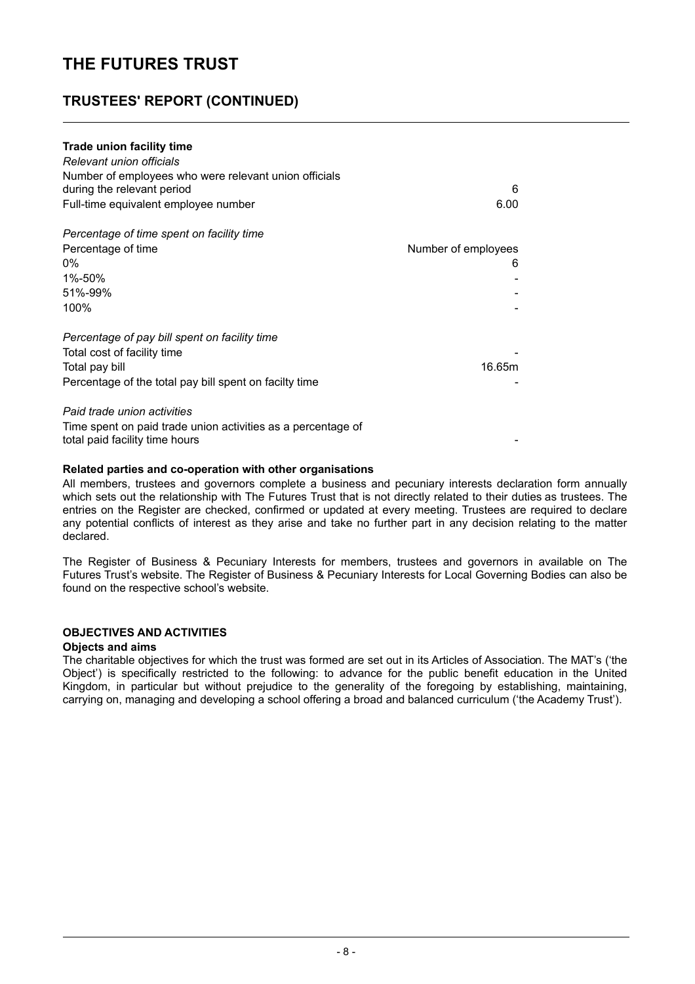### **TRUSTEES' REPORT (CONTINUED)**

| Trade union facility time<br>Relevant union officials<br>Number of employees who were relevant union officials<br>during the relevant period<br>Full-time equivalent employee number | 6<br>6.00           |  |
|--------------------------------------------------------------------------------------------------------------------------------------------------------------------------------------|---------------------|--|
| Percentage of time spent on facility time                                                                                                                                            |                     |  |
| Percentage of time                                                                                                                                                                   | Number of employees |  |
| 0%                                                                                                                                                                                   | 6                   |  |
| 1%-50%                                                                                                                                                                               |                     |  |
| 51%-99%                                                                                                                                                                              |                     |  |
| 100%                                                                                                                                                                                 |                     |  |
| Percentage of pay bill spent on facility time                                                                                                                                        |                     |  |
| Total cost of facility time                                                                                                                                                          |                     |  |
| Total pay bill                                                                                                                                                                       | 16.65m              |  |
| Percentage of the total pay bill spent on facilty time                                                                                                                               |                     |  |
| Paid trade union activities                                                                                                                                                          |                     |  |
| Time spent on paid trade union activities as a percentage of<br>total paid facility time hours                                                                                       |                     |  |

#### **Related parties and co-operation with other organisations**

All members, trustees and governors complete a business and pecuniary interests declaration form annually which sets out the relationship with The Futures Trust that is not directly related to their duties as trustees. The entries on the Register are checked, confirmed or updated at every meeting. Trustees are required to declare any potential conflicts of interest as they arise and take no further part in any decision relating to the matter declared.

The Register of Business & Pecuniary Interests for members, trustees and governors in available on The Futures Trust's website. The Register of Business & Pecuniary Interests for Local Governing Bodies can also be found on the respective school's website.

#### **OBJECTIVES AND ACTIVITIES**

#### **Objects and aims**

The charitable objectives for which the trust was formed are set out in its Articles of Association. The MAT's ('the Object') is specifically restricted to the following: to advance for the public benefit education in the United Kingdom, in particular but without prejudice to the generality of the foregoing by establishing, maintaining, carrying on, managing and developing a school offering a broad and balanced curriculum ('the Academy Trust').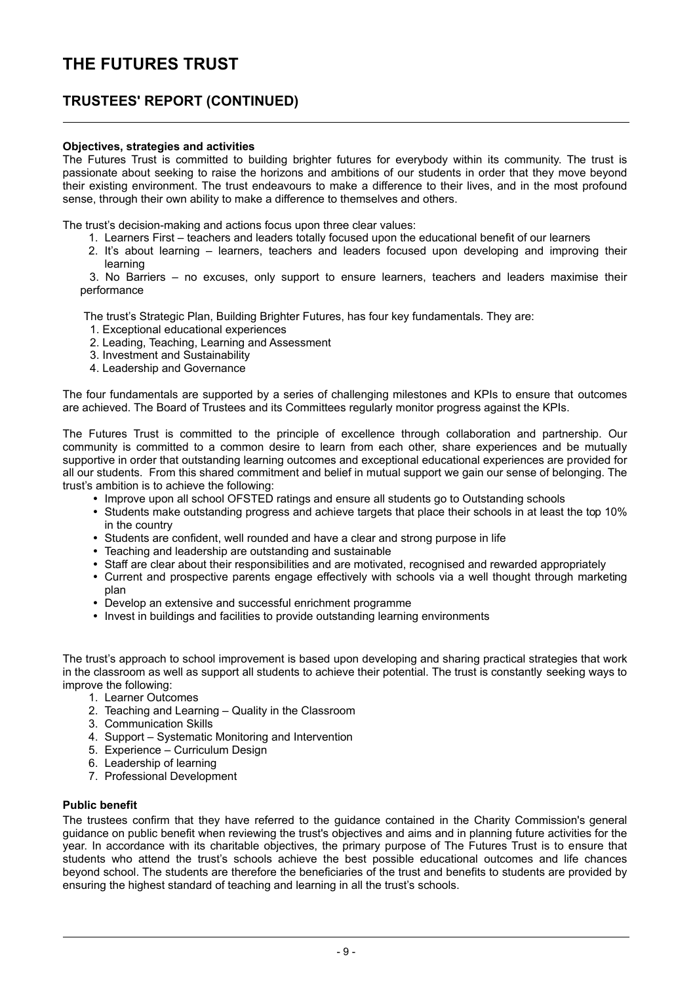### **TRUSTEES' REPORT (CONTINUED)**

#### **Objectives, strategies and activities**

The Futures Trust is committed to building brighter futures for everybody within its community. The trust is passionate about seeking to raise the horizons and ambitions of our students in order that they move beyond their existing environment. The trust endeavours to make a difference to their lives, and in the most profound sense, through their own ability to make a difference to themselves and others.

The trust's decision-making and actions focus upon three clear values:

- 1. Learners First teachers and leaders totally focused upon the educational benefit of our learners
- 2. It's about learning learners, teachers and leaders focused upon developing and improving their learning

3. No Barriers – no excuses, only support to ensure learners, teachers and leaders maximise their performance

The trust's Strategic Plan, Building Brighter Futures, has four key fundamentals. They are:

- 1. Exceptional educational experiences
- 2. Leading, Teaching, Learning and Assessment
- 3. Investment and Sustainability
- 4. Leadership and Governance

The four fundamentals are supported by a series of challenging milestones and KPIs to ensure that outcomes are achieved. The Board of Trustees and its Committees regularly monitor progress against the KPIs.

The Futures Trust is committed to the principle of excellence through collaboration and partnership. Our community is committed to a common desire to learn from each other, share experiences and be mutually supportive in order that outstanding learning outcomes and exceptional educational experiences are provided for all our students. From this shared commitment and belief in mutual support we gain our sense of belonging. The trust's ambition is to achieve the following:

- Improve upon all school OFSTED ratings and ensure all students go to Outstanding schools
- Students make outstanding progress and achieve targets that place their schools in at least the top 10% in the country
- Students are confident, well rounded and have a clear and strong purpose in life
- Teaching and leadership are outstanding and sustainable
- Staff are clear about their responsibilities and are motivated, recognised and rewarded appropriately
- Current and prospective parents engage effectively with schools via a well thought through marketing plan
- Develop an extensive and successful enrichment programme
- Invest in buildings and facilities to provide outstanding learning environments

The trust's approach to school improvement is based upon developing and sharing practical strategies that work in the classroom as well as support all students to achieve their potential. The trust is constantly seeking ways to improve the following:

- 1. Learner Outcomes
- 2. Teaching and Learning Quality in the Classroom
- 3. Communication Skills
- 4. Support Systematic Monitoring and Intervention
- 5. Experience Curriculum Design
- 6. Leadership of learning
- 7. Professional Development

#### **Public benefit**

The trustees confirm that they have referred to the guidance contained in the Charity Commission's general guidance on public benefit when reviewing the trust's objectives and aims and in planning future activities for the year. In accordance with its charitable objectives, the primary purpose of The Futures Trust is to ensure that students who attend the trust's schools achieve the best possible educational outcomes and life chances beyond school. The students are therefore the beneficiaries of the trust and benefits to students are provided by ensuring the highest standard of teaching and learning in all the trust's schools.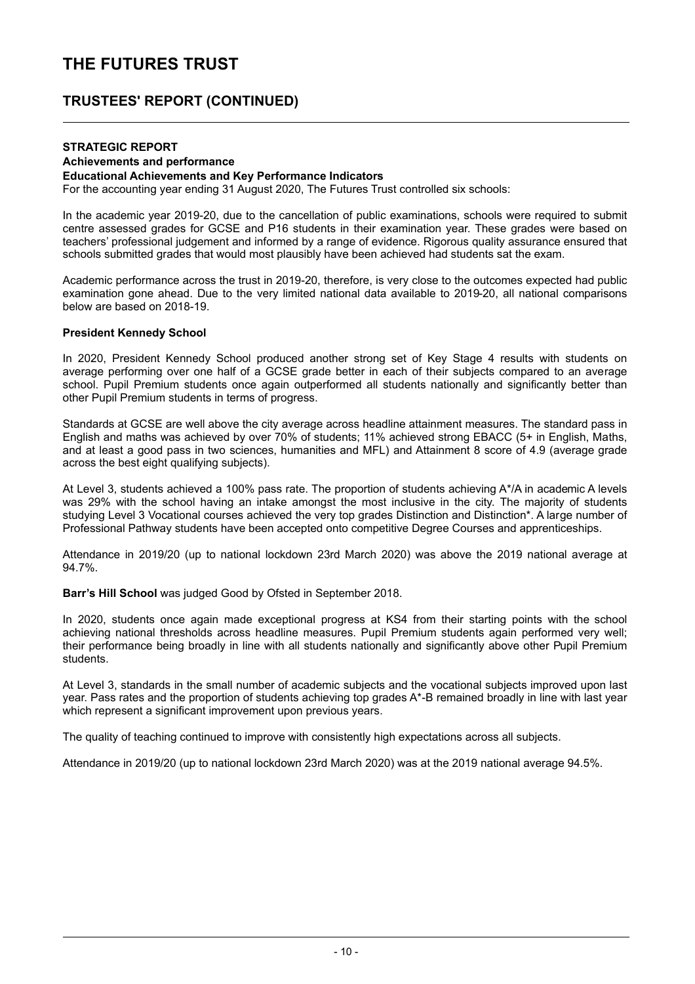### **TRUSTEES' REPORT (CONTINUED)**

#### **STRATEGIC REPORT Achievements and performance**

#### **Educational Achievements and Key Performance Indicators**

For the accounting year ending 31 August 2020, The Futures Trust controlled six schools:

In the academic year 2019-20, due to the cancellation of public examinations, schools were required to submit centre assessed grades for GCSE and P16 students in their examination year. These grades were based on teachers' professional judgement and informed by a range of evidence. Rigorous quality assurance ensured that schools submitted grades that would most plausibly have been achieved had students sat the exam.

Academic performance across the trust in 2019-20, therefore, is very close to the outcomes expected had public examination gone ahead. Due to the very limited national data available to 2019-20, all national comparisons below are based on 2018-19.

#### **President Kennedy School**

In 2020, President Kennedy School produced another strong set of Key Stage 4 results with students on average performing over one half of a GCSE grade better in each of their subjects compared to an average school. Pupil Premium students once again outperformed all students nationally and significantly better than other Pupil Premium students in terms of progress.

Standards at GCSE are well above the city average across headline attainment measures. The standard pass in English and maths was achieved by over 70% of students; 11% achieved strong EBACC (5+ in English, Maths, and at least a good pass in two sciences, humanities and MFL) and Attainment 8 score of 4.9 (average grade across the best eight qualifying subjects).

At Level 3, students achieved a 100% pass rate. The proportion of students achieving A\*/A in academic A levels was 29% with the school having an intake amongst the most inclusive in the city. The majority of students studying Level 3 Vocational courses achieved the very top grades Distinction and Distinction\*. A large number of Professional Pathway students have been accepted onto competitive Degree Courses and apprenticeships.

Attendance in 2019/20 (up to national lockdown 23rd March 2020) was above the 2019 national average at 94.7%.

**Barr's Hill School** was judged Good by Ofsted in September 2018.

In 2020, students once again made exceptional progress at KS4 from their starting points with the school achieving national thresholds across headline measures. Pupil Premium students again performed very well; their performance being broadly in line with all students nationally and significantly above other Pupil Premium students.

At Level 3, standards in the small number of academic subjects and the vocational subjects improved upon last year. Pass rates and the proportion of students achieving top grades A\*-B remained broadly in line with last year which represent a significant improvement upon previous years.

The quality of teaching continued to improve with consistently high expectations across all subjects.

Attendance in 2019/20 (up to national lockdown 23rd March 2020) was at the 2019 national average 94.5%.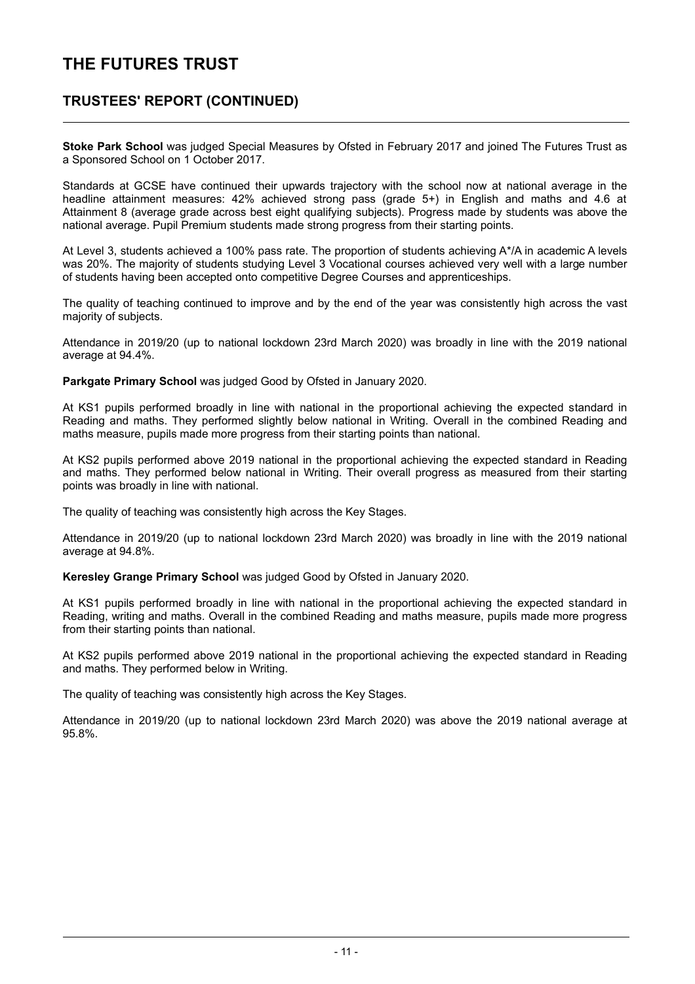### **TRUSTEES' REPORT (CONTINUED)**

**Stoke Park School** was judged Special Measures by Ofsted in February 2017 and joined The Futures Trust as a Sponsored School on 1 October 2017.

Standards at GCSE have continued their upwards trajectory with the school now at national average in the headline attainment measures: 42% achieved strong pass (grade 5+) in English and maths and 4.6 at Attainment 8 (average grade across best eight qualifying subjects). Progress made by students was above the national average. Pupil Premium students made strong progress from their starting points.

At Level 3, students achieved a 100% pass rate. The proportion of students achieving A\*/A in academic A levels was 20%. The majority of students studying Level 3 Vocational courses achieved very well with a large number of students having been accepted onto competitive Degree Courses and apprenticeships.

The quality of teaching continued to improve and by the end of the year was consistently high across the vast majority of subjects.

Attendance in 2019/20 (up to national lockdown 23rd March 2020) was broadly in line with the 2019 national average at 94.4%.

**Parkgate Primary School** was judged Good by Ofsted in January 2020.

At KS1 pupils performed broadly in line with national in the proportional achieving the expected standard in Reading and maths. They performed slightly below national in Writing. Overall in the combined Reading and maths measure, pupils made more progress from their starting points than national.

At KS2 pupils performed above 2019 national in the proportional achieving the expected standard in Reading and maths. They performed below national in Writing. Their overall progress as measured from their starting points was broadly in line with national.

The quality of teaching was consistently high across the Key Stages.

Attendance in 2019/20 (up to national lockdown 23rd March 2020) was broadly in line with the 2019 national average at 94.8%.

**Keresley Grange Primary School** was judged Good by Ofsted in January 2020.

At KS1 pupils performed broadly in line with national in the proportional achieving the expected standard in Reading, writing and maths. Overall in the combined Reading and maths measure, pupils made more progress from their starting points than national.

At KS2 pupils performed above 2019 national in the proportional achieving the expected standard in Reading and maths. They performed below in Writing.

The quality of teaching was consistently high across the Key Stages.

Attendance in 2019/20 (up to national lockdown 23rd March 2020) was above the 2019 national average at 95.8%.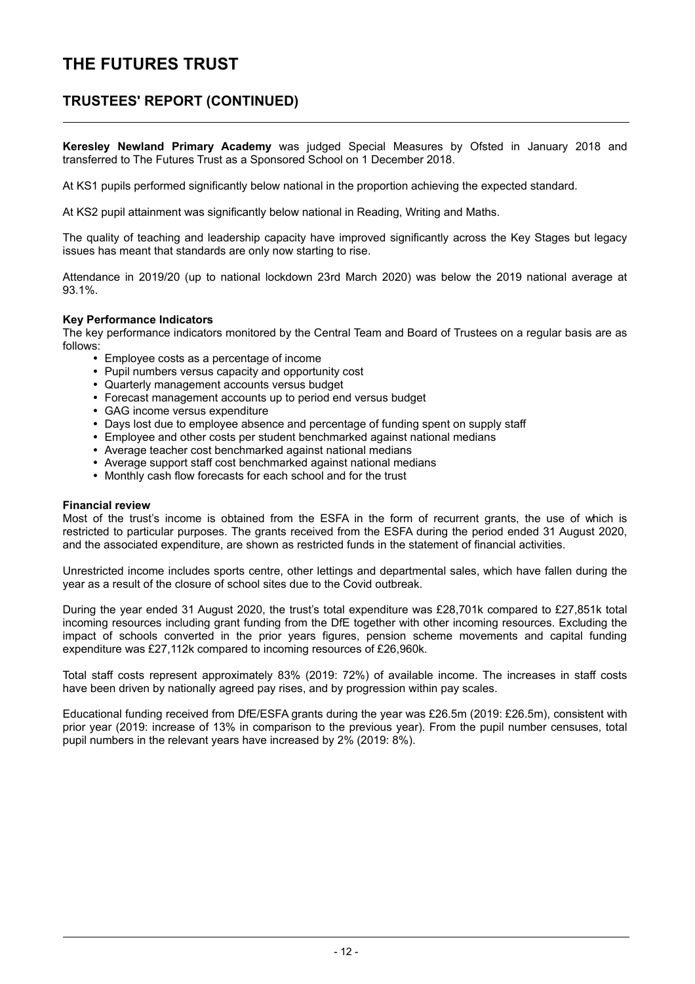### **TRUSTEES' REPORT (CONTINUED)**

**Keresley Newland Primary Academy** was judged Special Measures by Ofsted in January 2018 and transferred to The Futures Trust as a Sponsored School on 1 December 2018.

At KS1 pupils performed significantly below national in the proportion achieving the expected standard.

At KS2 pupil attainment was significantly below national in Reading, Writing and Maths.

The quality of teaching and leadership capacity have improved significantly across the Key Stages but legacy issues has meant that standards are only now starting to rise.

Attendance in 2019/20 (up to national lockdown 23rd March 2020) was below the 2019 national average at 93.1%.

#### **Key Performance Indicators**

The key performance indicators monitored by the Central Team and Board of Trustees on a regular basis are as follows:

- Employee costs as a percentage of income
- Pupil numbers versus capacity and opportunity cost
- Quarterly management accounts versus budget
- Forecast management accounts up to period end versus budget
- GAG income versus expenditure
- Days lost due to employee absence and percentage of funding spent on supply staff
- Employee and other costs per student benchmarked against national medians
- Average teacher cost benchmarked against national medians
- Average support staff cost benchmarked against national medians
- Monthly cash flow forecasts for each school and for the trust

#### **Financial review**

Most of the trust's income is obtained from the ESFA in the form of recurrent grants, the use of which is restricted to particular purposes. The grants received from the ESFA during the period ended 31 August 2020, and the associated expenditure, are shown as restricted funds in the statement of financial activities.

Unrestricted income includes sports centre, other lettings and departmental sales, which have fallen during the year as a result of the closure of school sites due to the Covid outbreak.

During the year ended 31 August 2020, the trust's total expenditure was £28,701k compared to £27,851k total incoming resources including grant funding from the DfE together with other incoming resources. Excluding the impact of schools converted in the prior years figures, pension scheme movements and capital funding expenditure was £27,112k compared to incoming resources of £26,960k.

Total staff costs represent approximately 83% (2019: 72%) of available income. The increases in staff costs have been driven by nationally agreed pay rises, and by progression within pay scales.

Educational funding received from DfE/ESFA grants during the year was £26.5m (2019: £26.5m), consistent with prior year (2019: increase of 13% in comparison to the previous year). From the pupil number censuses, total pupil numbers in the relevant years have increased by 2% (2019: 8%).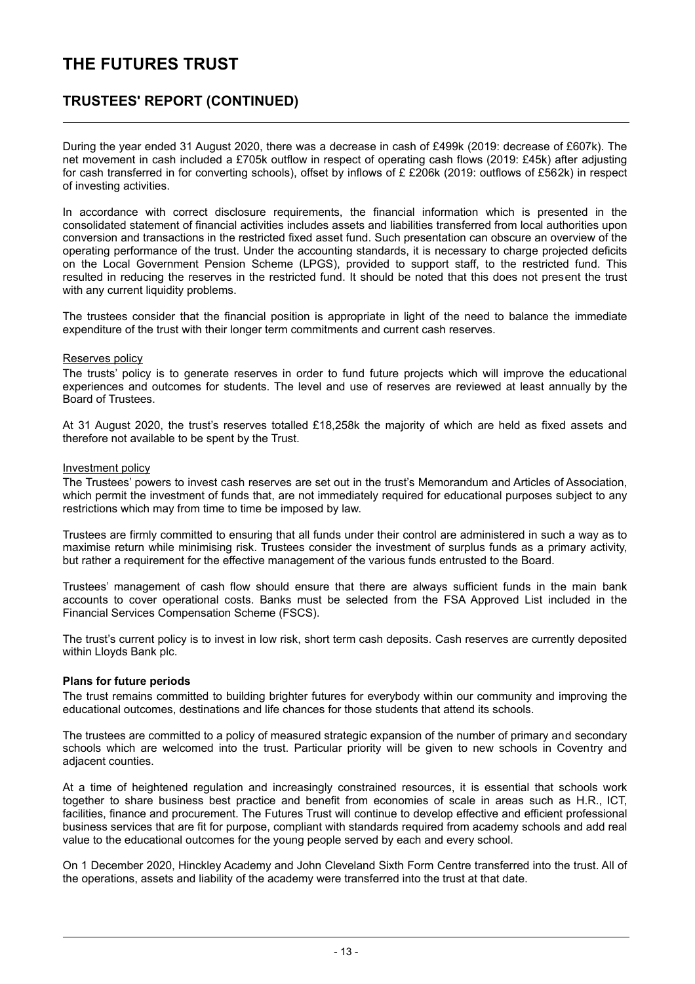### **TRUSTEES' REPORT (CONTINUED)**

During the year ended 31 August 2020, there was a decrease in cash of £499k (2019: decrease of £607k). The net movement in cash included a £705k outflow in respect of operating cash flows (2019: £45k) after adjusting for cash transferred in for converting schools), offset by inflows of £ £206k (2019: outflows of £562k) in respect of investing activities.

In accordance with correct disclosure requirements, the financial information which is presented in the consolidated statement of financial activities includes assets and liabilities transferred from local authorities upon conversion and transactions in the restricted fixed asset fund. Such presentation can obscure an overview of the operating performance of the trust. Under the accounting standards, it is necessary to charge projected deficits on the Local Government Pension Scheme (LPGS), provided to support staff, to the restricted fund. This resulted in reducing the reserves in the restricted fund. It should be noted that this does not present the trust with any current liquidity problems.

The trustees consider that the financial position is appropriate in light of the need to balance the immediate expenditure of the trust with their longer term commitments and current cash reserves.

#### Reserves policy

The trusts' policy is to generate reserves in order to fund future projects which will improve the educational experiences and outcomes for students. The level and use of reserves are reviewed at least annually by the Board of Trustees.

At 31 August 2020, the trust's reserves totalled £18,258k the majority of which are held as fixed assets and therefore not available to be spent by the Trust.

#### Investment policy

The Trustees' powers to invest cash reserves are set out in the trust's Memorandum and Articles of Association, which permit the investment of funds that, are not immediately required for educational purposes subject to any restrictions which may from time to time be imposed by law.

Trustees are firmly committed to ensuring that all funds under their control are administered in such a way as to maximise return while minimising risk. Trustees consider the investment of surplus funds as a primary activity, but rather a requirement for the effective management of the various funds entrusted to the Board.

Trustees' management of cash flow should ensure that there are always sufficient funds in the main bank accounts to cover operational costs. Banks must be selected from the FSA Approved List included in the Financial Services Compensation Scheme (FSCS).

The trust's current policy is to invest in low risk, short term cash deposits. Cash reserves are currently deposited within Lloyds Bank plc.

#### **Plans for future periods**

The trust remains committed to building brighter futures for everybody within our community and improving the educational outcomes, destinations and life chances for those students that attend its schools.

The trustees are committed to a policy of measured strategic expansion of the number of primary and secondary schools which are welcomed into the trust. Particular priority will be given to new schools in Coventry and adjacent counties.

At a time of heightened regulation and increasingly constrained resources, it is essential that schools work together to share business best practice and benefit from economies of scale in areas such as H.R., ICT, facilities, finance and procurement. The Futures Trust will continue to develop effective and efficient professional business services that are fit for purpose, compliant with standards required from academy schools and add real value to the educational outcomes for the young people served by each and every school.

On 1 December 2020, Hinckley Academy and John Cleveland Sixth Form Centre transferred into the trust. All of the operations, assets and liability of the academy were transferred into the trust at that date.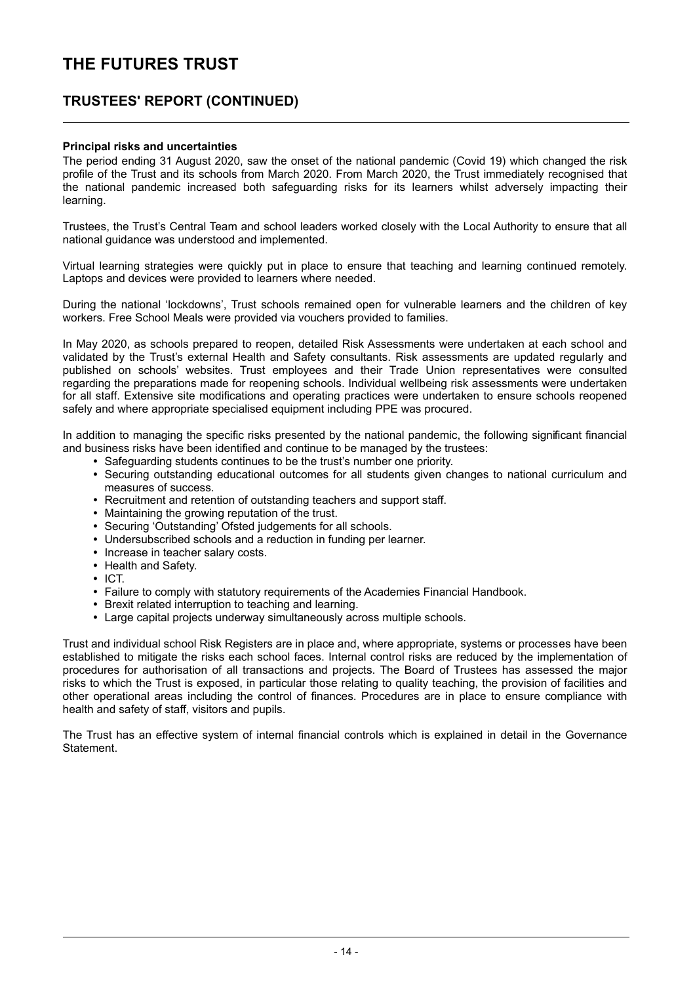### **TRUSTEES' REPORT (CONTINUED)**

#### **Principal risks and uncertainties**

The period ending 31 August 2020, saw the onset of the national pandemic (Covid 19) which changed the risk profile of the Trust and its schools from March 2020. From March 2020, the Trust immediately recognised that the national pandemic increased both safeguarding risks for its learners whilst adversely impacting their learning.

Trustees, the Trust's Central Team and school leaders worked closely with the Local Authority to ensure that all national guidance was understood and implemented.

Virtual learning strategies were quickly put in place to ensure that teaching and learning continued remotely. Laptops and devices were provided to learners where needed.

During the national 'lockdowns', Trust schools remained open for vulnerable learners and the children of key workers. Free School Meals were provided via vouchers provided to families.

In May 2020, as schools prepared to reopen, detailed Risk Assessments were undertaken at each school and validated by the Trust's external Health and Safety consultants. Risk assessments are updated regularly and published on schools' websites. Trust employees and their Trade Union representatives were consulted regarding the preparations made for reopening schools. Individual wellbeing risk assessments were undertaken for all staff. Extensive site modifications and operating practices were undertaken to ensure schools reopened safely and where appropriate specialised equipment including PPE was procured.

In addition to managing the specific risks presented by the national pandemic, the following significant financial and business risks have been identified and continue to be managed by the trustees:

- Safeguarding students continues to be the trust's number one priority.
- Securing outstanding educational outcomes for all students given changes to national curriculum and measures of success.
- Recruitment and retention of outstanding teachers and support staff.
- Maintaining the growing reputation of the trust.
- Securing 'Outstanding' Ofsted judgements for all schools.
- Undersubscribed schools and a reduction in funding per learner.
- Increase in teacher salary costs.
- Health and Safety.
- $\cdot$  ICT.
- Failure to comply with statutory requirements of the Academies Financial Handbook.
- Brexit related interruption to teaching and learning.
- Large capital projects underway simultaneously across multiple schools.

Trust and individual school Risk Registers are in place and, where appropriate, systems or processes have been established to mitigate the risks each school faces. Internal control risks are reduced by the implementation of procedures for authorisation of all transactions and projects. The Board of Trustees has assessed the major risks to which the Trust is exposed, in particular those relating to quality teaching, the provision of facilities and other operational areas including the control of finances. Procedures are in place to ensure compliance with health and safety of staff, visitors and pupils.

The Trust has an effective system of internal financial controls which is explained in detail in the Governance Statement.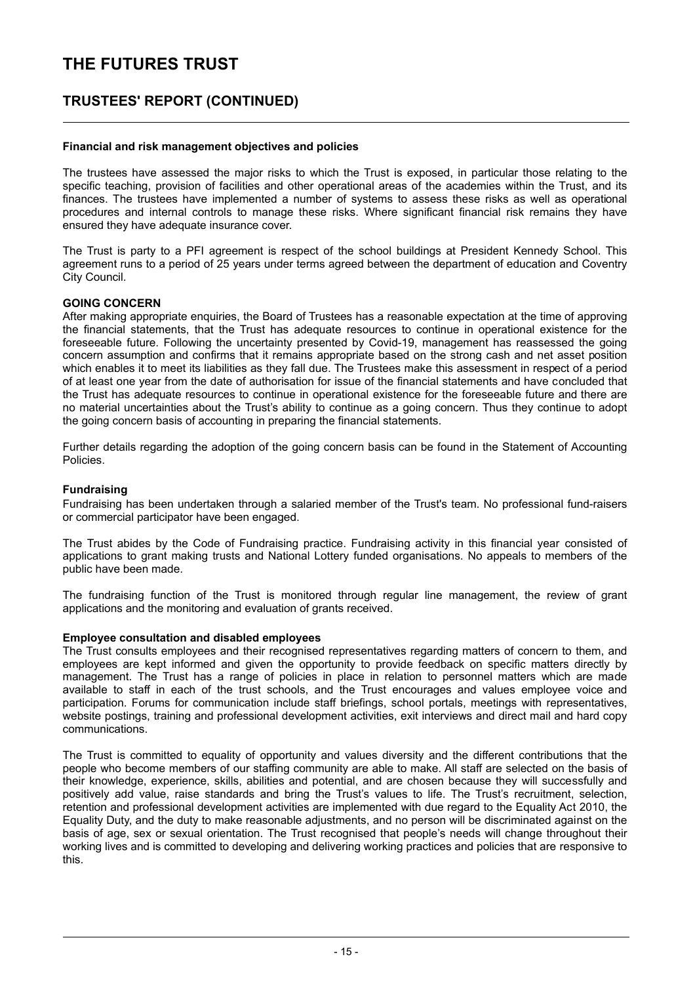### **TRUSTEES' REPORT (CONTINUED)**

#### **Financial and risk management objectives and policies**

The trustees have assessed the major risks to which the Trust is exposed, in particular those relating to the specific teaching, provision of facilities and other operational areas of the academies within the Trust, and its finances. The trustees have implemented a number of systems to assess these risks as well as operational procedures and internal controls to manage these risks. Where significant financial risk remains they have ensured they have adequate insurance cover.

The Trust is party to a PFI agreement is respect of the school buildings at President Kennedy School. This agreement runs to a period of 25 years under terms agreed between the department of education and Coventry City Council.

#### **GOING CONCERN**

After making appropriate enquiries, the Board of Trustees has a reasonable expectation at the time of approving the financial statements, that the Trust has adequate resources to continue in operational existence for the foreseeable future. Following the uncertainty presented by Covid-19, management has reassessed the going concern assumption and confirms that it remains appropriate based on the strong cash and net asset position which enables it to meet its liabilities as they fall due. The Trustees make this assessment in respect of a period of at least one year from the date of authorisation for issue of the financial statements and have concluded that the Trust has adequate resources to continue in operational existence for the foreseeable future and there are no material uncertainties about the Trust's ability to continue as a going concern. Thus they continue to adopt the going concern basis of accounting in preparing the financial statements.

Further details regarding the adoption of the going concern basis can be found in the Statement of Accounting Policies.

#### **Fundraising**

Fundraising has been undertaken through a salaried member of the Trust's team. No professional fund-raisers or commercial participator have been engaged.

The Trust abides by the Code of Fundraising practice. Fundraising activity in this financial year consisted of applications to grant making trusts and National Lottery funded organisations. No appeals to members of the public have been made.

The fundraising function of the Trust is monitored through regular line management, the review of grant applications and the monitoring and evaluation of grants received.

#### **Employee consultation and disabled employees**

The Trust consults employees and their recognised representatives regarding matters of concern to them, and employees are kept informed and given the opportunity to provide feedback on specific matters directly by management. The Trust has a range of policies in place in relation to personnel matters which are made available to staff in each of the trust schools, and the Trust encourages and values employee voice and participation. Forums for communication include staff briefings, school portals, meetings with representatives, website postings, training and professional development activities, exit interviews and direct mail and hard copy communications.

The Trust is committed to equality of opportunity and values diversity and the different contributions that the people who become members of our staffing community are able to make. All staff are selected on the basis of their knowledge, experience, skills, abilities and potential, and are chosen because they will successfully and positively add value, raise standards and bring the Trust's values to life. The Trust's recruitment, selection, retention and professional development activities are implemented with due regard to the Equality Act 2010, the Equality Duty, and the duty to make reasonable adjustments, and no person will be discriminated against on the basis of age, sex or sexual orientation. The Trust recognised that people's needs will change throughout their working lives and is committed to developing and delivering working practices and policies that are responsive to this.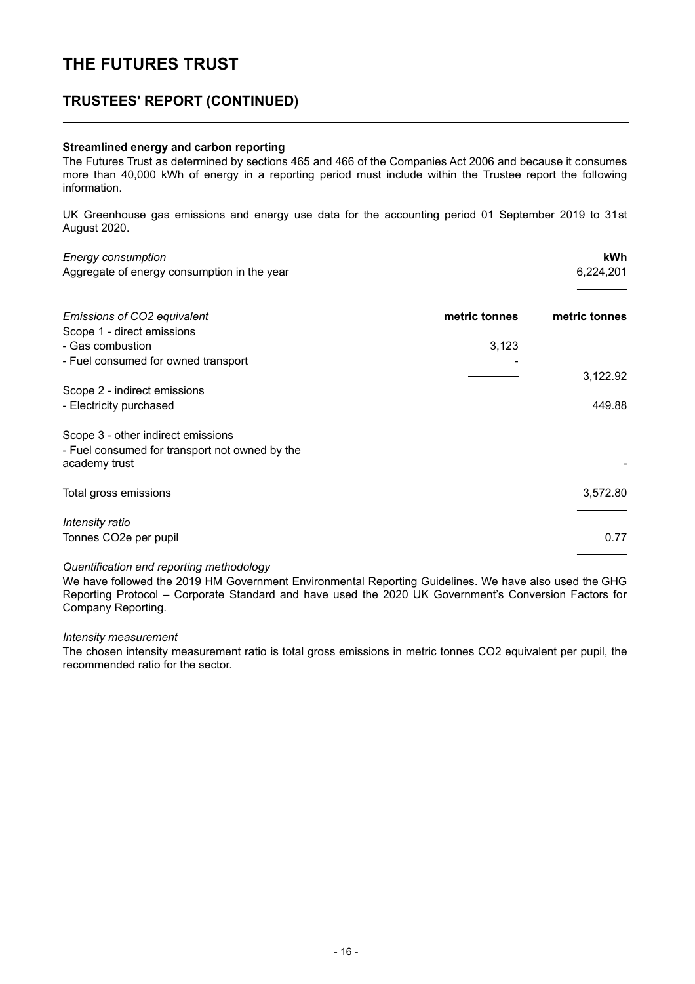### **TRUSTEES' REPORT (CONTINUED)**

#### **Streamlined energy and carbon reporting**

The Futures Trust as determined by sections 465 and 466 of the Companies Act 2006 and because it consumes more than 40,000 kWh of energy in a reporting period must include within the Trustee report the following information.

UK Greenhouse gas emissions and energy use data for the accounting period 01 September 2019 to 31st August 2020.

| <b>Energy consumption</b>                      |               | kWh           |
|------------------------------------------------|---------------|---------------|
| Aggregate of energy consumption in the year    |               | 6,224,201     |
| Emissions of CO2 equivalent                    | metric tonnes | metric tonnes |
| Scope 1 - direct emissions<br>- Gas combustion | 3,123         |               |
| - Fuel consumed for owned transport            |               |               |
|                                                |               | 3,122.92      |
| Scope 2 - indirect emissions                   |               | 449.88        |
| - Electricity purchased                        |               |               |
| Scope 3 - other indirect emissions             |               |               |
| - Fuel consumed for transport not owned by the |               |               |
| academy trust                                  |               |               |
| Total gross emissions                          |               | 3,572.80      |
|                                                |               |               |
| Intensity ratio<br>Tonnes CO2e per pupil       |               | 0.77          |
|                                                |               |               |
|                                                |               |               |

#### *Quantification and reporting methodology*

We have followed the 2019 HM Government Environmental Reporting Guidelines. We have also used the GHG Reporting Protocol – Corporate Standard and have used the 2020 UK Government's Conversion Factors for Company Reporting.

#### *Intensity measurement*

The chosen intensity measurement ratio is total gross emissions in metric tonnes CO2 equivalent per pupil, the recommended ratio for the sector.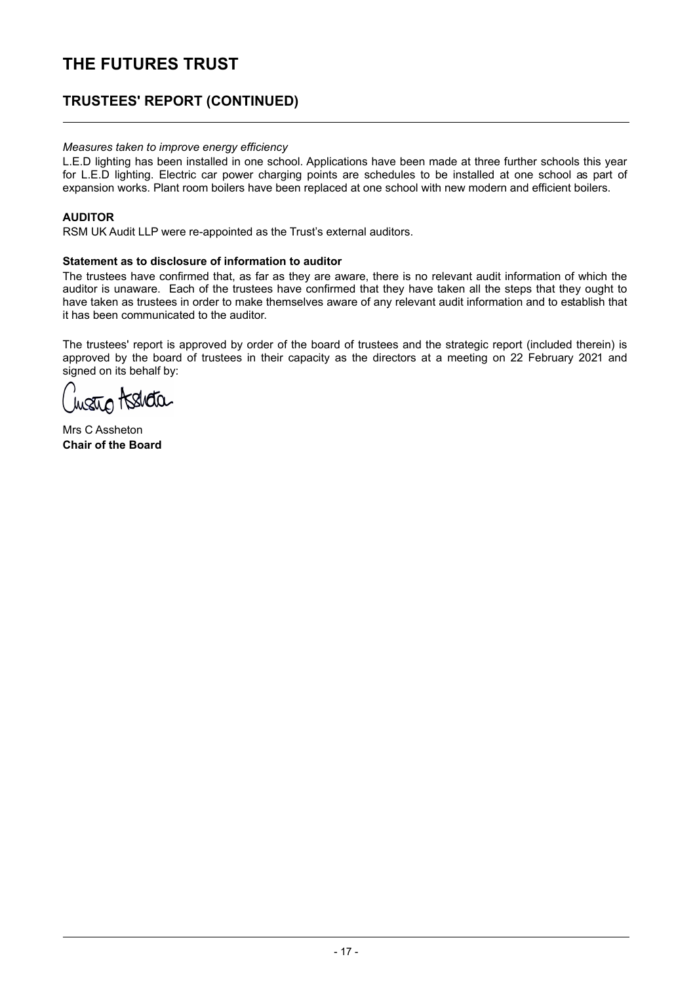### **TRUSTEES' REPORT (CONTINUED)**

#### *Measures taken to improve energy efficiency*

L.E.D lighting has been installed in one school. Applications have been made at three further schools this year for L.E.D lighting. Electric car power charging points are schedules to be installed at one school as part of expansion works. Plant room boilers have been replaced at one school with new modern and efficient boilers.

#### **AUDITOR**

RSM UK Audit LLP were re-appointed as the Trust's external auditors.

#### **Statement as to disclosure of information to auditor**

The trustees have confirmed that, as far as they are aware, there is no relevant audit information of which the auditor is unaware. Each of the trustees have confirmed that they have taken all the steps that they ought to have taken as trustees in order to make themselves aware of any relevant audit information and to establish that it has been communicated to the auditor.

The trustees' report is approved by order of the board of trustees and the strategic report (included therein) is approved by the board of trustees in their capacity as the directors at a meeting on 22 February 2021 and signed on its behalf by:

shqa

Mrs C Assheton **Chair of the Board**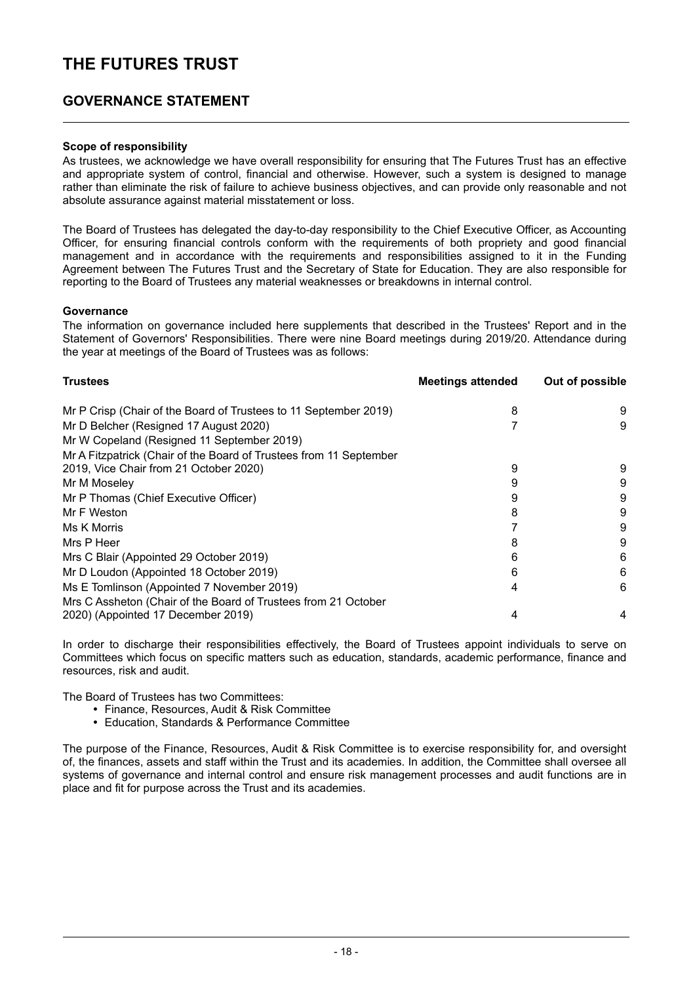### **GOVERNANCE STATEMENT**

#### **Scope of responsibility**

As trustees, we acknowledge we have overall responsibility for ensuring that The Futures Trust has an effective and appropriate system of control, financial and otherwise. However, such a system is designed to manage rather than eliminate the risk of failure to achieve business objectives, and can provide only reasonable and not absolute assurance against material misstatement or loss.

The Board of Trustees has delegated the day-to-day responsibility to the Chief Executive Officer, as Accounting Officer, for ensuring financial controls conform with the requirements of both propriety and good financial management and in accordance with the requirements and responsibilities assigned to it in the Funding Agreement between The Futures Trust and the Secretary of State for Education. They are also responsible for reporting to the Board of Trustees any material weaknesses or breakdowns in internal control.

#### **Governance**

The information on governance included here supplements that described in the Trustees' Report and in the Statement of Governors' Responsibilities. There were nine Board meetings during 2019/20. Attendance during the year at meetings of the Board of Trustees was as follows:

| <b>Trustees</b>                                                    | <b>Meetings attended</b> | Out of possible |
|--------------------------------------------------------------------|--------------------------|-----------------|
| Mr P Crisp (Chair of the Board of Trustees to 11 September 2019)   | 8                        | 9               |
| Mr D Belcher (Resigned 17 August 2020)                             |                          | 9               |
| Mr W Copeland (Resigned 11 September 2019)                         |                          |                 |
| Mr A Fitzpatrick (Chair of the Board of Trustees from 11 September |                          |                 |
| 2019, Vice Chair from 21 October 2020)                             | 9                        | 9               |
| Mr M Moseley                                                       |                          | 9               |
| Mr P Thomas (Chief Executive Officer)                              |                          | 9               |
| Mr F Weston                                                        |                          | 9               |
| Ms K Morris                                                        |                          | 9               |
| Mrs P Heer                                                         |                          | 9               |
| Mrs C Blair (Appointed 29 October 2019)                            |                          | 6               |
| Mr D Loudon (Appointed 18 October 2019)                            | 6                        | 6               |
| Ms E Tomlinson (Appointed 7 November 2019)                         |                          | 6               |
| Mrs C Assheton (Chair of the Board of Trustees from 21 October     |                          |                 |
| 2020) (Appointed 17 December 2019)                                 |                          | 4               |

In order to discharge their responsibilities effectively, the Board of Trustees appoint individuals to serve on Committees which focus on specific matters such as education, standards, academic performance, finance and resources, risk and audit.

The Board of Trustees has two Committees:

- y Finance, Resources, Audit & Risk Committee
- y Education, Standards & Performance Committee

The purpose of the Finance, Resources, Audit & Risk Committee is to exercise responsibility for, and oversight of, the finances, assets and staff within the Trust and its academies. In addition, the Committee shall oversee all systems of governance and internal control and ensure risk management processes and audit functions are in place and fit for purpose across the Trust and its academies.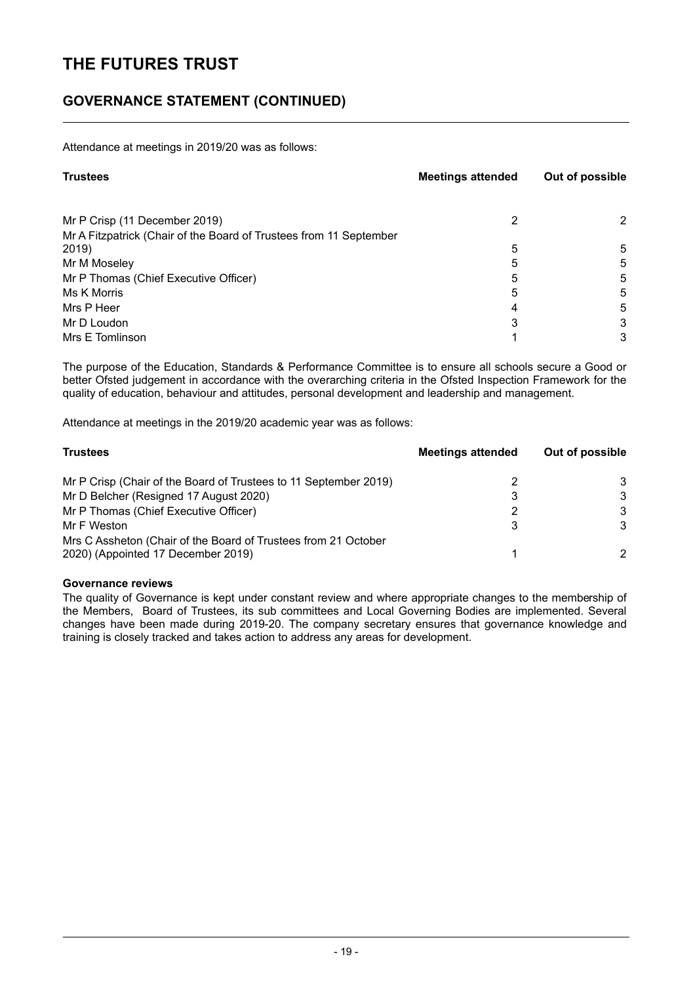### **GOVERNANCE STATEMENT (CONTINUED)**

Attendance at meetings in 2019/20 was as follows:

| <b>Trustees</b>                                                    | <b>Meetings attended</b> | Out of possible |  |
|--------------------------------------------------------------------|--------------------------|-----------------|--|
| Mr P Crisp (11 December 2019)                                      | 2                        | 2               |  |
| Mr A Fitzpatrick (Chair of the Board of Trustees from 11 September |                          |                 |  |
| 2019)                                                              | 5                        | 5               |  |
| Mr M Moseley                                                       | 5                        | 5               |  |
| Mr P Thomas (Chief Executive Officer)                              | 5                        | 5               |  |
| Ms K Morris                                                        | 5                        | 5               |  |
| Mrs P Heer                                                         | 4                        | 5               |  |
| Mr D Loudon                                                        | 3                        | 3               |  |
| Mrs E Tomlinson                                                    |                          | 3               |  |

The purpose of the Education, Standards & Performance Committee is to ensure all schools secure a Good or better Ofsted judgement in accordance with the overarching criteria in the Ofsted Inspection Framework for the quality of education, behaviour and attitudes, personal development and leadership and management.

Attendance at meetings in the 2019/20 academic year was as follows:

| <b>Trustees</b>                                                                                      | <b>Meetings attended</b> | Out of possible |
|------------------------------------------------------------------------------------------------------|--------------------------|-----------------|
| Mr P Crisp (Chair of the Board of Trustees to 11 September 2019)                                     |                          | 3               |
| Mr D Belcher (Resigned 17 August 2020)                                                               | 3                        | 3               |
| Mr P Thomas (Chief Executive Officer)                                                                | 2                        | 3               |
| Mr F Weston                                                                                          | 3                        | 3               |
| Mrs C Assheton (Chair of the Board of Trustees from 21 October<br>2020) (Appointed 17 December 2019) |                          |                 |

#### **Governance reviews**

The quality of Governance is kept under constant review and where appropriate changes to the membership of the Members, Board of Trustees, its sub committees and Local Governing Bodies are implemented. Several changes have been made during 2019-20. The company secretary ensures that governance knowledge and training is closely tracked and takes action to address any areas for development.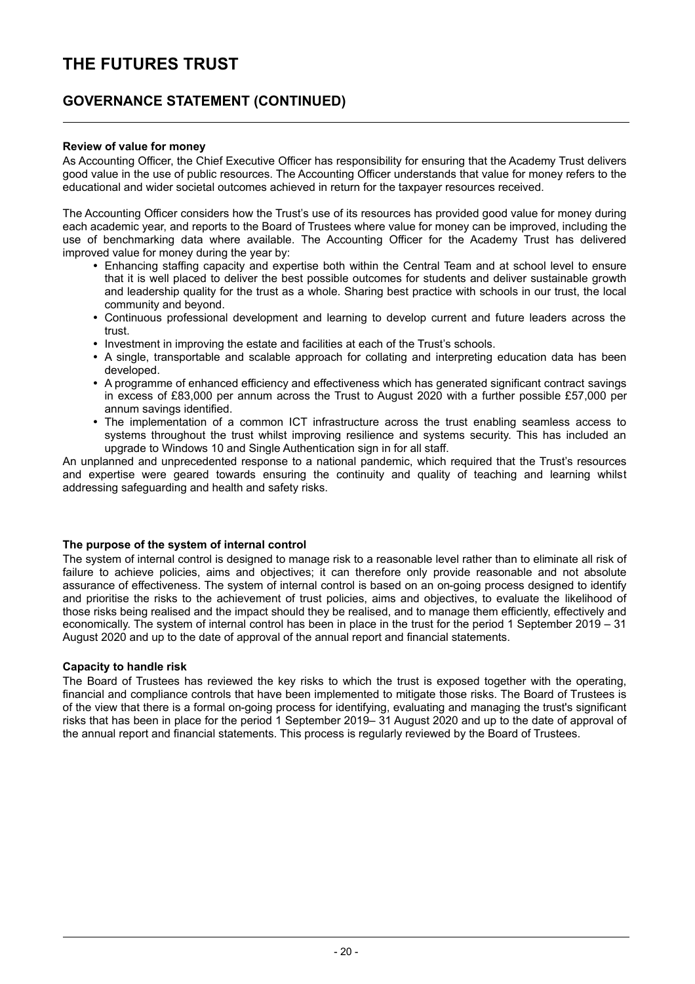### **GOVERNANCE STATEMENT (CONTINUED)**

#### **Review of value for money**

As Accounting Officer, the Chief Executive Officer has responsibility for ensuring that the Academy Trust delivers good value in the use of public resources. The Accounting Officer understands that value for money refers to the educational and wider societal outcomes achieved in return for the taxpayer resources received.

The Accounting Officer considers how the Trust's use of its resources has provided good value for money during each academic year, and reports to the Board of Trustees where value for money can be improved, including the use of benchmarking data where available. The Accounting Officer for the Academy Trust has delivered improved value for money during the year by:

- Enhancing staffing capacity and expertise both within the Central Team and at school level to ensure that it is well placed to deliver the best possible outcomes for students and deliver sustainable growth and leadership quality for the trust as a whole. Sharing best practice with schools in our trust, the local community and beyond.
- Continuous professional development and learning to develop current and future leaders across the trust.
- Investment in improving the estate and facilities at each of the Trust's schools.
- A single, transportable and scalable approach for collating and interpreting education data has been developed.
- A programme of enhanced efficiency and effectiveness which has generated significant contract savings in excess of £83,000 per annum across the Trust to August 2020 with a further possible £57,000 per annum savings identified.
- The implementation of a common ICT infrastructure across the trust enabling seamless access to systems throughout the trust whilst improving resilience and systems security. This has included an upgrade to Windows 10 and Single Authentication sign in for all staff.

An unplanned and unprecedented response to a national pandemic, which required that the Trust's resources and expertise were geared towards ensuring the continuity and quality of teaching and learning whilst addressing safeguarding and health and safety risks.

#### **The purpose of the system of internal control**

The system of internal control is designed to manage risk to a reasonable level rather than to eliminate all risk of failure to achieve policies, aims and objectives; it can therefore only provide reasonable and not absolute assurance of effectiveness. The system of internal control is based on an on-going process designed to identify and prioritise the risks to the achievement of trust policies, aims and objectives, to evaluate the likelihood of those risks being realised and the impact should they be realised, and to manage them efficiently, effectively and economically. The system of internal control has been in place in the trust for the period 1 September 2019 – 31 August 2020 and up to the date of approval of the annual report and financial statements.

#### **Capacity to handle risk**

The Board of Trustees has reviewed the key risks to which the trust is exposed together with the operating, financial and compliance controls that have been implemented to mitigate those risks. The Board of Trustees is of the view that there is a formal on-going process for identifying, evaluating and managing the trust's significant risks that has been in place for the period 1 September 2019– 31 August 2020 and up to the date of approval of the annual report and financial statements. This process is regularly reviewed by the Board of Trustees.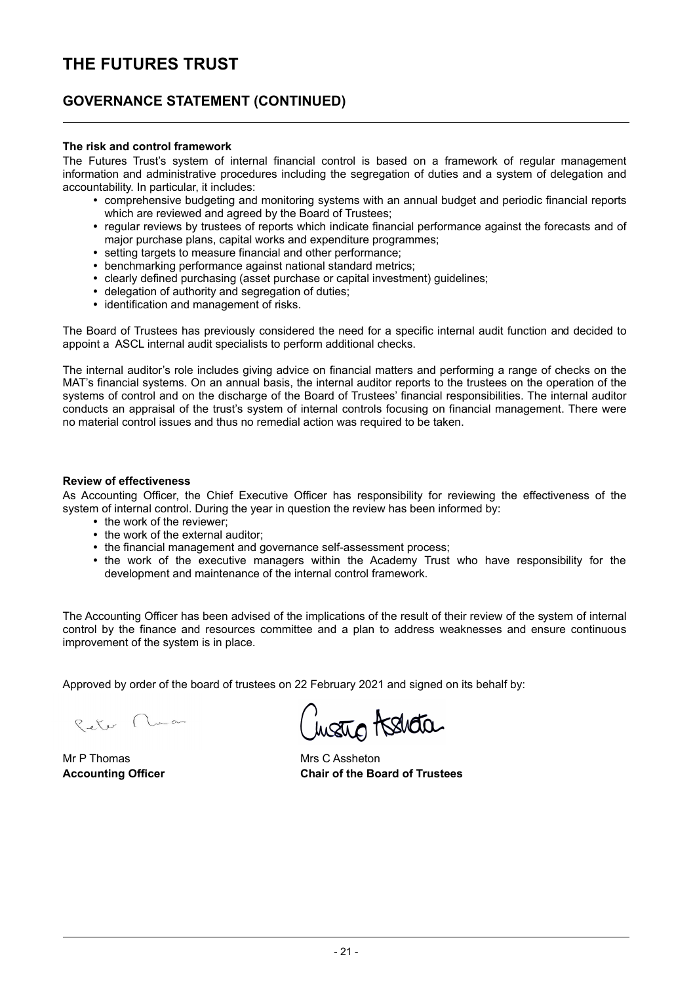### **GOVERNANCE STATEMENT (CONTINUED)**

#### **The risk and control framework**

The Futures Trust's system of internal financial control is based on a framework of regular management information and administrative procedures including the segregation of duties and a system of delegation and accountability. In particular, it includes:

- y comprehensive budgeting and monitoring systems with an annual budget and periodic financial reports which are reviewed and agreed by the Board of Trustees:
- regular reviews by trustees of reports which indicate financial performance against the forecasts and of major purchase plans, capital works and expenditure programmes;
- setting targets to measure financial and other performance:
- benchmarking performance against national standard metrics;
- clearly defined purchasing (asset purchase or capital investment) guidelines;
- delegation of authority and segregation of duties:
- identification and management of risks.

The Board of Trustees has previously considered the need for a specific internal audit function and decided to appoint a ASCL internal audit specialists to perform additional checks.

The internal auditor's role includes giving advice on financial matters and performing a range of checks on the MAT's financial systems. On an annual basis, the internal auditor reports to the trustees on the operation of the systems of control and on the discharge of the Board of Trustees' financial responsibilities. The internal auditor conducts an appraisal of the trust's system of internal controls focusing on financial management. There were no material control issues and thus no remedial action was required to be taken.

#### **Review of effectiveness**

As Accounting Officer, the Chief Executive Officer has responsibility for reviewing the effectiveness of the system of internal control. During the year in question the review has been informed by:

- the work of the reviewer:
- the work of the external auditor:
- the financial management and governance self-assessment process;
- the work of the executive managers within the Academy Trust who have responsibility for the development and maintenance of the internal control framework.

The Accounting Officer has been advised of the implications of the result of their review of the system of internal control by the finance and resources committee and a plan to address weaknesses and ensure continuous improvement of the system is in place.

Approved by order of the board of trustees on 22 February 2021 and signed on its behalf by:

Reter Nuan

Mr P Thomas Mrs C Assheton

wato tshata

**Accounting Officer Chair of the Board of Trustees**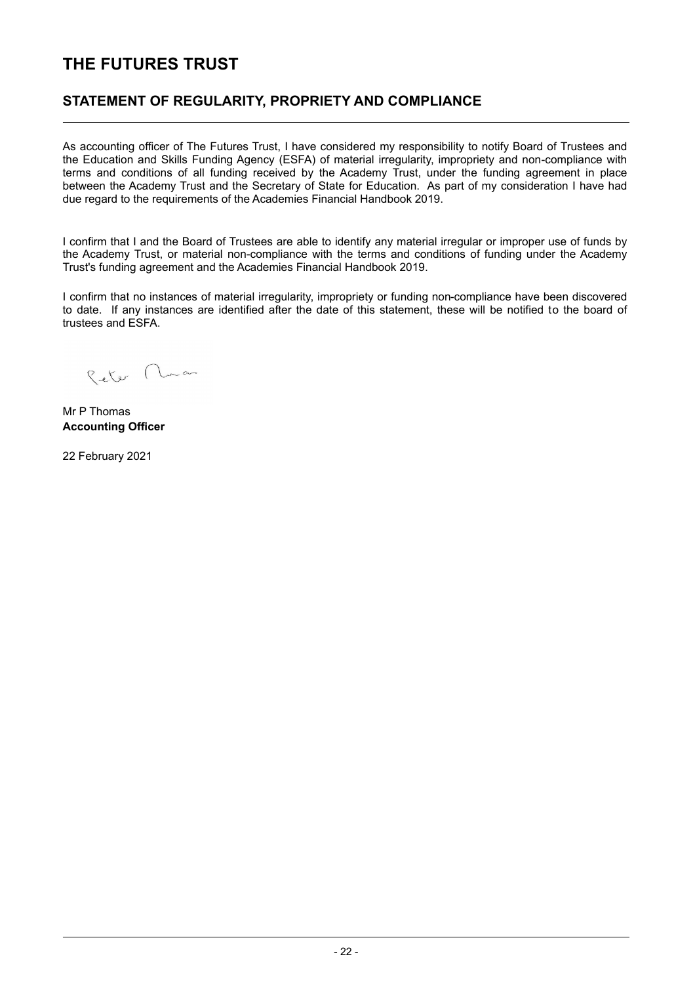### **STATEMENT OF REGULARITY, PROPRIETY AND COMPLIANCE**

As accounting officer of The Futures Trust, I have considered my responsibility to notify Board of Trustees and the Education and Skills Funding Agency (ESFA) of material irregularity, impropriety and non-compliance with terms and conditions of all funding received by the Academy Trust, under the funding agreement in place between the Academy Trust and the Secretary of State for Education. As part of my consideration I have had due regard to the requirements of the Academies Financial Handbook 2019.

I confirm that I and the Board of Trustees are able to identify any material irregular or improper use of funds by the Academy Trust, or material non-compliance with the terms and conditions of funding under the Academy Trust's funding agreement and the Academies Financial Handbook 2019.

I confirm that no instances of material irregularity, impropriety or funding non-compliance have been discovered to date. If any instances are identified after the date of this statement, these will be notified to the board of trustees and ESFA.

Peter Nuan

Mr P Thomas **Accounting Officer**

22 February 2021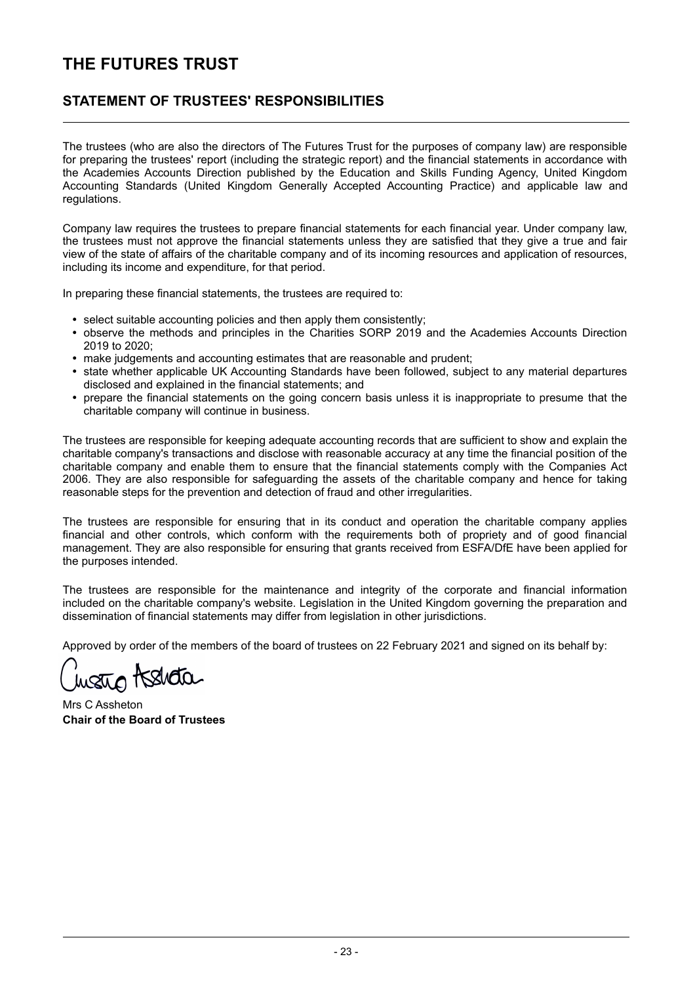### **STATEMENT OF TRUSTEES' RESPONSIBILITIES**

The trustees (who are also the directors of The Futures Trust for the purposes of company law) are responsible for preparing the trustees' report (including the strategic report) and the financial statements in accordance with the Academies Accounts Direction published by the Education and Skills Funding Agency, United Kingdom Accounting Standards (United Kingdom Generally Accepted Accounting Practice) and applicable law and regulations.

Company law requires the trustees to prepare financial statements for each financial year. Under company law, the trustees must not approve the financial statements unless they are satisfied that they give a true and fair view of the state of affairs of the charitable company and of its incoming resources and application of resources, including its income and expenditure, for that period.

In preparing these financial statements, the trustees are required to:

- select suitable accounting policies and then apply them consistently;
- observe the methods and principles in the Charities SORP 2019 and the Academies Accounts Direction 2019 to 2020;
- make judgements and accounting estimates that are reasonable and prudent;
- state whether applicable UK Accounting Standards have been followed, subject to any material departures disclosed and explained in the financial statements; and
- $\bullet$ prepare the financial statements on the going concern basis unless it is inappropriate to presume that the charitable company will continue in business.

The trustees are responsible for keeping adequate accounting records that are sufficient to show and explain the charitable company's transactions and disclose with reasonable accuracy at any time the financial position of the charitable company and enable them to ensure that the financial statements comply with the Companies Act 2006. They are also responsible for safeguarding the assets of the charitable company and hence for taking reasonable steps for the prevention and detection of fraud and other irregularities.

The trustees are responsible for ensuring that in its conduct and operation the charitable company applies financial and other controls, which conform with the requirements both of propriety and of good financial management. They are also responsible for ensuring that grants received from ESFA/DfE have been applied for the purposes intended.

The trustees are responsible for the maintenance and integrity of the corporate and financial information included on the charitable company's website. Legislation in the United Kingdom governing the preparation and dissemination of financial statements may differ from legislation in other jurisdictions.

Approved by order of the members of the board of trustees on 22 February 2021 and signed on its behalf by:

water Assida

Mrs C Assheton **Chair of the Board of Trustees**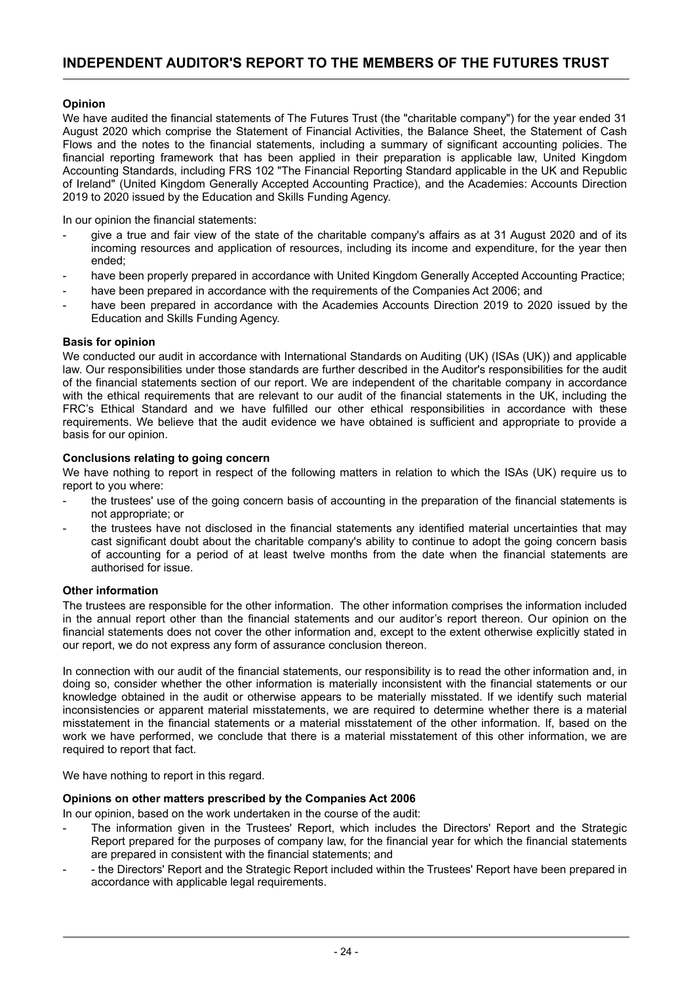#### **Opinion**

We have audited the financial statements of The Futures Trust (the "charitable company") for the year ended 31 August 2020 which comprise the Statement of Financial Activities, the Balance Sheet, the Statement of Cash Flows and the notes to the financial statements, including a summary of significant accounting policies. The financial reporting framework that has been applied in their preparation is applicable law, United Kingdom Accounting Standards, including FRS 102 "The Financial Reporting Standard applicable in the UK and Republic of Ireland" (United Kingdom Generally Accepted Accounting Practice), and the Academies: Accounts Direction 2019 to 2020 issued by the Education and Skills Funding Agency.

In our opinion the financial statements:

- give a true and fair view of the state of the charitable company's affairs as at 31 August 2020 and of its incoming resources and application of resources, including its income and expenditure, for the year then ended;
- have been properly prepared in accordance with United Kingdom Generally Accepted Accounting Practice;
- have been prepared in accordance with the requirements of the Companies Act 2006; and
- have been prepared in accordance with the Academies Accounts Direction 2019 to 2020 issued by the Education and Skills Funding Agency.

#### **Basis for opinion**

We conducted our audit in accordance with International Standards on Auditing (UK) (ISAs (UK)) and applicable law. Our responsibilities under those standards are further described in the Auditor's responsibilities for the audit of the financial statements section of our report. We are independent of the charitable company in accordance with the ethical requirements that are relevant to our audit of the financial statements in the UK, including the FRC's Ethical Standard and we have fulfilled our other ethical responsibilities in accordance with these requirements. We believe that the audit evidence we have obtained is sufficient and appropriate to provide a basis for our opinion.

#### **Conclusions relating to going concern**

We have nothing to report in respect of the following matters in relation to which the ISAs (UK) require us to report to you where:

- the trustees' use of the going concern basis of accounting in the preparation of the financial statements is not appropriate; or
- the trustees have not disclosed in the financial statements any identified material uncertainties that may cast significant doubt about the charitable company's ability to continue to adopt the going concern basis of accounting for a period of at least twelve months from the date when the financial statements are authorised for issue.

#### **Other information**

The trustees are responsible for the other information. The other information comprises the information included in the annual report other than the financial statements and our auditor's report thereon. Our opinion on the financial statements does not cover the other information and, except to the extent otherwise explicitly stated in our report, we do not express any form of assurance conclusion thereon.

In connection with our audit of the financial statements, our responsibility is to read the other information and, in doing so, consider whether the other information is materially inconsistent with the financial statements or our knowledge obtained in the audit or otherwise appears to be materially misstated. If we identify such material inconsistencies or apparent material misstatements, we are required to determine whether there is a material misstatement in the financial statements or a material misstatement of the other information. If, based on the work we have performed, we conclude that there is a material misstatement of this other information, we are required to report that fact.

We have nothing to report in this regard.

#### **Opinions on other matters prescribed by the Companies Act 2006**

In our opinion, based on the work undertaken in the course of the audit:

- The information given in the Trustees' Report, which includes the Directors' Report and the Strategic Report prepared for the purposes of company law, for the financial year for which the financial statements are prepared in consistent with the financial statements; and
- - the Directors' Report and the Strategic Report included within the Trustees' Report have been prepared in accordance with applicable legal requirements.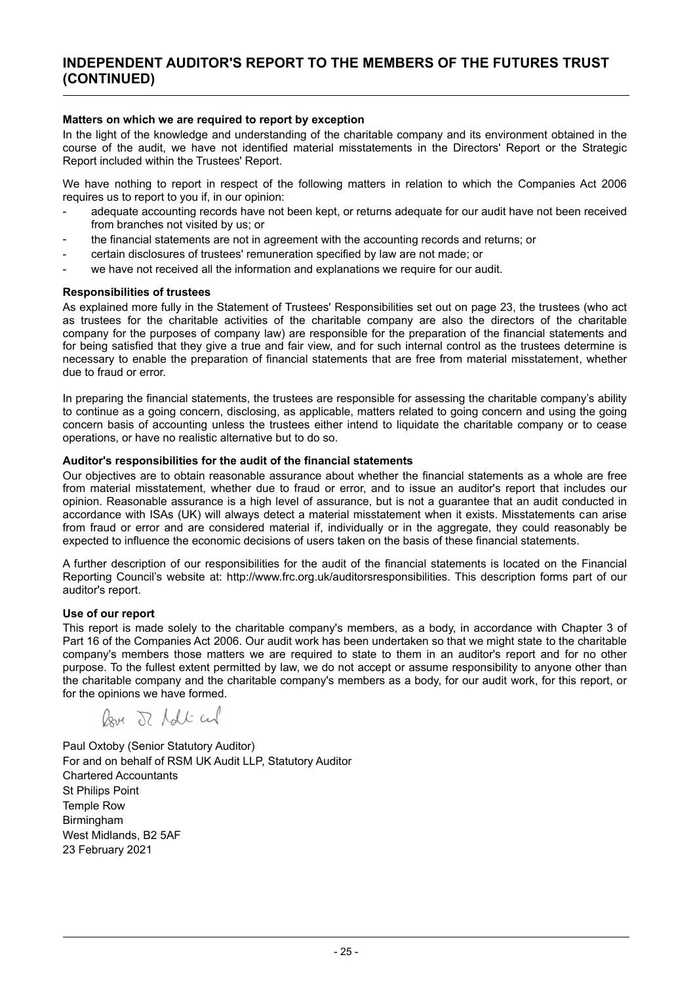#### **Matters on which we are required to report by exception**

In the light of the knowledge and understanding of the charitable company and its environment obtained in the course of the audit, we have not identified material misstatements in the Directors' Report or the Strategic Report included within the Trustees' Report.

We have nothing to report in respect of the following matters in relation to which the Companies Act 2006 requires us to report to you if, in our opinion:

- adequate accounting records have not been kept, or returns adequate for our audit have not been received from branches not visited by us; or
- the financial statements are not in agreement with the accounting records and returns; or
- certain disclosures of trustees' remuneration specified by law are not made; or
- we have not received all the information and explanations we require for our audit.

#### **Responsibilities of trustees**

As explained more fully in the Statement of Trustees' Responsibilities set out on page 23, the trustees (who act as trustees for the charitable activities of the charitable company are also the directors of the charitable company for the purposes of company law) are responsible for the preparation of the financial statements and for being satisfied that they give a true and fair view, and for such internal control as the trustees determine is necessary to enable the preparation of financial statements that are free from material misstatement, whether due to fraud or error.

In preparing the financial statements, the trustees are responsible for assessing the charitable company's ability to continue as a going concern, disclosing, as applicable, matters related to going concern and using the going concern basis of accounting unless the trustees either intend to liquidate the charitable company or to cease operations, or have no realistic alternative but to do so.

#### **Auditor's responsibilities for the audit of the financial statements**

Our objectives are to obtain reasonable assurance about whether the financial statements as a whole are free from material misstatement, whether due to fraud or error, and to issue an auditor's report that includes our opinion. Reasonable assurance is a high level of assurance, but is not a guarantee that an audit conducted in accordance with ISAs (UK) will always detect a material misstatement when it exists. Misstatements can arise from fraud or error and are considered material if, individually or in the aggregate, they could reasonably be expected to influence the economic decisions of users taken on the basis of these financial statements.

A further description of our responsibilities for the audit of the financial statements is located on the Financial Reporting Council's website at: http://www.frc.org.uk/auditorsresponsibilities. This description forms part of our auditor's report.

#### **Use of our report**

This report is made solely to the charitable company's members, as a body, in accordance with Chapter 3 of Part 16 of the Companies Act 2006. Our audit work has been undertaken so that we might state to the charitable company's members those matters we are required to state to them in an auditor's report and for no other purpose. To the fullest extent permitted by law, we do not accept or assume responsibility to anyone other than the charitable company and the charitable company's members as a body, for our audit work, for this report, or for the opinions we have formed.

Roy J ldt cul

Paul Oxtoby (Senior Statutory Auditor) For and on behalf of RSM UK Audit LLP, Statutory Auditor Chartered Accountants St Philips Point Temple Row Birmingham West Midlands, B2 5AF 23 February 2021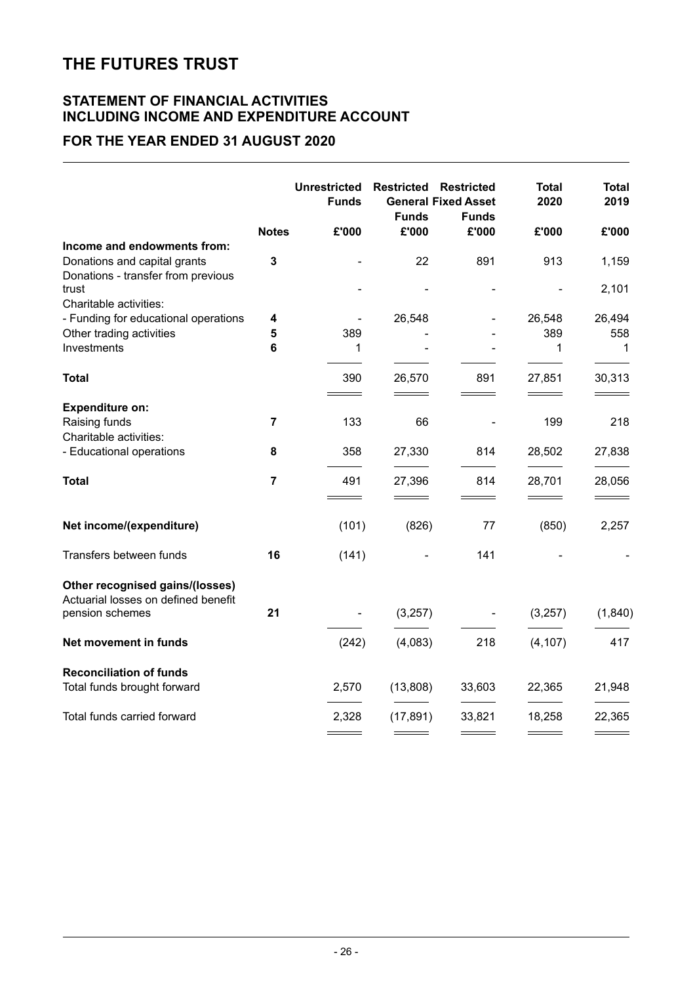#### **STATEMENT OF FINANCIAL ACTIVITIES INCLUDING INCOME AND EXPENDITURE ACCOUNT**

### **FOR THE YEAR ENDED 31 AUGUST 2020**

|                                                                                                   |                | <b>Unrestricted</b><br><b>Funds</b> | <b>Restricted</b><br><b>Funds</b> | <b>Restricted</b><br><b>General Fixed Asset</b><br><b>Funds</b> | <b>Total</b><br>2020 | <b>Total</b><br>2019 |
|---------------------------------------------------------------------------------------------------|----------------|-------------------------------------|-----------------------------------|-----------------------------------------------------------------|----------------------|----------------------|
|                                                                                                   | <b>Notes</b>   | £'000                               | £'000                             | £'000                                                           | £'000                | £'000                |
| Income and endowments from:<br>Donations and capital grants<br>Donations - transfer from previous | 3              |                                     | 22                                | 891                                                             | 913                  | 1,159                |
| trust<br>Charitable activities:                                                                   |                |                                     |                                   |                                                                 |                      | 2,101                |
| - Funding for educational operations                                                              | 4              |                                     | 26,548                            |                                                                 | 26,548               | 26,494               |
| Other trading activities                                                                          | 5              | 389                                 |                                   |                                                                 | 389                  | 558                  |
| Investments                                                                                       | 6              | 1                                   |                                   |                                                                 | 1                    | $\mathbf{1}$         |
| <b>Total</b>                                                                                      |                | 390                                 | 26,570                            | 891                                                             | 27,851               | 30,313               |
| <b>Expenditure on:</b>                                                                            |                |                                     |                                   |                                                                 |                      |                      |
| Raising funds<br>Charitable activities:                                                           | $\overline{7}$ | 133                                 | 66                                |                                                                 | 199                  | 218                  |
| - Educational operations                                                                          | 8              | 358                                 | 27,330                            | 814                                                             | 28,502               | 27,838               |
| <b>Total</b>                                                                                      | $\overline{7}$ | 491                                 | 27,396                            | 814                                                             | 28,701               | 28,056               |
| Net income/(expenditure)                                                                          |                | (101)                               | (826)                             | 77                                                              | (850)                | 2,257                |
| Transfers between funds                                                                           | 16             | (141)                               |                                   | 141                                                             |                      |                      |
| Other recognised gains/(losses)<br>Actuarial losses on defined benefit                            |                |                                     |                                   |                                                                 |                      |                      |
| pension schemes                                                                                   | 21             |                                     | (3,257)                           |                                                                 | (3, 257)             | (1, 840)             |
| Net movement in funds                                                                             |                | (242)                               | (4,083)                           | 218                                                             | (4, 107)             | 417                  |
| <b>Reconciliation of funds</b><br>Total funds brought forward                                     |                | 2,570                               | (13,808)                          | 33,603                                                          | 22,365               | 21,948               |
| Total funds carried forward                                                                       |                | 2,328                               | (17, 891)                         | 33,821                                                          | 18,258               | 22,365               |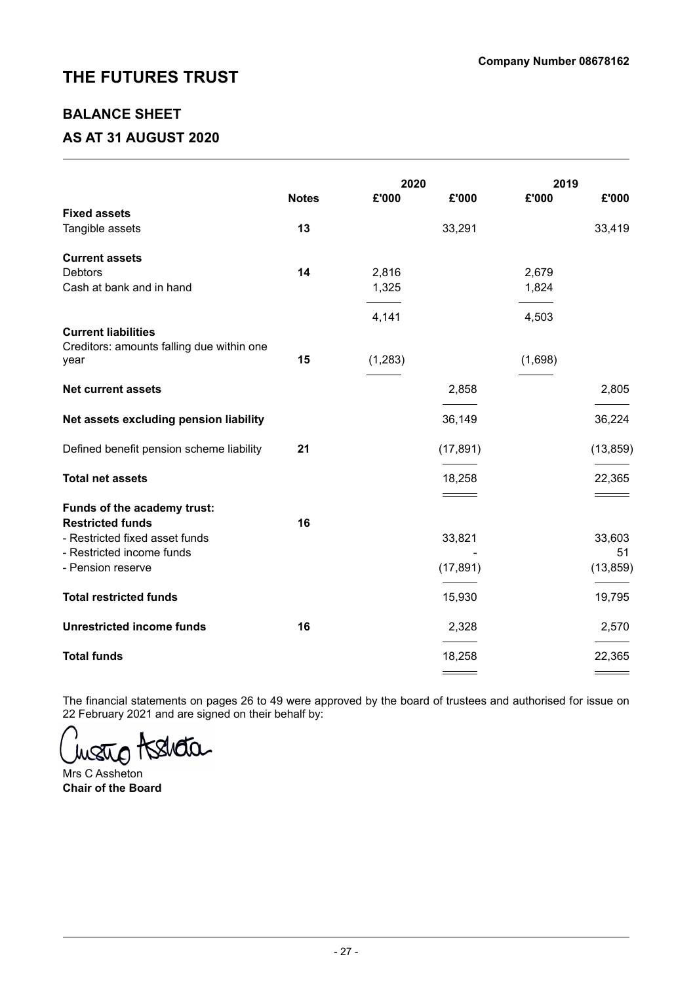### **BALANCE SHEET**

### **AS AT 31 AUGUST 2020**

|                                           |              | 2020    |           | 2019    |           |
|-------------------------------------------|--------------|---------|-----------|---------|-----------|
|                                           | <b>Notes</b> | £'000   | £'000     | £'000   | £'000     |
| <b>Fixed assets</b>                       |              |         |           |         |           |
| Tangible assets                           | 13           |         | 33,291    |         | 33,419    |
| <b>Current assets</b>                     |              |         |           |         |           |
| <b>Debtors</b>                            | 14           | 2,816   |           | 2,679   |           |
| Cash at bank and in hand                  |              | 1,325   |           | 1,824   |           |
|                                           |              |         |           |         |           |
|                                           |              | 4,141   |           | 4,503   |           |
| <b>Current liabilities</b>                |              |         |           |         |           |
| Creditors: amounts falling due within one |              |         |           |         |           |
| year                                      | 15           | (1,283) |           | (1,698) |           |
| <b>Net current assets</b>                 |              |         | 2,858     |         | 2,805     |
|                                           |              |         |           |         |           |
| Net assets excluding pension liability    |              |         | 36,149    |         | 36,224    |
| Defined benefit pension scheme liability  | 21           |         | (17, 891) |         | (13, 859) |
|                                           |              |         |           |         |           |
| <b>Total net assets</b>                   |              |         | 18,258    |         | 22,365    |
| Funds of the academy trust:               |              |         |           |         |           |
| <b>Restricted funds</b>                   | 16           |         |           |         |           |
| - Restricted fixed asset funds            |              |         | 33,821    |         | 33,603    |
| - Restricted income funds                 |              |         |           |         | 51        |
| - Pension reserve                         |              |         | (17, 891) |         | (13, 859) |
| <b>Total restricted funds</b>             |              |         | 15,930    |         | 19,795    |
|                                           |              |         |           |         |           |
| <b>Unrestricted income funds</b>          | 16           |         | 2,328     |         | 2,570     |
| <b>Total funds</b>                        |              |         | 18,258    |         | 22,365    |
|                                           |              |         |           |         |           |

The financial statements on pages 26 to 49 were approved by the board of trustees and authorised for issue on 22 February 2021 and are signed on their behalf by:

wate tselleta.

Mrs C Assheton **Chair of the Board**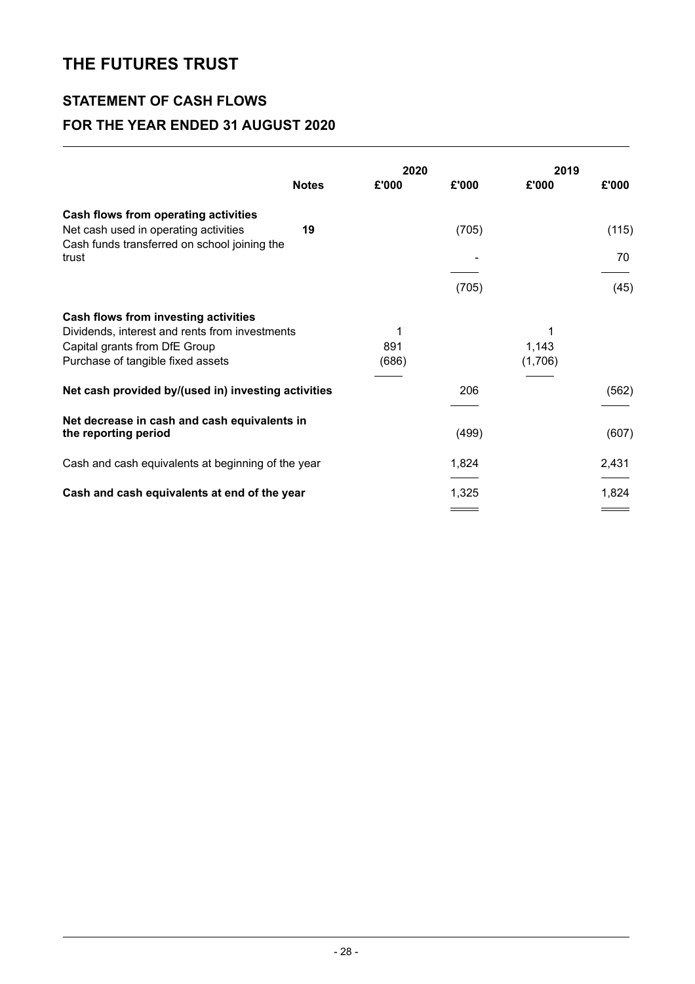# **STATEMENT OF CASH FLOWS FOR THE YEAR ENDED 31 AUGUST 2020**

|                                                                                                                                                              | <b>Notes</b> | 2020<br>£'000     | £'000 | 2019<br>£'000         | £'000 |
|--------------------------------------------------------------------------------------------------------------------------------------------------------------|--------------|-------------------|-------|-----------------------|-------|
| Cash flows from operating activities<br>Net cash used in operating activities<br>Cash funds transferred on school joining the                                | 19           |                   | (705) |                       | (115) |
| trust                                                                                                                                                        |              |                   |       |                       | 70    |
|                                                                                                                                                              |              |                   | (705) |                       | (45)  |
| Cash flows from investing activities<br>Dividends, interest and rents from investments<br>Capital grants from DfE Group<br>Purchase of tangible fixed assets |              | 1<br>891<br>(686) |       | 1<br>1,143<br>(1,706) |       |
| Net cash provided by/(used in) investing activities                                                                                                          |              |                   | 206   |                       | (562) |
| Net decrease in cash and cash equivalents in<br>the reporting period                                                                                         |              |                   | (499) |                       | (607) |
| Cash and cash equivalents at beginning of the year                                                                                                           |              |                   | 1,824 |                       | 2,431 |
| Cash and cash equivalents at end of the year                                                                                                                 |              |                   | 1,325 |                       | 1,824 |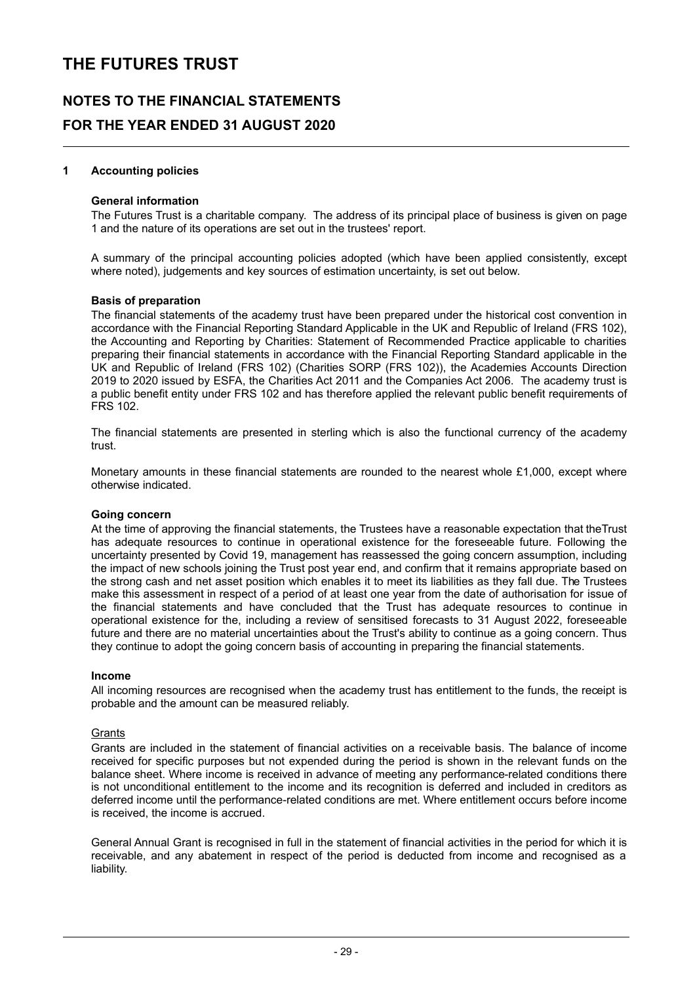### **NOTES TO THE FINANCIAL STATEMENTS FOR THE YEAR ENDED 31 AUGUST 2020**

#### **1 Accounting policies**

#### **General information**

The Futures Trust is a charitable company. The address of its principal place of business is given on page 1 and the nature of its operations are set out in the trustees' report.

A summary of the principal accounting policies adopted (which have been applied consistently, except where noted), judgements and key sources of estimation uncertainty, is set out below.

#### **Basis of preparation**

The financial statements of the academy trust have been prepared under the historical cost convention in accordance with the Financial Reporting Standard Applicable in the UK and Republic of Ireland (FRS 102), the Accounting and Reporting by Charities: Statement of Recommended Practice applicable to charities preparing their financial statements in accordance with the Financial Reporting Standard applicable in the UK and Republic of Ireland (FRS 102) (Charities SORP (FRS 102)), the Academies Accounts Direction 2019 to 2020 issued by ESFA, the Charities Act 2011 and the Companies Act 2006. The academy trust is a public benefit entity under FRS 102 and has therefore applied the relevant public benefit requirements of FRS 102.

The financial statements are presented in sterling which is also the functional currency of the academy trust.

Monetary amounts in these financial statements are rounded to the nearest whole £1,000, except where otherwise indicated.

#### **Going concern**

At the time of approving the financial statements, the Trustees have a reasonable expectation that theTrust has adequate resources to continue in operational existence for the foreseeable future. Following the uncertainty presented by Covid 19, management has reassessed the going concern assumption, including the impact of new schools joining the Trust post year end, and confirm that it remains appropriate based on the strong cash and net asset position which enables it to meet its liabilities as they fall due. The Trustees make this assessment in respect of a period of at least one year from the date of authorisation for issue of the financial statements and have concluded that the Trust has adequate resources to continue in operational existence for the, including a review of sensitised forecasts to 31 August 2022, foreseeable future and there are no material uncertainties about the Trust's ability to continue as a going concern. Thus they continue to adopt the going concern basis of accounting in preparing the financial statements.

#### **Income**

All incoming resources are recognised when the academy trust has entitlement to the funds, the receipt is probable and the amount can be measured reliably.

#### **Grants**

Grants are included in the statement of financial activities on a receivable basis. The balance of income received for specific purposes but not expended during the period is shown in the relevant funds on the balance sheet. Where income is received in advance of meeting any performance-related conditions there is not unconditional entitlement to the income and its recognition is deferred and included in creditors as deferred income until the performance-related conditions are met. Where entitlement occurs before income is received, the income is accrued.

General Annual Grant is recognised in full in the statement of financial activities in the period for which it is receivable, and any abatement in respect of the period is deducted from income and recognised as a liability.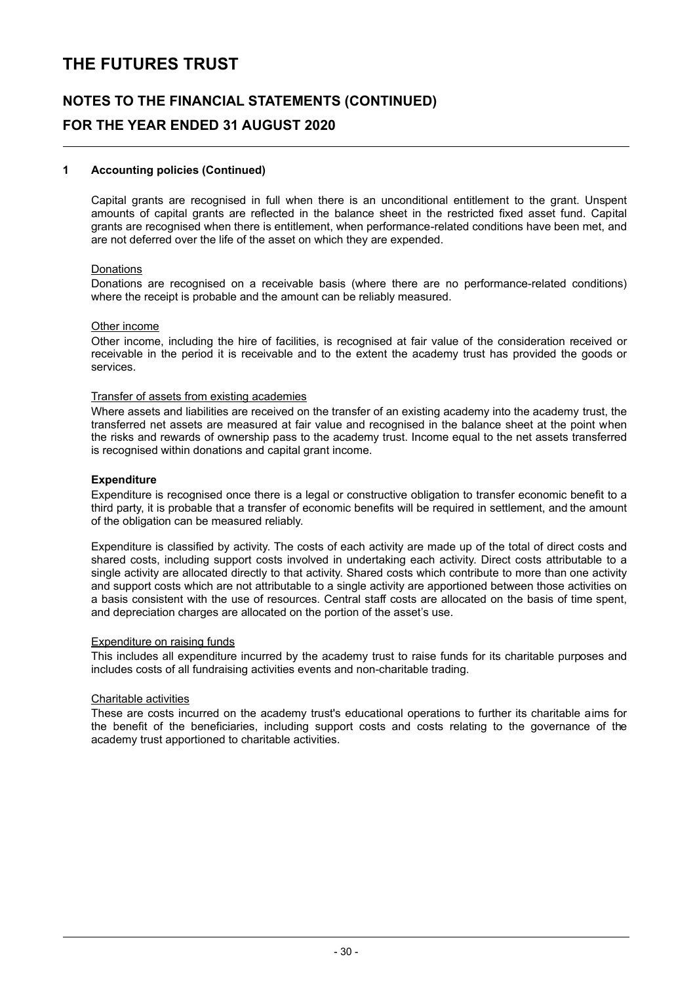# **NOTES TO THE FINANCIAL STATEMENTS (CONTINUED) FOR THE YEAR ENDED 31 AUGUST 2020**

#### **1 Accounting policies (Continued)**

Capital grants are recognised in full when there is an unconditional entitlement to the grant. Unspent amounts of capital grants are reflected in the balance sheet in the restricted fixed asset fund. Capital grants are recognised when there is entitlement, when performance-related conditions have been met, and are not deferred over the life of the asset on which they are expended.

#### Donations

Donations are recognised on a receivable basis (where there are no performance-related conditions) where the receipt is probable and the amount can be reliably measured.

#### Other income

Other income, including the hire of facilities, is recognised at fair value of the consideration received or receivable in the period it is receivable and to the extent the academy trust has provided the goods or services.

#### Transfer of assets from existing academies

Where assets and liabilities are received on the transfer of an existing academy into the academy trust, the transferred net assets are measured at fair value and recognised in the balance sheet at the point when the risks and rewards of ownership pass to the academy trust. Income equal to the net assets transferred is recognised within donations and capital grant income.

#### **Expenditure**

Expenditure is recognised once there is a legal or constructive obligation to transfer economic benefit to a third party, it is probable that a transfer of economic benefits will be required in settlement, and the amount of the obligation can be measured reliably.

Expenditure is classified by activity. The costs of each activity are made up of the total of direct costs and shared costs, including support costs involved in undertaking each activity. Direct costs attributable to a single activity are allocated directly to that activity. Shared costs which contribute to more than one activity and support costs which are not attributable to a single activity are apportioned between those activities on a basis consistent with the use of resources. Central staff costs are allocated on the basis of time spent, and depreciation charges are allocated on the portion of the asset's use.

#### Expenditure on raising funds

This includes all expenditure incurred by the academy trust to raise funds for its charitable purposes and includes costs of all fundraising activities events and non-charitable trading.

#### Charitable activities

These are costs incurred on the academy trust's educational operations to further its charitable aims for the benefit of the beneficiaries, including support costs and costs relating to the governance of the academy trust apportioned to charitable activities.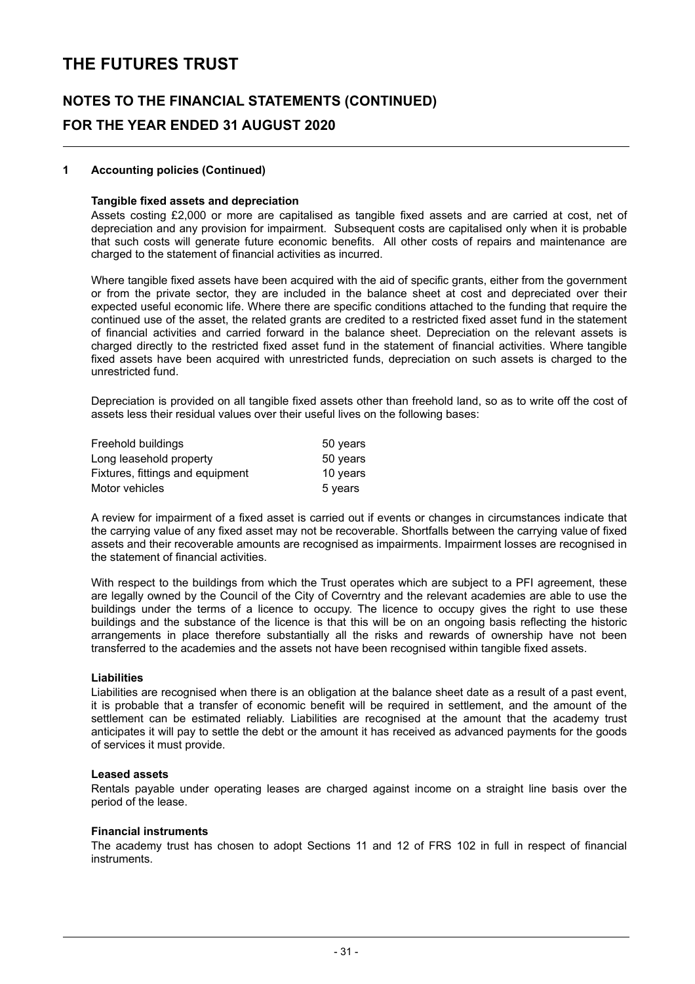# **NOTES TO THE FINANCIAL STATEMENTS (CONTINUED) FOR THE YEAR ENDED 31 AUGUST 2020**

#### **1 Accounting policies (Continued)**

#### **Tangible fixed assets and depreciation**

Assets costing £2,000 or more are capitalised as tangible fixed assets and are carried at cost, net of depreciation and any provision for impairment. Subsequent costs are capitalised only when it is probable that such costs will generate future economic benefits. All other costs of repairs and maintenance are charged to the statement of financial activities as incurred.

Where tangible fixed assets have been acquired with the aid of specific grants, either from the government or from the private sector, they are included in the balance sheet at cost and depreciated over their expected useful economic life. Where there are specific conditions attached to the funding that require the continued use of the asset, the related grants are credited to a restricted fixed asset fund in the statement of financial activities and carried forward in the balance sheet. Depreciation on the relevant assets is charged directly to the restricted fixed asset fund in the statement of financial activities. Where tangible fixed assets have been acquired with unrestricted funds, depreciation on such assets is charged to the unrestricted fund.

Depreciation is provided on all tangible fixed assets other than freehold land, so as to write off the cost of assets less their residual values over their useful lives on the following bases:

| Freehold buildings               | 50 years |
|----------------------------------|----------|
| Long leasehold property          | 50 years |
| Fixtures, fittings and equipment | 10 years |
| Motor vehicles                   | 5 years  |

A review for impairment of a fixed asset is carried out if events or changes in circumstances indicate that the carrying value of any fixed asset may not be recoverable. Shortfalls between the carrying value of fixed assets and their recoverable amounts are recognised as impairments. Impairment losses are recognised in the statement of financial activities.

With respect to the buildings from which the Trust operates which are subject to a PFI agreement, these are legally owned by the Council of the City of Coverntry and the relevant academies are able to use the buildings under the terms of a licence to occupy. The licence to occupy gives the right to use these buildings and the substance of the licence is that this will be on an ongoing basis reflecting the historic arrangements in place therefore substantially all the risks and rewards of ownership have not been transferred to the academies and the assets not have been recognised within tangible fixed assets.

#### **Liabilities**

Liabilities are recognised when there is an obligation at the balance sheet date as a result of a past event, it is probable that a transfer of economic benefit will be required in settlement, and the amount of the settlement can be estimated reliably. Liabilities are recognised at the amount that the academy trust anticipates it will pay to settle the debt or the amount it has received as advanced payments for the goods of services it must provide.

#### **Leased assets**

Rentals payable under operating leases are charged against income on a straight line basis over the period of the lease.

#### **Financial instruments**

The academy trust has chosen to adopt Sections 11 and 12 of FRS 102 in full in respect of financial instruments.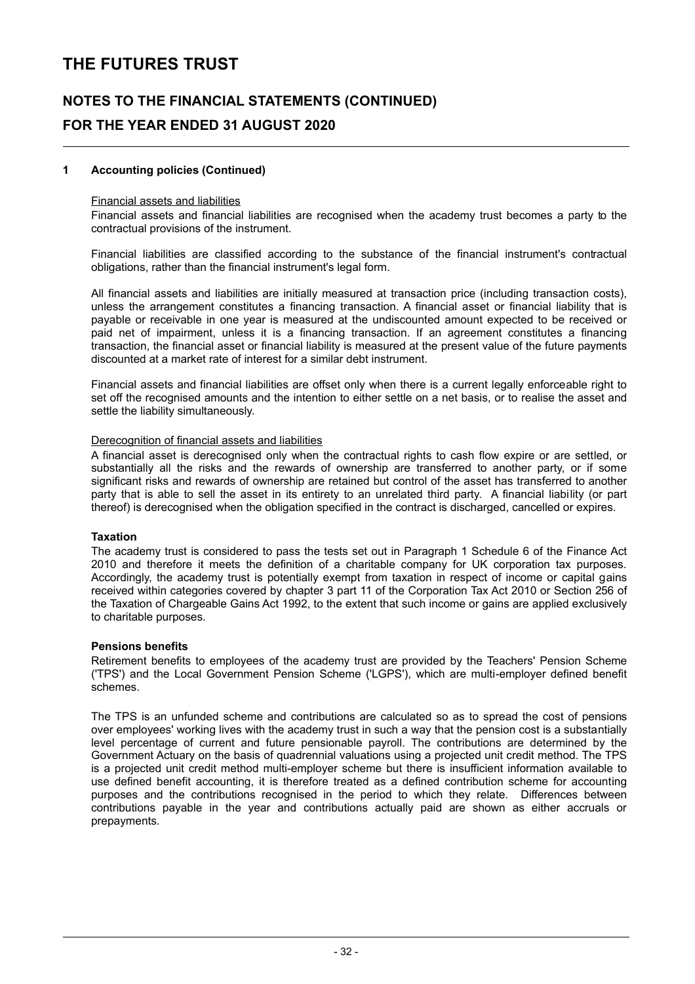### **NOTES TO THE FINANCIAL STATEMENTS (CONTINUED) FOR THE YEAR ENDED 31 AUGUST 2020**

#### **1 Accounting policies (Continued)**

#### Financial assets and liabilities

Financial assets and financial liabilities are recognised when the academy trust becomes a party to the contractual provisions of the instrument.

Financial liabilities are classified according to the substance of the financial instrument's contractual obligations, rather than the financial instrument's legal form.

All financial assets and liabilities are initially measured at transaction price (including transaction costs), unless the arrangement constitutes a financing transaction. A financial asset or financial liability that is payable or receivable in one year is measured at the undiscounted amount expected to be received or paid net of impairment, unless it is a financing transaction. If an agreement constitutes a financing transaction, the financial asset or financial liability is measured at the present value of the future payments discounted at a market rate of interest for a similar debt instrument.

Financial assets and financial liabilities are offset only when there is a current legally enforceable right to set off the recognised amounts and the intention to either settle on a net basis, or to realise the asset and settle the liability simultaneously.

#### Derecognition of financial assets and liabilities

A financial asset is derecognised only when the contractual rights to cash flow expire or are settled, or substantially all the risks and the rewards of ownership are transferred to another party, or if some significant risks and rewards of ownership are retained but control of the asset has transferred to another party that is able to sell the asset in its entirety to an unrelated third party. A financial liability (or part thereof) is derecognised when the obligation specified in the contract is discharged, cancelled or expires.

#### **Taxation**

The academy trust is considered to pass the tests set out in Paragraph 1 Schedule 6 of the Finance Act 2010 and therefore it meets the definition of a charitable company for UK corporation tax purposes. Accordingly, the academy trust is potentially exempt from taxation in respect of income or capital gains received within categories covered by chapter 3 part 11 of the Corporation Tax Act 2010 or Section 256 of the Taxation of Chargeable Gains Act 1992, to the extent that such income or gains are applied exclusively to charitable purposes.

#### **Pensions benefits**

Retirement benefits to employees of the academy trust are provided by the Teachers' Pension Scheme ('TPS') and the Local Government Pension Scheme ('LGPS'), which are multi-employer defined benefit schemes.

The TPS is an unfunded scheme and contributions are calculated so as to spread the cost of pensions over employees' working lives with the academy trust in such a way that the pension cost is a substantially level percentage of current and future pensionable payroll. The contributions are determined by the Government Actuary on the basis of quadrennial valuations using a projected unit credit method. The TPS is a projected unit credit method multi-employer scheme but there is insufficient information available to use defined benefit accounting, it is therefore treated as a defined contribution scheme for accounting purposes and the contributions recognised in the period to which they relate. Differences between contributions payable in the year and contributions actually paid are shown as either accruals or prepayments.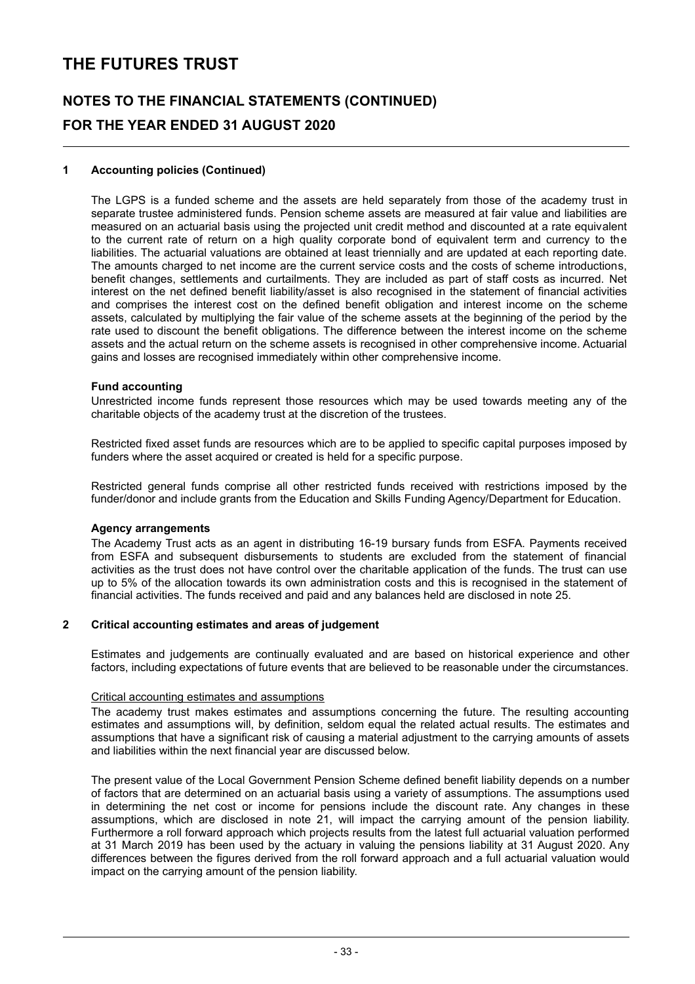# **NOTES TO THE FINANCIAL STATEMENTS (CONTINUED) FOR THE YEAR ENDED 31 AUGUST 2020**

#### **1 Accounting policies (Continued)**

The LGPS is a funded scheme and the assets are held separately from those of the academy trust in separate trustee administered funds. Pension scheme assets are measured at fair value and liabilities are measured on an actuarial basis using the projected unit credit method and discounted at a rate equivalent to the current rate of return on a high quality corporate bond of equivalent term and currency to the liabilities. The actuarial valuations are obtained at least triennially and are updated at each reporting date. The amounts charged to net income are the current service costs and the costs of scheme introductions, benefit changes, settlements and curtailments. They are included as part of staff costs as incurred. Net interest on the net defined benefit liability/asset is also recognised in the statement of financial activities and comprises the interest cost on the defined benefit obligation and interest income on the scheme assets, calculated by multiplying the fair value of the scheme assets at the beginning of the period by the rate used to discount the benefit obligations. The difference between the interest income on the scheme assets and the actual return on the scheme assets is recognised in other comprehensive income. Actuarial gains and losses are recognised immediately within other comprehensive income.

#### **Fund accounting**

Unrestricted income funds represent those resources which may be used towards meeting any of the charitable objects of the academy trust at the discretion of the trustees.

Restricted fixed asset funds are resources which are to be applied to specific capital purposes imposed by funders where the asset acquired or created is held for a specific purpose.

Restricted general funds comprise all other restricted funds received with restrictions imposed by the funder/donor and include grants from the Education and Skills Funding Agency/Department for Education.

#### **Agency arrangements**

The Academy Trust acts as an agent in distributing 16-19 bursary funds from ESFA. Payments received from ESFA and subsequent disbursements to students are excluded from the statement of financial activities as the trust does not have control over the charitable application of the funds. The trust can use up to 5% of the allocation towards its own administration costs and this is recognised in the statement of financial activities. The funds received and paid and any balances held are disclosed in note 25.

#### **2 Critical accounting estimates and areas of judgement**

Estimates and judgements are continually evaluated and are based on historical experience and other factors, including expectations of future events that are believed to be reasonable under the circumstances.

#### Critical accounting estimates and assumptions

The academy trust makes estimates and assumptions concerning the future. The resulting accounting estimates and assumptions will, by definition, seldom equal the related actual results. The estimates and assumptions that have a significant risk of causing a material adjustment to the carrying amounts of assets and liabilities within the next financial year are discussed below.

The present value of the Local Government Pension Scheme defined benefit liability depends on a number of factors that are determined on an actuarial basis using a variety of assumptions. The assumptions used in determining the net cost or income for pensions include the discount rate. Any changes in these assumptions, which are disclosed in note 21, will impact the carrying amount of the pension liability. Furthermore a roll forward approach which projects results from the latest full actuarial valuation performed at 31 March 2019 has been used by the actuary in valuing the pensions liability at 31 August 2020. Any differences between the figures derived from the roll forward approach and a full actuarial valuation would impact on the carrying amount of the pension liability.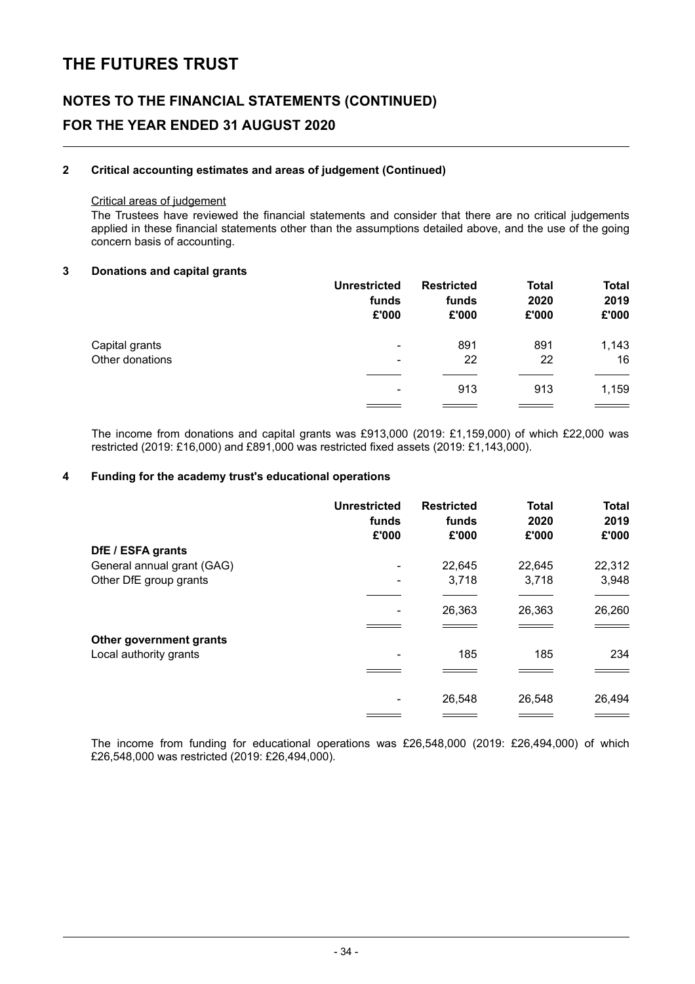# **NOTES TO THE FINANCIAL STATEMENTS (CONTINUED) FOR THE YEAR ENDED 31 AUGUST 2020**

#### **2 Critical accounting estimates and areas of judgement (Continued)**

#### Critical areas of judgement

The Trustees have reviewed the financial statements and consider that there are no critical judgements applied in these financial statements other than the assumptions detailed above, and the use of the going concern basis of accounting.

#### **3 Donations and capital grants**

|                 | <b>Unrestricted</b><br>funds<br>£'000 | <b>Restricted</b><br>funds<br>£'000 | <b>Total</b><br>2020<br>£'000 | <b>Total</b><br>2019<br>£'000 |
|-----------------|---------------------------------------|-------------------------------------|-------------------------------|-------------------------------|
| Capital grants  | ٠                                     | 891                                 | 891                           | 1,143                         |
| Other donations | ٠                                     | 22                                  | 22                            | 16                            |
|                 | $\overline{\phantom{a}}$              | 913                                 | 913                           | 1,159                         |
|                 |                                       |                                     |                               |                               |

The income from donations and capital grants was £913,000 (2019: £1,159,000) of which £22,000 was restricted (2019: £16,000) and £891,000 was restricted fixed assets (2019: £1,143,000).

#### **4 Funding for the academy trust's educational operations**

|                            | <b>Unrestricted</b><br>funds<br>£'000 | <b>Restricted</b><br>funds<br>£'000 | <b>Total</b><br>2020<br>£'000 | <b>Total</b><br>2019<br>£'000 |
|----------------------------|---------------------------------------|-------------------------------------|-------------------------------|-------------------------------|
| DfE / ESFA grants          |                                       |                                     |                               |                               |
| General annual grant (GAG) |                                       | 22,645                              | 22,645                        | 22,312                        |
| Other DfE group grants     | ۰                                     | 3,718                               | 3,718                         | 3,948                         |
|                            |                                       | 26,363                              | 26,363                        | 26,260                        |
|                            |                                       |                                     |                               |                               |
| Other government grants    |                                       |                                     |                               |                               |
| Local authority grants     |                                       | 185                                 | 185                           | 234                           |
|                            |                                       |                                     |                               |                               |
|                            |                                       | 26,548                              | 26,548                        | 26,494                        |
|                            |                                       |                                     |                               |                               |

The income from funding for educational operations was £26,548,000 (2019: £26,494,000) of which £26,548,000 was restricted (2019: £26,494,000).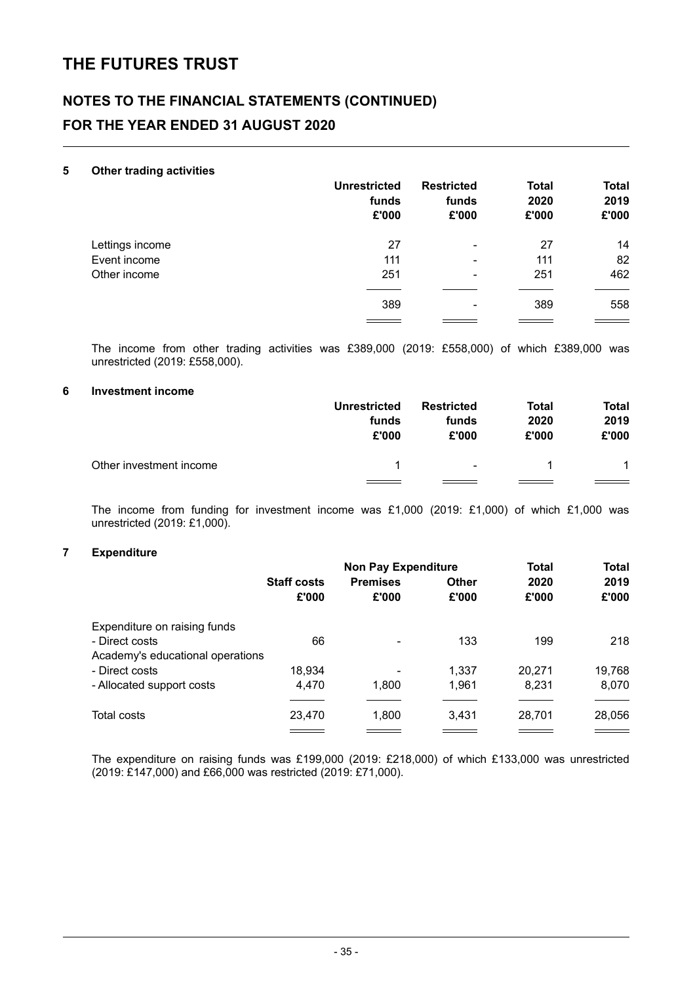### **NOTES TO THE FINANCIAL STATEMENTS (CONTINUED) FOR THE YEAR ENDED 31 AUGUST 2020**

#### **5 Other trading activities**

| -               | <b>Unrestricted</b><br>funds<br>£'000 | <b>Restricted</b><br>funds<br>£'000 | <b>Total</b><br>2020<br>£'000 | <b>Total</b><br>2019<br>£'000 |
|-----------------|---------------------------------------|-------------------------------------|-------------------------------|-------------------------------|
| Lettings income | 27                                    | ۰                                   | 27                            | 14                            |
| Event income    | 111                                   | ۰                                   | 111                           | 82                            |
| Other income    | 251                                   | ۰                                   | 251                           | 462                           |
|                 | 389                                   | ۰                                   | 389                           | 558                           |
|                 |                                       |                                     |                               |                               |

The income from other trading activities was £389,000 (2019: £558,000) of which £389,000 was unrestricted (2019: £558,000).

#### **6 Investment income**

|                         | <b>Unrestricted</b> | <b>Restricted</b> | Total | <b>Total</b> |
|-------------------------|---------------------|-------------------|-------|--------------|
|                         | funds               | funds             | 2020  | 2019         |
|                         | £'000               | £'000             | £'000 | £'000        |
| Other investment income |                     | $\sim$            |       | 1            |

The income from funding for investment income was £1,000 (2019: £1,000) of which £1,000 was unrestricted (2019: £1,000).

#### **7 Expenditure**

|                                  |                    | <b>Non Pay Expenditure</b> |              | <b>Total</b> | <b>Total</b> |
|----------------------------------|--------------------|----------------------------|--------------|--------------|--------------|
|                                  | <b>Staff costs</b> | <b>Premises</b>            | <b>Other</b> | 2020         | 2019         |
|                                  | £'000              | £'000                      | £'000        | £'000        | £'000        |
| Expenditure on raising funds     |                    |                            |              |              |              |
| - Direct costs                   | 66                 |                            | 133          | 199          | 218          |
| Academy's educational operations |                    |                            |              |              |              |
| - Direct costs                   | 18,934             |                            | 1.337        | 20.271       | 19,768       |
| - Allocated support costs        | 4.470              | 1,800                      | 1,961        | 8.231        | 8,070        |
| <b>Total costs</b>               | 23,470             | 1,800                      | 3.431        | 28,701       | 28,056       |
|                                  |                    |                            |              |              |              |

The expenditure on raising funds was £199,000 (2019: £218,000) of which £133,000 was unrestricted (2019: £147,000) and £66,000 was restricted (2019: £71,000).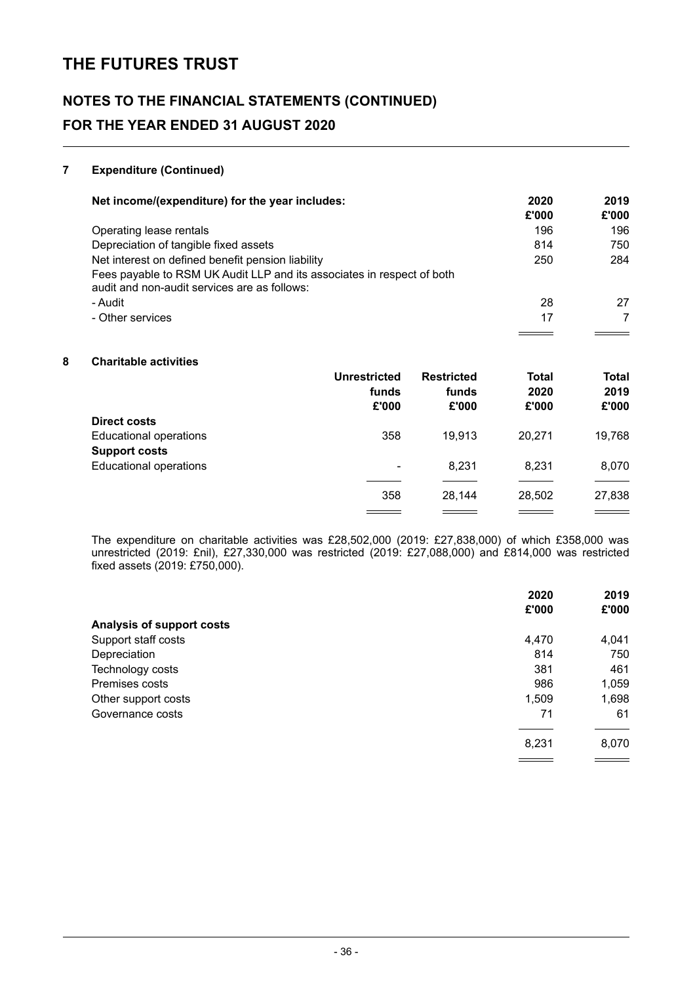# **NOTES TO THE FINANCIAL STATEMENTS (CONTINUED) FOR THE YEAR ENDED 31 AUGUST 2020**

#### **7 Expenditure (Continued)**

| Net income/(expenditure) for the year includes:                                                                        | 2020<br>£'000 | 2019<br>£'000 |
|------------------------------------------------------------------------------------------------------------------------|---------------|---------------|
| Operating lease rentals                                                                                                | 196           | 196           |
| Depreciation of tangible fixed assets                                                                                  | 814           | 750           |
| Net interest on defined benefit pension liability                                                                      | 250           | 284           |
| Fees payable to RSM UK Audit LLP and its associates in respect of both<br>audit and non-audit services are as follows: |               |               |
| - Audit                                                                                                                | 28            | 27            |
| - Other services                                                                                                       | 17            |               |
|                                                                                                                        |               |               |

#### **8 Charitable activities**

|                               | <b>Unrestricted</b><br>funds<br>£'000 | <b>Restricted</b><br>funds<br>£'000 | <b>Total</b><br>2020<br>£'000 | <b>Total</b><br>2019<br>£'000 |
|-------------------------------|---------------------------------------|-------------------------------------|-------------------------------|-------------------------------|
| <b>Direct costs</b>           |                                       |                                     |                               |                               |
| <b>Educational operations</b> | 358                                   | 19,913                              | 20.271                        | 19,768                        |
| <b>Support costs</b>          |                                       |                                     |                               |                               |
| <b>Educational operations</b> | ۰                                     | 8,231                               | 8.231                         | 8,070                         |
|                               |                                       |                                     |                               |                               |
|                               | 358                                   | 28.144                              | 28,502                        | 27,838                        |
|                               |                                       |                                     |                               |                               |

The expenditure on charitable activities was £28,502,000 (2019: £27,838,000) of which £358,000 was unrestricted (2019: £nil), £27,330,000 was restricted (2019: £27,088,000) and £814,000 was restricted fixed assets (2019: £750,000).

|                           | 2020  | 2019  |
|---------------------------|-------|-------|
|                           | £'000 | £'000 |
| Analysis of support costs |       |       |
| Support staff costs       | 4,470 | 4,041 |
| Depreciation              | 814   | 750   |
| Technology costs          | 381   | 461   |
| Premises costs            | 986   | 1,059 |
| Other support costs       | 1,509 | 1,698 |
| Governance costs          | 71    | 61    |
|                           | 8,231 | 8,070 |
|                           |       |       |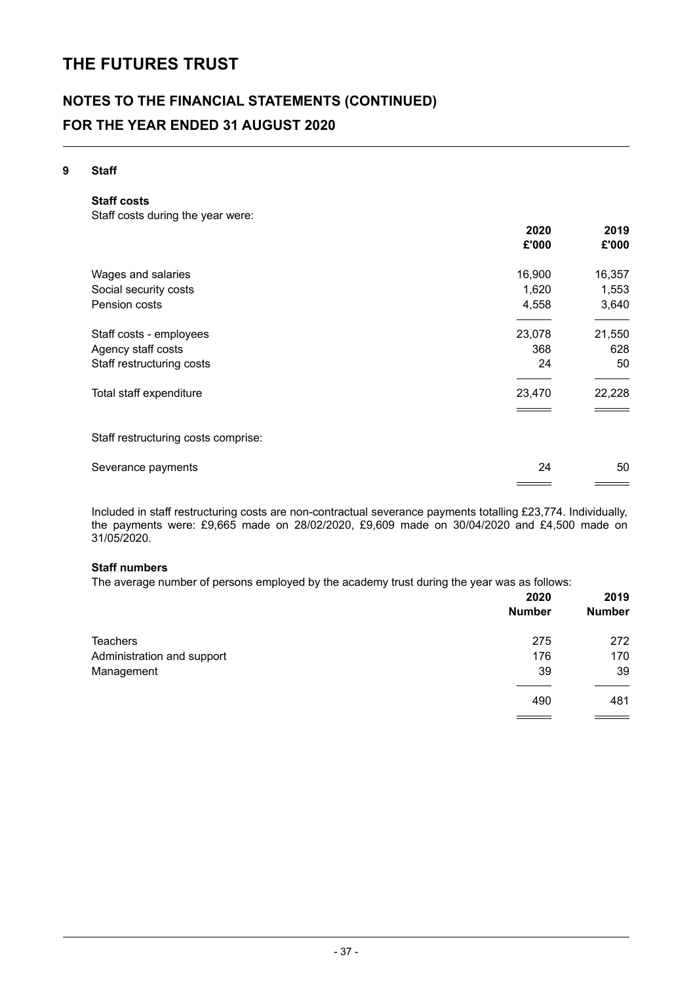# **NOTES TO THE FINANCIAL STATEMENTS (CONTINUED) FOR THE YEAR ENDED 31 AUGUST 2020**

#### **9 Staff**

**Staff costs**

Staff costs during the year were:

|                                     | 2020   | 2019   |
|-------------------------------------|--------|--------|
|                                     | £'000  | £'000  |
| Wages and salaries                  | 16,900 | 16,357 |
| Social security costs               | 1,620  | 1,553  |
| Pension costs                       | 4,558  | 3,640  |
| Staff costs - employees             | 23,078 | 21,550 |
| Agency staff costs                  | 368    | 628    |
| Staff restructuring costs           | 24     | 50     |
| Total staff expenditure             | 23,470 | 22,228 |
|                                     |        |        |
| Staff restructuring costs comprise: |        |        |
| Severance payments                  | 24     | 50     |

Included in staff restructuring costs are non-contractual severance payments totalling £23,774. Individually, the payments were: £9,665 made on 28/02/2020, £9,609 made on 30/04/2020 and £4,500 made on

### **Staff numbers**

31/05/2020.

The average number of persons employed by the academy trust during the year was as follows:

|                            | 2020<br><b>Number</b> | 2019<br><b>Number</b> |
|----------------------------|-----------------------|-----------------------|
| Teachers                   | 275                   | 272                   |
| Administration and support | 176                   | 170                   |
| Management                 | 39                    | 39                    |
|                            | 490                   | 481                   |
|                            |                       |                       |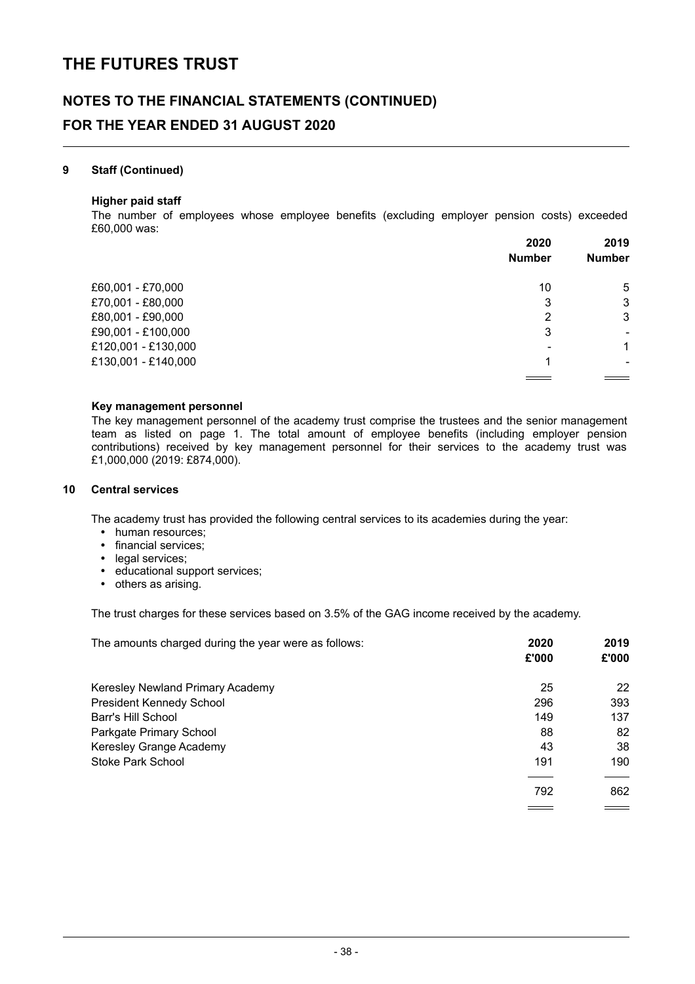# **NOTES TO THE FINANCIAL STATEMENTS (CONTINUED) FOR THE YEAR ENDED 31 AUGUST 2020**

#### **9 Staff (Continued)**

#### **Higher paid staff**

The number of employees whose employee benefits (excluding employer pension costs) exceeded £60,000 was:

|                     | 2020          | 2019          |
|---------------------|---------------|---------------|
|                     | <b>Number</b> | <b>Number</b> |
| £60,001 - £70,000   | 10            | 5             |
| £70,001 - £80,000   | 3             | 3             |
| £80,001 - £90,000   | 2             | 3             |
| £90,001 - £100,000  | 3             | ۰             |
| £120,001 - £130,000 | -             | 1             |
| £130,001 - £140,000 |               |               |
|                     |               |               |

#### **Key management personnel**

The key management personnel of the academy trust comprise the trustees and the senior management team as listed on page 1. The total amount of employee benefits (including employer pension contributions) received by key management personnel for their services to the academy trust was £1,000,000 (2019: £874,000).

#### **10 Central services**

The academy trust has provided the following central services to its academies during the year:

- human resources;
- financial services;
- legal services;
- $\bullet$ educational support services;
- others as arising.

The trust charges for these services based on 3.5% of the GAG income received by the academy.

| The amounts charged during the year were as follows: | 2020<br>£'000 | 2019<br>£'000 |
|------------------------------------------------------|---------------|---------------|
| Keresley Newland Primary Academy                     | 25            | 22            |
| <b>President Kennedy School</b>                      | 296           | 393           |
| Barr's Hill School                                   | 149           | 137           |
| Parkgate Primary School                              | 88            | 82            |
| Keresley Grange Academy                              | 43            | 38            |
| Stoke Park School                                    | 191           | 190           |
|                                                      | 792           | 862           |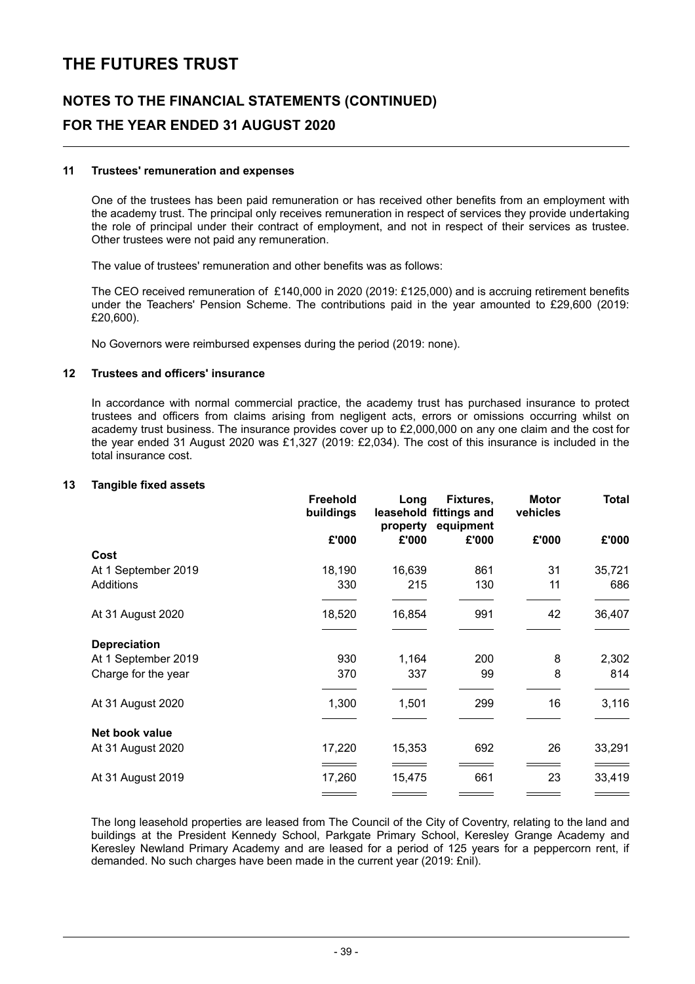# **NOTES TO THE FINANCIAL STATEMENTS (CONTINUED) FOR THE YEAR ENDED 31 AUGUST 2020**

#### **11 Trustees' remuneration and expenses**

One of the trustees has been paid remuneration or has received other benefits from an employment with the academy trust. The principal only receives remuneration in respect of services they provide undertaking the role of principal under their contract of employment, and not in respect of their services as trustee. Other trustees were not paid any remuneration.

The value of trustees' remuneration and other benefits was as follows:

The CEO received remuneration of £140,000 in 2020 (2019: £125,000) and is accruing retirement benefits under the Teachers' Pension Scheme. The contributions paid in the year amounted to £29,600 (2019: £20,600).

No Governors were reimbursed expenses during the period (2019: none).

#### **12 Trustees and officers' insurance**

In accordance with normal commercial practice, the academy trust has purchased insurance to protect trustees and officers from claims arising from negligent acts, errors or omissions occurring whilst on academy trust business. The insurance provides cover up to £2,000,000 on any one claim and the cost for the year ended 31 August 2020 was £1,327 (2019: £2,034). The cost of this insurance is included in the total insurance cost.

#### **13 Tangible fixed assets**

|                     | <b>Freehold</b><br>buildings | Long<br>property | Fixtures,<br>leasehold fittings and<br>equipment | <b>Motor</b><br>vehicles | <b>Total</b> |
|---------------------|------------------------------|------------------|--------------------------------------------------|--------------------------|--------------|
|                     | £'000                        | £'000            | £'000                                            | £'000                    | £'000        |
| Cost                |                              |                  |                                                  |                          |              |
| At 1 September 2019 | 18,190                       | 16,639           | 861                                              | 31                       | 35,721       |
| Additions           | 330                          | 215              | 130                                              | 11                       | 686          |
| At 31 August 2020   | 18,520                       | 16,854           | 991                                              | 42                       | 36,407       |
| <b>Depreciation</b> |                              |                  |                                                  |                          |              |
| At 1 September 2019 | 930                          | 1,164            | 200                                              | 8                        | 2,302        |
| Charge for the year | 370                          | 337              | 99                                               | 8                        | 814          |
| At 31 August 2020   | 1,300                        | 1,501            | 299                                              | 16                       | 3,116        |
| Net book value      |                              |                  |                                                  |                          |              |
| At 31 August 2020   | 17,220                       | 15,353           | 692                                              | 26                       | 33,291       |
| At 31 August 2019   | 17,260                       | 15,475           | 661                                              | 23                       | 33,419       |
|                     |                              |                  |                                                  |                          |              |

The long leasehold properties are leased from The Council of the City of Coventry, relating to the land and buildings at the President Kennedy School, Parkgate Primary School, Keresley Grange Academy and Keresley Newland Primary Academy and are leased for a period of 125 years for a peppercorn rent, if demanded. No such charges have been made in the current year (2019: £nil).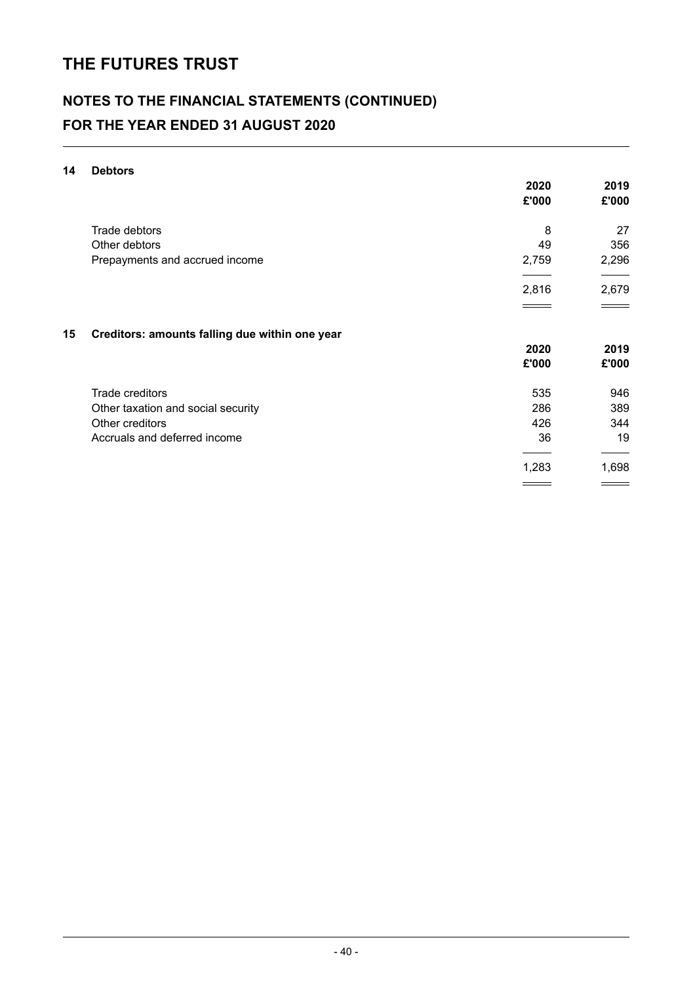# **NOTES TO THE FINANCIAL STATEMENTS (CONTINUED) FOR THE YEAR ENDED 31 AUGUST 2020**

#### **14 Debtors**

|    |                                                | 2020<br>£'000 | 2019<br>£'000 |
|----|------------------------------------------------|---------------|---------------|
|    | Trade debtors                                  | 8             | 27            |
|    | Other debtors                                  | 49            | 356           |
|    |                                                |               |               |
|    | Prepayments and accrued income                 | 2,759         | 2,296         |
|    |                                                | 2,816         | 2,679         |
|    |                                                |               |               |
| 15 | Creditors: amounts falling due within one year |               |               |
|    |                                                | 2020          | 2019          |
|    |                                                | £'000         | £'000         |
|    | Trade creditors                                | 535           | 946           |
|    | Other taxation and social security             | 286           | 389           |
|    | Other creditors                                | 426           | 344           |
|    | Accruals and deferred income                   | 36            | 19            |
|    |                                                | 1,283         | 1,698         |
|    |                                                |               |               |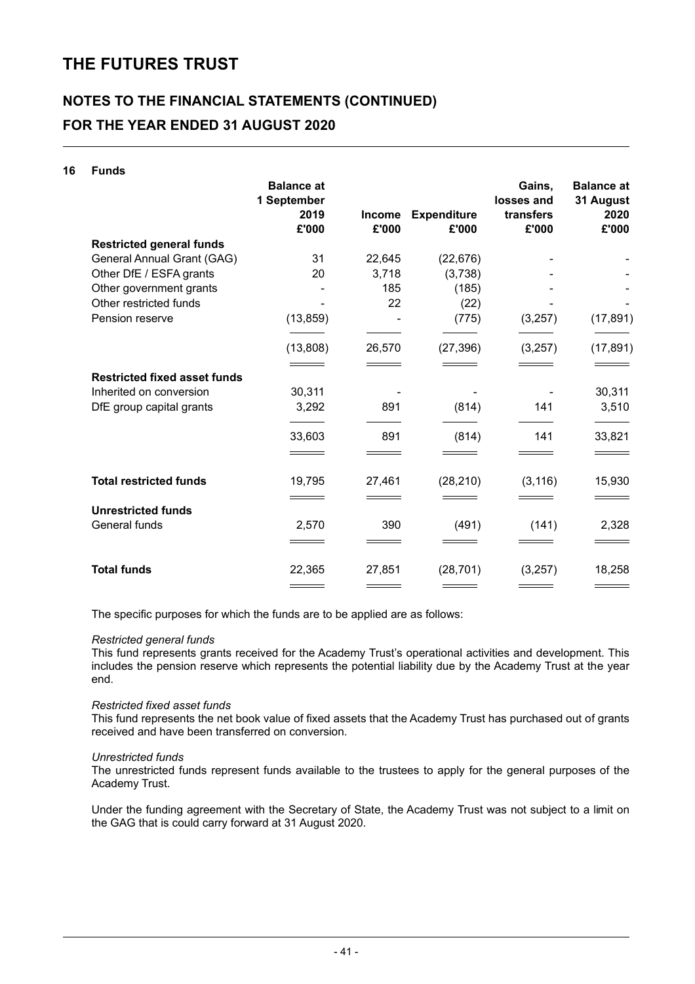# **NOTES TO THE FINANCIAL STATEMENTS (CONTINUED) FOR THE YEAR ENDED 31 AUGUST 2020**

| 16 | <b>Funds</b>                        |                                  |                        |                             |                      |                                |
|----|-------------------------------------|----------------------------------|------------------------|-----------------------------|----------------------|--------------------------------|
|    |                                     | <b>Balance at</b><br>1 September |                        |                             | Gains,<br>losses and | <b>Balance at</b><br>31 August |
|    |                                     | 2019<br>£'000                    | <b>Income</b><br>£'000 | <b>Expenditure</b><br>£'000 | transfers<br>£'000   | 2020<br>£'000                  |
|    | <b>Restricted general funds</b>     |                                  |                        |                             |                      |                                |
|    | General Annual Grant (GAG)          | 31                               | 22,645                 | (22, 676)                   |                      |                                |
|    | Other DfE / ESFA grants             | 20                               | 3,718                  | (3,738)                     |                      |                                |
|    | Other government grants             |                                  | 185                    | (185)                       |                      |                                |
|    | Other restricted funds              |                                  | 22                     | (22)                        |                      |                                |
|    | Pension reserve                     | (13, 859)                        |                        | (775)                       | (3,257)              | (17, 891)                      |
|    |                                     | (13,808)                         | 26,570                 | (27, 396)                   | (3,257)              | (17, 891)                      |
|    |                                     |                                  |                        |                             |                      |                                |
|    | <b>Restricted fixed asset funds</b> |                                  |                        |                             |                      |                                |
|    | Inherited on conversion             | 30,311                           |                        |                             |                      | 30,311                         |
|    | DfE group capital grants            | 3,292                            | 891                    | (814)                       | 141                  | 3,510                          |
|    |                                     | 33,603                           | 891                    | (814)                       | 141                  | 33,821                         |
|    |                                     |                                  |                        |                             |                      |                                |
|    | <b>Total restricted funds</b>       | 19,795                           | 27,461                 | (28, 210)                   | (3, 116)             | 15,930                         |
|    |                                     |                                  |                        |                             |                      |                                |
|    | <b>Unrestricted funds</b>           |                                  |                        |                             |                      |                                |
|    | General funds                       | 2,570                            | 390                    | (491)                       | (141)                | 2,328                          |
|    |                                     |                                  |                        |                             |                      |                                |
|    | <b>Total funds</b>                  | 22,365                           | 27,851                 | (28, 701)                   | (3,257)              | 18,258                         |
|    |                                     |                                  |                        |                             |                      |                                |

The specific purposes for which the funds are to be applied are as follows:

#### *Restricted general funds*

This fund represents grants received for the Academy Trust's operational activities and development. This includes the pension reserve which represents the potential liability due by the Academy Trust at the year end.

#### *Restricted fixed asset funds*

This fund represents the net book value of fixed assets that the Academy Trust has purchased out of grants received and have been transferred on conversion.

#### *Unrestricted funds*

The unrestricted funds represent funds available to the trustees to apply for the general purposes of the Academy Trust.

Under the funding agreement with the Secretary of State, the Academy Trust was not subject to a limit on the GAG that is could carry forward at 31 August 2020.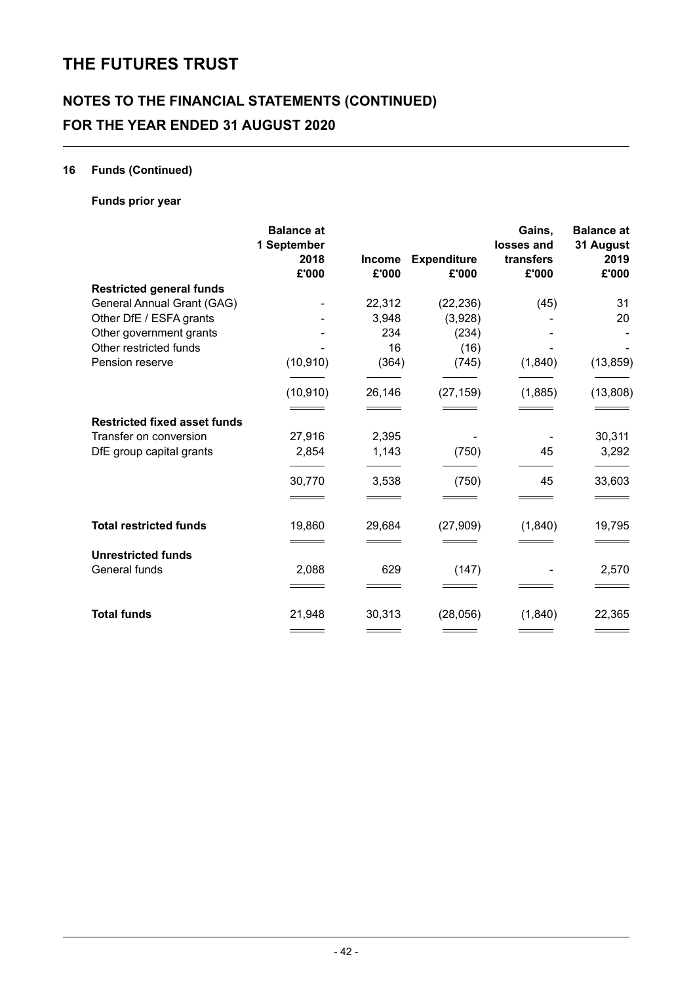# **NOTES TO THE FINANCIAL STATEMENTS (CONTINUED) FOR THE YEAR ENDED 31 AUGUST 2020**

### **16 Funds (Continued)**

### **Funds prior year**

|                                     | <b>Balance at</b><br>1 September<br>2018<br>£'000 | <b>Income</b><br>£'000 | <b>Expenditure</b><br>£'000 | Gains,<br>losses and<br>transfers<br>£'000 | <b>Balance at</b><br>31 August<br>2019<br>£'000 |
|-------------------------------------|---------------------------------------------------|------------------------|-----------------------------|--------------------------------------------|-------------------------------------------------|
| <b>Restricted general funds</b>     |                                                   |                        |                             |                                            |                                                 |
| General Annual Grant (GAG)          |                                                   | 22,312                 | (22, 236)                   | (45)                                       | 31                                              |
| Other DfE / ESFA grants             |                                                   | 3,948                  | (3,928)                     |                                            | 20                                              |
| Other government grants             |                                                   | 234                    | (234)                       |                                            |                                                 |
| Other restricted funds              |                                                   | 16                     | (16)                        |                                            |                                                 |
| Pension reserve                     | (10, 910)                                         | (364)                  | (745)                       | (1,840)                                    | (13, 859)                                       |
|                                     | (10, 910)                                         | 26,146                 | (27, 159)                   | (1,885)                                    | (13, 808)                                       |
| <b>Restricted fixed asset funds</b> |                                                   |                        |                             |                                            |                                                 |
| Transfer on conversion              | 27,916                                            | 2,395                  |                             |                                            | 30,311                                          |
| DfE group capital grants            | 2,854                                             | 1,143                  | (750)                       | 45                                         | 3,292                                           |
|                                     | 30,770                                            | 3,538                  | (750)                       | 45                                         | 33,603                                          |
|                                     |                                                   |                        |                             |                                            |                                                 |
| <b>Total restricted funds</b>       | 19,860                                            | 29,684                 | (27, 909)                   | (1,840)                                    | 19,795                                          |
|                                     |                                                   |                        |                             |                                            |                                                 |
| <b>Unrestricted funds</b>           |                                                   |                        |                             |                                            |                                                 |
| General funds                       | 2,088                                             | 629                    | (147)                       |                                            | 2,570                                           |
| <b>Total funds</b>                  | 21,948                                            | 30,313                 | (28,056)                    | (1,840)                                    | 22,365                                          |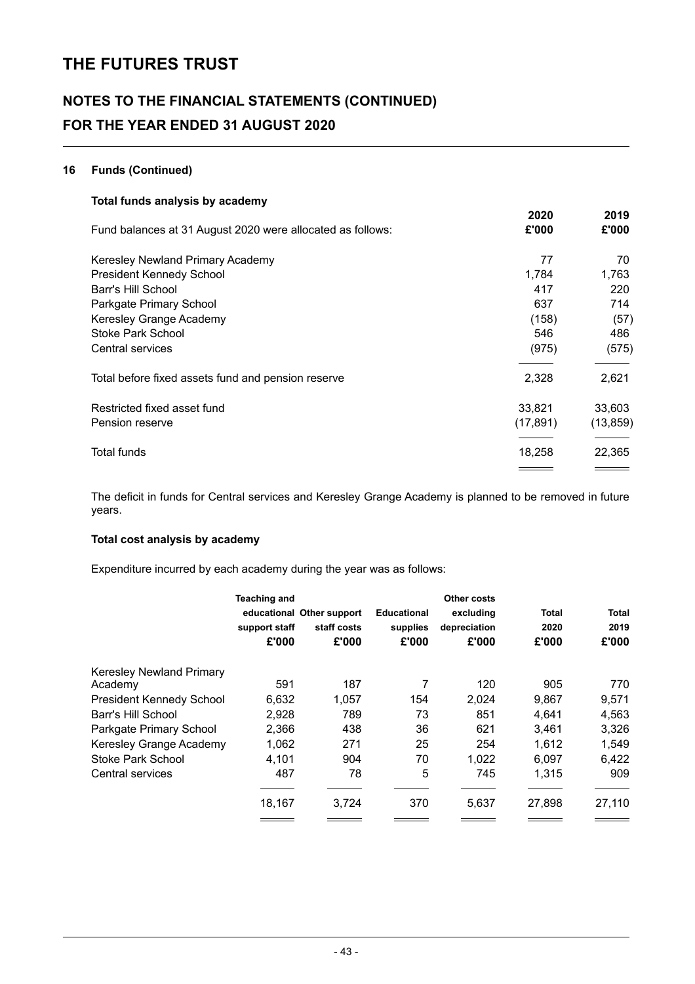# **NOTES TO THE FINANCIAL STATEMENTS (CONTINUED) FOR THE YEAR ENDED 31 AUGUST 2020**

#### **16 Funds (Continued)**

| Total funds analysis by academy                            |               |               |
|------------------------------------------------------------|---------------|---------------|
| Fund balances at 31 August 2020 were allocated as follows: | 2020<br>£'000 | 2019<br>£'000 |
| Keresley Newland Primary Academy                           | 77            | 70            |
| <b>President Kennedy School</b>                            | 1,784         | 1,763         |
| Barr's Hill School                                         | 417           | 220           |
| Parkgate Primary School                                    | 637           | 714           |
| Keresley Grange Academy                                    | (158)         | (57)          |
| <b>Stoke Park School</b>                                   | 546           | 486           |
| Central services                                           | (975)         | (575)         |
| Total before fixed assets fund and pension reserve         | 2,328         | 2,621         |
| Restricted fixed asset fund                                | 33,821        | 33,603        |
| Pension reserve                                            | (17,891)      | (13, 859)     |
| Total funds                                                | 18,258        | 22,365        |
|                                                            |               |               |

The deficit in funds for Central services and Keresley Grange Academy is planned to be removed in future years.

#### **Total cost analysis by academy**

Expenditure incurred by each academy during the year was as follows:

|                          | <b>Teaching and</b> |                           |                    | <b>Other costs</b> |              |        |
|--------------------------|---------------------|---------------------------|--------------------|--------------------|--------------|--------|
|                          |                     | educational Other support | <b>Educational</b> | excluding          | <b>Total</b> | Total  |
|                          | support staff       | staff costs               | supplies           | depreciation       | 2020         | 2019   |
|                          | £'000               | £'000                     | £'000              | £'000              | £'000        | £'000  |
| Keresley Newland Primary |                     |                           |                    |                    |              |        |
| Academy                  | 591                 | 187                       | 7                  | 120                | 905          | 770    |
| President Kennedy School | 6,632               | 1,057                     | 154                | 2,024              | 9,867        | 9,571  |
| Barr's Hill School       | 2,928               | 789                       | 73                 | 851                | 4,641        | 4,563  |
| Parkgate Primary School  | 2,366               | 438                       | 36                 | 621                | 3,461        | 3,326  |
| Keresley Grange Academy  | 1,062               | 271                       | 25                 | 254                | 1.612        | 1,549  |
| Stoke Park School        | 4,101               | 904                       | 70                 | 1,022              | 6,097        | 6,422  |
| Central services         | 487                 | 78                        | 5                  | 745                | 1,315        | 909    |
|                          | 18,167              | 3,724                     | 370                | 5,637              | 27,898       | 27,110 |
|                          |                     |                           |                    |                    |              |        |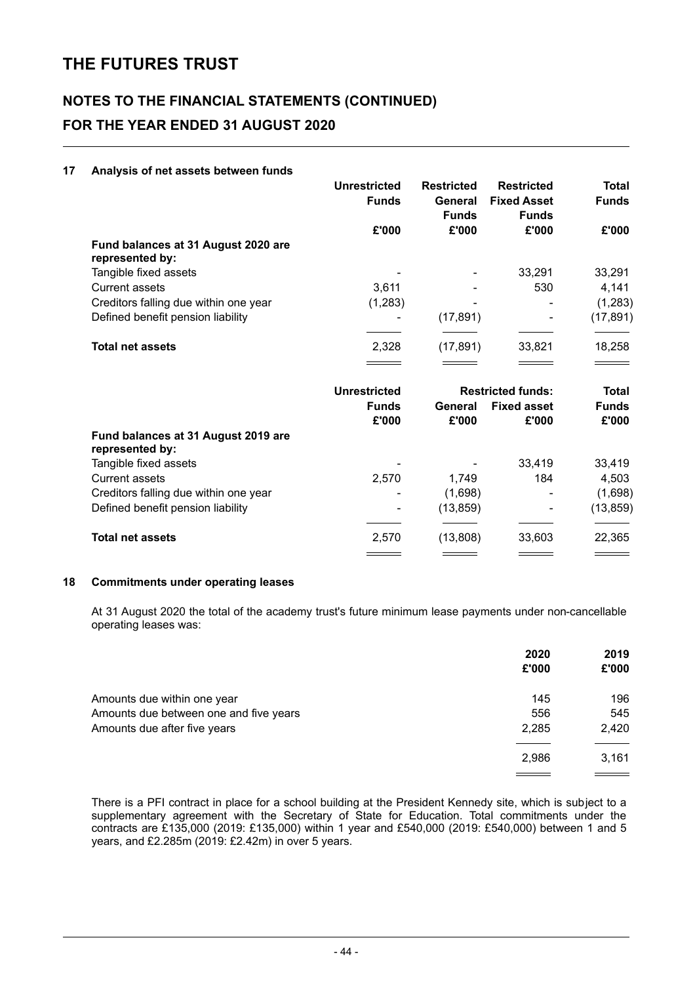# **NOTES TO THE FINANCIAL STATEMENTS (CONTINUED) FOR THE YEAR ENDED 31 AUGUST 2020**

#### **17 Analysis of net assets between funds**

|                                                        | Unrestricted<br><b>Funds</b> | <b>Restricted</b><br>General<br><b>Funds</b> | <b>Restricted</b><br><b>Fixed Asset</b><br><b>Funds</b> | Total<br><b>Funds</b> |
|--------------------------------------------------------|------------------------------|----------------------------------------------|---------------------------------------------------------|-----------------------|
|                                                        | £'000                        | £'000                                        | £'000                                                   | £'000                 |
| Fund balances at 31 August 2020 are<br>represented by: |                              |                                              |                                                         |                       |
| Tangible fixed assets                                  |                              | ۰                                            | 33,291                                                  | 33,291                |
| <b>Current assets</b>                                  | 3,611                        |                                              | 530                                                     | 4,141                 |
| Creditors falling due within one year                  | (1,283)                      |                                              |                                                         | (1, 283)              |
| Defined benefit pension liability                      |                              | (17, 891)                                    | -                                                       | (17, 891)             |
| <b>Total net assets</b>                                | 2,328                        | (17, 891)                                    | 33,821                                                  | 18,258                |

|                                                        | Unrestricted          |                  | <b>Restricted funds:</b>    |                       |
|--------------------------------------------------------|-----------------------|------------------|-----------------------------|-----------------------|
|                                                        | <b>Funds</b><br>£'000 | General<br>£'000 | <b>Fixed asset</b><br>£'000 | <b>Funds</b><br>£'000 |
| Fund balances at 31 August 2019 are<br>represented by: |                       |                  |                             |                       |
| Tangible fixed assets                                  | ۰                     |                  | 33,419                      | 33,419                |
| Current assets                                         | 2.570                 | 1.749            | 184                         | 4,503                 |
| Creditors falling due within one year                  | ٠                     | (1,698)          | ۰                           | (1,698)               |
| Defined benefit pension liability                      | ۰                     | (13, 859)        | ۰                           | (13, 859)             |
|                                                        |                       |                  |                             |                       |
| <b>Total net assets</b>                                | 2,570                 | (13,808)         | 33,603                      | 22,365                |
|                                                        |                       |                  |                             |                       |

#### **18 Commitments under operating leases**

At 31 August 2020 the total of the academy trust's future minimum lease payments under non-cancellable operating leases was:

|                                        | 2020<br>£'000 | 2019<br>£'000 |
|----------------------------------------|---------------|---------------|
| Amounts due within one year            | 145           | 196           |
| Amounts due between one and five years | 556           | 545           |
| Amounts due after five years           | 2,285         | 2,420         |
|                                        | 2,986         | 3,161         |
|                                        |               |               |

There is a PFI contract in place for a school building at the President Kennedy site, which is subject to a supplementary agreement with the Secretary of State for Education. Total commitments under the contracts are £135,000 (2019: £135,000) within 1 year and £540,000 (2019: £540,000) between 1 and 5 years, and £2.285m (2019: £2.42m) in over 5 years.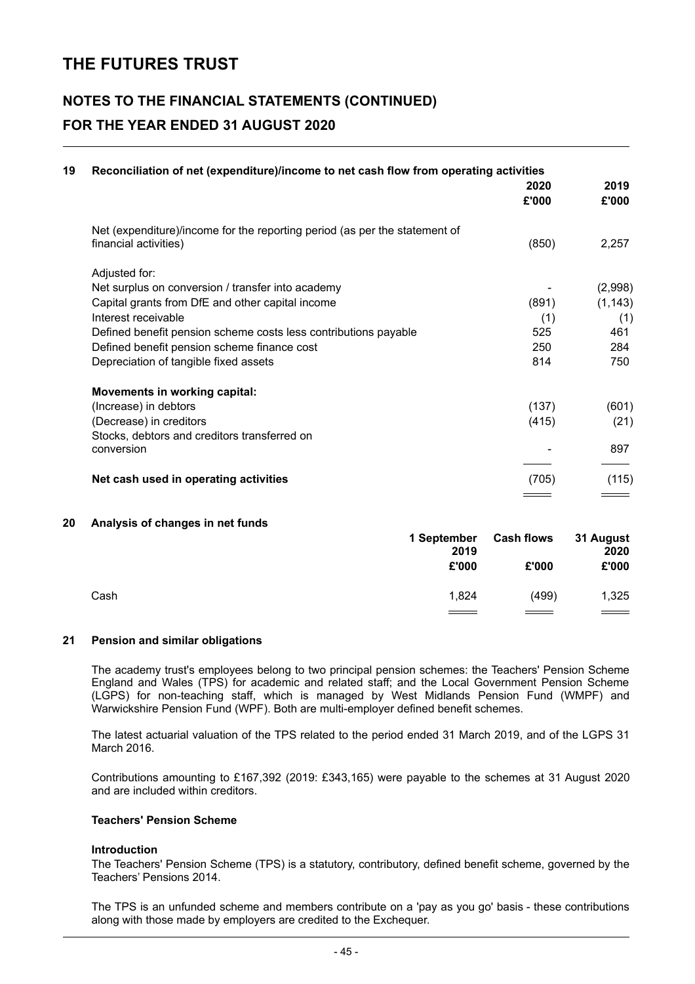# **NOTES TO THE FINANCIAL STATEMENTS (CONTINUED) FOR THE YEAR ENDED 31 AUGUST 2020**

| Reconciliation of net (expenditure)/income to net cash flow from operating activities |               |               |
|---------------------------------------------------------------------------------------|---------------|---------------|
|                                                                                       | 2020<br>£'000 | 2019<br>£'000 |
| Net (expenditure)/income for the reporting period (as per the statement of            |               |               |
| financial activities)                                                                 | (850)         | 2,257         |
| Adjusted for:                                                                         |               |               |
| Net surplus on conversion / transfer into academy                                     |               | (2,998)       |
| Capital grants from DfE and other capital income                                      | (891)         | (1, 143)      |
| Interest receivable                                                                   | (1)           | (1)           |
| Defined benefit pension scheme costs less contributions payable                       | 525           | 461           |
| Defined benefit pension scheme finance cost                                           | 250           | 284           |
| Depreciation of tangible fixed assets                                                 | 814           | 750           |
| <b>Movements in working capital:</b>                                                  |               |               |
| (Increase) in debtors                                                                 | (137)         | (601)         |
| (Decrease) in creditors                                                               | (415)         | (21)          |
| Stocks, debtors and creditors transferred on                                          |               |               |
| conversion                                                                            |               | 897           |
| Net cash used in operating activities                                                 | (705)         | (115)         |
|                                                                                       |               |               |

#### **20 Analysis of changes in net funds**

|      | 1 September<br>2019<br>£'000 | <b>Cash flows</b><br>£'000 | 31 August<br>2020<br>£'000 |
|------|------------------------------|----------------------------|----------------------------|
| Cash | 1.824                        | (499)                      | 1,325                      |
|      |                              |                            |                            |

#### **21 Pension and similar obligations**

The academy trust's employees belong to two principal pension schemes: the Teachers' Pension Scheme England and Wales (TPS) for academic and related staff; and the Local Government Pension Scheme (LGPS) for non-teaching staff, which is managed by West Midlands Pension Fund (WMPF) and Warwickshire Pension Fund (WPF). Both are multi-employer defined benefit schemes.

The latest actuarial valuation of the TPS related to the period ended 31 March 2019, and of the LGPS 31 March 2016.

Contributions amounting to £167,392 (2019: £343,165) were payable to the schemes at 31 August 2020 and are included within creditors.

#### **Teachers' Pension Scheme**

#### **Introduction**

The Teachers' Pension Scheme (TPS) is a statutory, contributory, defined benefit scheme, governed by the Teachers' Pensions 2014.

The TPS is an unfunded scheme and members contribute on a 'pay as you go' basis - these contributions along with those made by employers are credited to the Exchequer.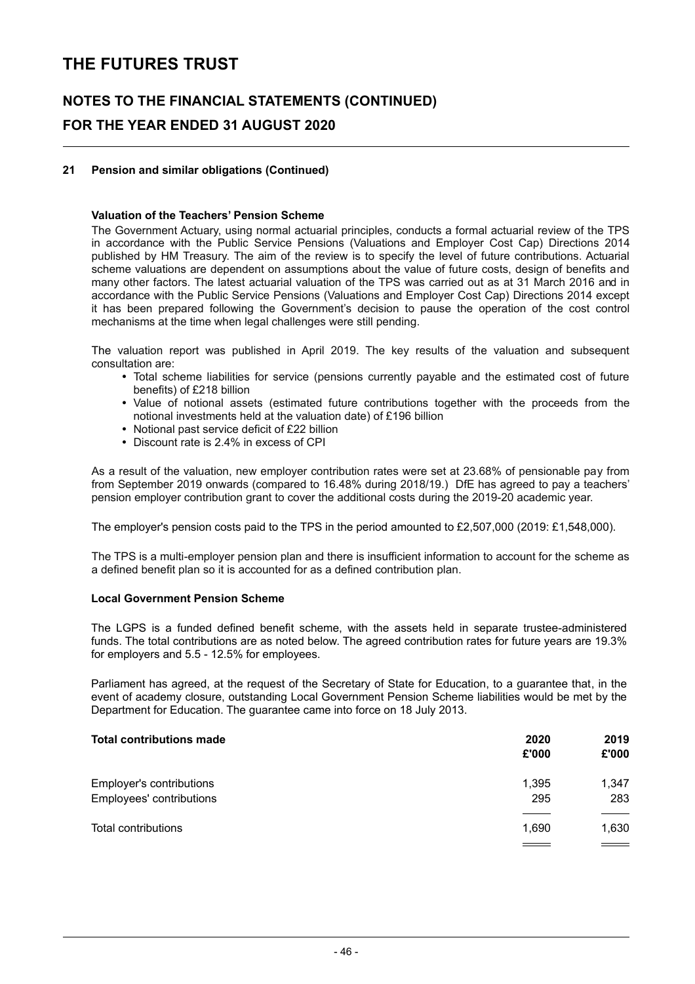### **NOTES TO THE FINANCIAL STATEMENTS (CONTINUED) FOR THE YEAR ENDED 31 AUGUST 2020**

#### **21 Pension and similar obligations (Continued)**

#### **Valuation of the Teachers' Pension Scheme**

The Government Actuary, using normal actuarial principles, conducts a formal actuarial review of the TPS in accordance with the Public Service Pensions (Valuations and Employer Cost Cap) Directions 2014 published by HM Treasury. The aim of the review is to specify the level of future contributions. Actuarial scheme valuations are dependent on assumptions about the value of future costs, design of benefits and many other factors. The latest actuarial valuation of the TPS was carried out as at 31 March 2016 and in accordance with the Public Service Pensions (Valuations and Employer Cost Cap) Directions 2014 except it has been prepared following the Government's decision to pause the operation of the cost control mechanisms at the time when legal challenges were still pending.

The valuation report was published in April 2019. The key results of the valuation and subsequent consultation are:

- Total scheme liabilities for service (pensions currently payable and the estimated cost of future benefits) of £218 billion
- Value of notional assets (estimated future contributions together with the proceeds from the notional investments held at the valuation date) of £196 billion
- Notional past service deficit of £22 billion
- Discount rate is 2.4% in excess of CPI

As a result of the valuation, new employer contribution rates were set at 23.68% of pensionable pay from from September 2019 onwards (compared to 16.48% during 2018/19.) DfE has agreed to pay a teachers' pension employer contribution grant to cover the additional costs during the 2019-20 academic year.

The employer's pension costs paid to the TPS in the period amounted to £2,507,000 (2019: £1,548,000).

The TPS is a multi-employer pension plan and there is insufficient information to account for the scheme as a defined benefit plan so it is accounted for as a defined contribution plan.

#### **Local Government Pension Scheme**

The LGPS is a funded defined benefit scheme, with the assets held in separate trustee-administered funds. The total contributions are as noted below. The agreed contribution rates for future years are 19.3% for employers and 5.5 - 12.5% for employees.

Parliament has agreed, at the request of the Secretary of State for Education, to a guarantee that, in the event of academy closure, outstanding Local Government Pension Scheme liabilities would be met by the Department for Education. The guarantee came into force on 18 July 2013.

| <b>Total contributions made</b> | 2020<br>£'000 | 2019<br>£'000 |
|---------------------------------|---------------|---------------|
| Employer's contributions        | 1,395         | 1,347         |
| Employees' contributions        | 295           | 283           |
|                                 |               |               |
| Total contributions             | 1,690         | 1,630         |
|                                 |               |               |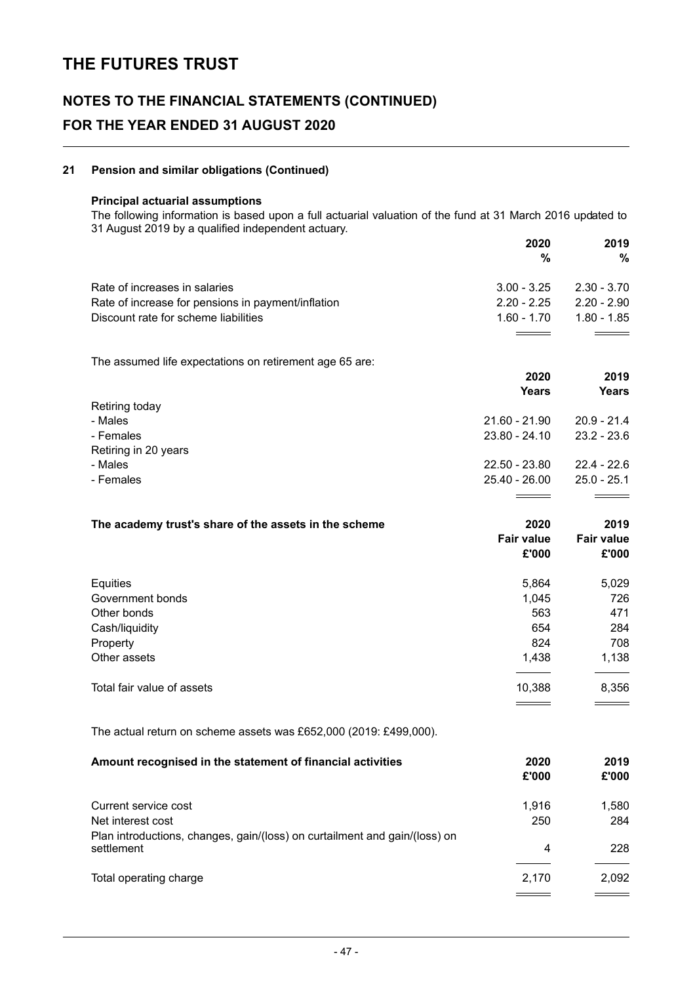### **NOTES TO THE FINANCIAL STATEMENTS (CONTINUED) FOR THE YEAR ENDED 31 AUGUST 2020**

#### **21 Pension and similar obligations (Continued)**

#### **Principal actuarial assumptions**

The following information is based upon a full actuarial valuation of the fund at 31 March 2016 updated to 31 August 2019 by a qualified independent actuary.

|                                                                                          | 2020<br>%         | 2019<br>%         |
|------------------------------------------------------------------------------------------|-------------------|-------------------|
| Rate of increases in salaries                                                            | $3.00 - 3.25$     | $2.30 - 3.70$     |
| Rate of increase for pensions in payment/inflation                                       | $2.20 - 2.25$     | $2.20 - 2.90$     |
| Discount rate for scheme liabilities                                                     | $1.60 - 1.70$     | $1.80 - 1.85$     |
| The assumed life expectations on retirement age 65 are:                                  |                   |                   |
|                                                                                          | 2020              | 2019              |
|                                                                                          | <b>Years</b>      | <b>Years</b>      |
| Retiring today                                                                           | $21.60 - 21.90$   | $20.9 - 21.4$     |
| - Males<br>- Females                                                                     | $23.80 - 24.10$   | $23.2 - 23.6$     |
| Retiring in 20 years                                                                     |                   |                   |
| - Males                                                                                  | 22.50 - 23.80     | $22.4 - 22.6$     |
| - Females                                                                                | $25.40 - 26.00$   | $25.0 - 25.1$     |
|                                                                                          |                   |                   |
| The academy trust's share of the assets in the scheme                                    | 2020              | 2019              |
|                                                                                          | <b>Fair value</b> | <b>Fair value</b> |
|                                                                                          | £'000             | £'000             |
| Equities                                                                                 | 5,864             | 5,029             |
| Government bonds                                                                         | 1,045             | 726               |
| Other bonds                                                                              | 563               | 471               |
| Cash/liquidity                                                                           | 654               | 284               |
| Property                                                                                 | 824               | 708               |
| Other assets                                                                             | 1,438             | 1,138             |
| Total fair value of assets                                                               | 10,388            | 8,356             |
| The actual return on scheme assets was £652,000 (2019: £499,000).                        |                   |                   |
| Amount recognised in the statement of financial activities                               | 2020              | 2019              |
|                                                                                          | £'000             | £'000             |
| Current service cost                                                                     | 1,916             | 1,580             |
| Net interest cost                                                                        | 250               | 284               |
| Plan introductions, changes, gain/(loss) on curtailment and gain/(loss) on<br>settlement | 4                 | 228               |
| Total operating charge                                                                   | 2,170             | 2,092             |
|                                                                                          |                   |                   |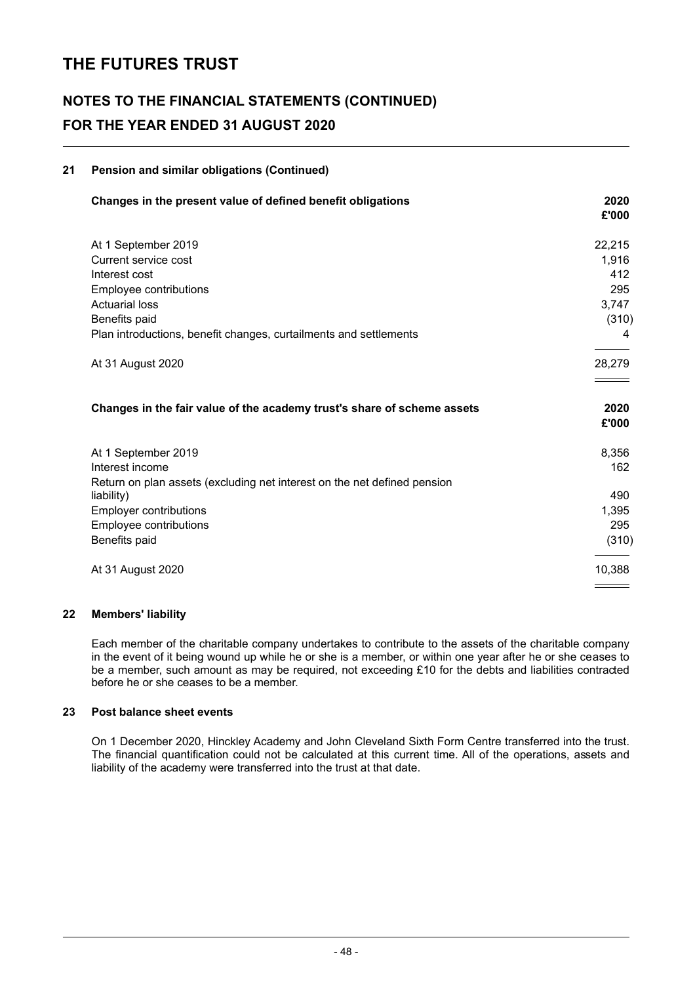### **NOTES TO THE FINANCIAL STATEMENTS (CONTINUED) FOR THE YEAR ENDED 31 AUGUST 2020**

### **21 Pension and similar obligations (Continued) Changes in the present value of defined benefit obligations 2020 £'000** At 1 September 2019 22,215 Current service cost 1,916 Interest cost 412 Employee contributions 295 Actuarial loss 3,747 Benefits paid (310) Plan introductions, benefit changes, curtailments and settlements 4 At 31 August 2020 28,279 **Changes in the fair value of the academy trust's share of scheme assets 2020 £'000** At 1 September 2019 8,356 **Interest income 162** Return on plan assets (excluding net interest on the net defined pension liability) 490 Employer contributions 1,395 Employee contributions 295 Benefits paid (310) At 31 August 2020 10,388

#### **22 Members' liability**

Each member of the charitable company undertakes to contribute to the assets of the charitable company in the event of it being wound up while he or she is a member, or within one year after he or she ceases to be a member, such amount as may be required, not exceeding £10 for the debts and liabilities contracted before he or she ceases to be a member.

#### **23 Post balance sheet events**

On 1 December 2020, Hinckley Academy and John Cleveland Sixth Form Centre transferred into the trust. The financial quantification could not be calculated at this current time. All of the operations, assets and liability of the academy were transferred into the trust at that date.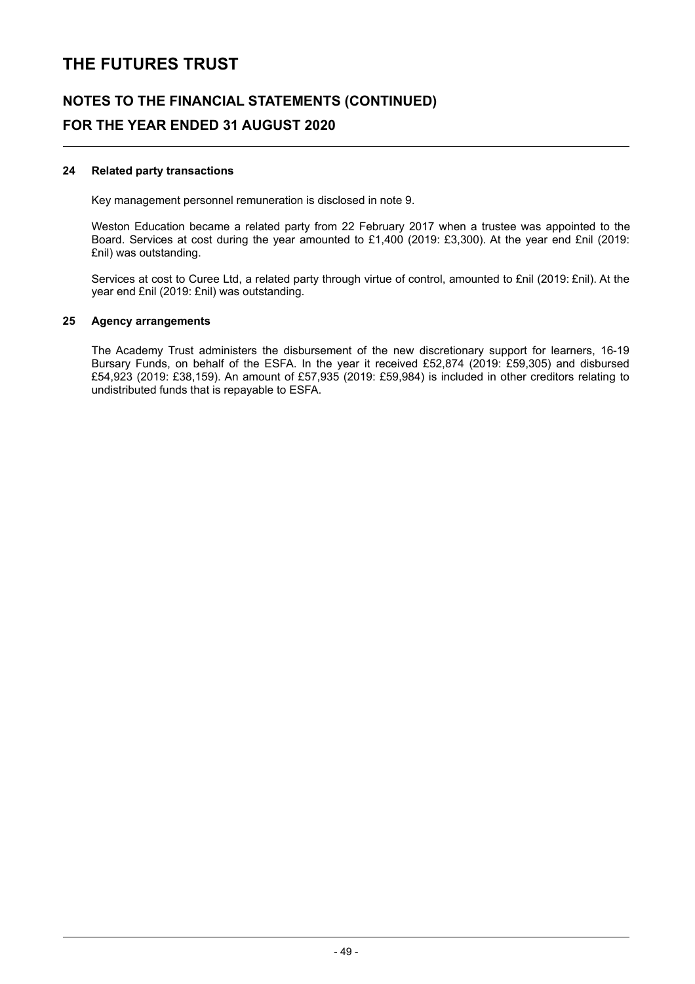# **NOTES TO THE FINANCIAL STATEMENTS (CONTINUED) FOR THE YEAR ENDED 31 AUGUST 2020**

#### **24 Related party transactions**

Key management personnel remuneration is disclosed in note 9.

Weston Education became a related party from 22 February 2017 when a trustee was appointed to the Board. Services at cost during the year amounted to £1,400 (2019: £3,300). At the year end £nil (2019: £nil) was outstanding.

Services at cost to Curee Ltd, a related party through virtue of control, amounted to £nil (2019: £nil). At the year end £nil (2019: £nil) was outstanding.

#### **25 Agency arrangements**

The Academy Trust administers the disbursement of the new discretionary support for learners, 16-19 Bursary Funds, on behalf of the ESFA. In the year it received £52,874 (2019: £59,305) and disbursed £54,923 (2019: £38,159). An amount of £57,935 (2019: £59,984) is included in other creditors relating to undistributed funds that is repayable to ESFA.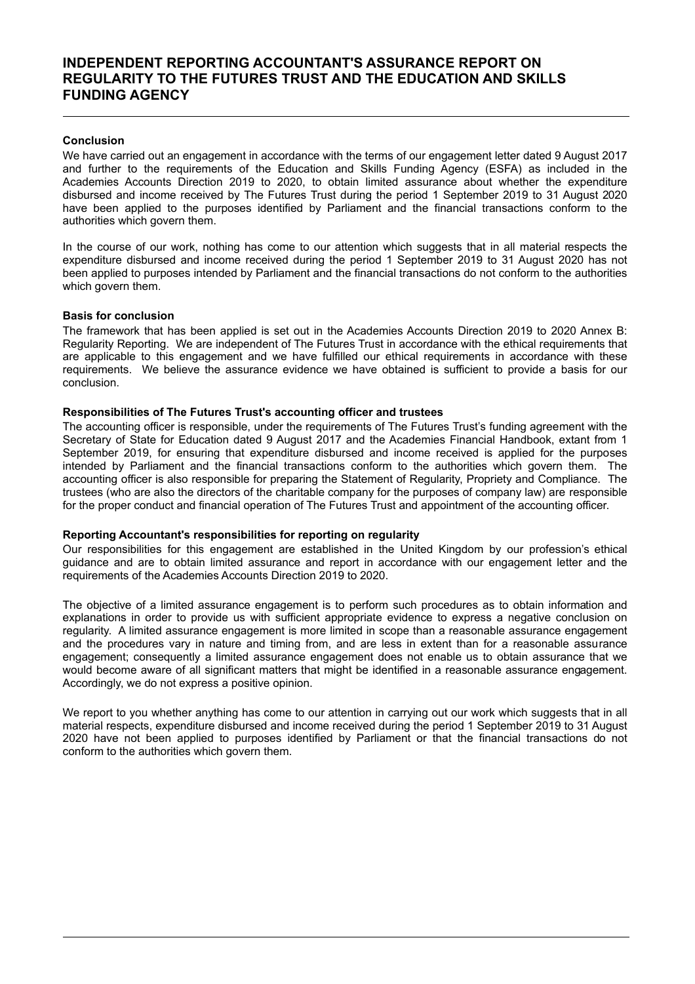### **INDEPENDENT REPORTING ACCOUNTANT'S ASSURANCE REPORT ON REGULARITY TO THE FUTURES TRUST AND THE EDUCATION AND SKILLS FUNDING AGENCY**

#### **Conclusion**

We have carried out an engagement in accordance with the terms of our engagement letter dated 9 August 2017 and further to the requirements of the Education and Skills Funding Agency (ESFA) as included in the Academies Accounts Direction 2019 to 2020, to obtain limited assurance about whether the expenditure disbursed and income received by The Futures Trust during the period 1 September 2019 to 31 August 2020 have been applied to the purposes identified by Parliament and the financial transactions conform to the authorities which govern them.

In the course of our work, nothing has come to our attention which suggests that in all material respects the expenditure disbursed and income received during the period 1 September 2019 to 31 August 2020 has not been applied to purposes intended by Parliament and the financial transactions do not conform to the authorities which govern them.

#### **Basis for conclusion**

The framework that has been applied is set out in the Academies Accounts Direction 2019 to 2020 Annex B: Regularity Reporting. We are independent of The Futures Trust in accordance with the ethical requirements that are applicable to this engagement and we have fulfilled our ethical requirements in accordance with these requirements. We believe the assurance evidence we have obtained is sufficient to provide a basis for our conclusion.

#### **Responsibilities of The Futures Trust's accounting officer and trustees**

The accounting officer is responsible, under the requirements of The Futures Trust's funding agreement with the Secretary of State for Education dated 9 August 2017 and the Academies Financial Handbook, extant from 1 September 2019, for ensuring that expenditure disbursed and income received is applied for the purposes intended by Parliament and the financial transactions conform to the authorities which govern them. The accounting officer is also responsible for preparing the Statement of Regularity, Propriety and Compliance. The trustees (who are also the directors of the charitable company for the purposes of company law) are responsible for the proper conduct and financial operation of The Futures Trust and appointment of the accounting officer.

#### **Reporting Accountant's responsibilities for reporting on regularity**

Our responsibilities for this engagement are established in the United Kingdom by our profession's ethical guidance and are to obtain limited assurance and report in accordance with our engagement letter and the requirements of the Academies Accounts Direction 2019 to 2020.

The objective of a limited assurance engagement is to perform such procedures as to obtain information and explanations in order to provide us with sufficient appropriate evidence to express a negative conclusion on regularity. A limited assurance engagement is more limited in scope than a reasonable assurance engagement and the procedures vary in nature and timing from, and are less in extent than for a reasonable assurance engagement; consequently a limited assurance engagement does not enable us to obtain assurance that we would become aware of all significant matters that might be identified in a reasonable assurance engagement. Accordingly, we do not express a positive opinion.

We report to you whether anything has come to our attention in carrying out our work which suggests that in all material respects, expenditure disbursed and income received during the period 1 September 2019 to 31 August 2020 have not been applied to purposes identified by Parliament or that the financial transactions do not conform to the authorities which govern them.